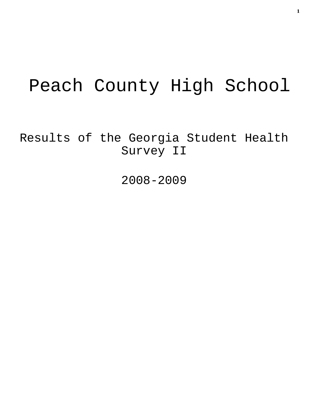# Peach County High School

Results of the Georgia Student Health Survey II

2008-2009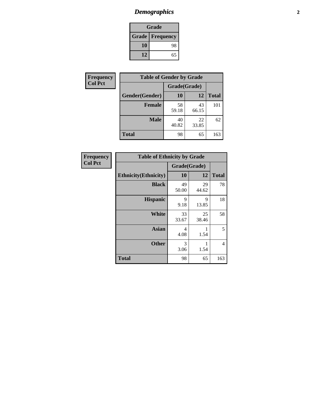# *Demographics* **2**

| Grade                    |    |  |  |  |
|--------------------------|----|--|--|--|
| <b>Grade   Frequency</b> |    |  |  |  |
| 10                       | 98 |  |  |  |
| 12                       | 65 |  |  |  |

| <b>Frequency</b> | <b>Table of Gender by Grade</b> |              |             |              |  |  |
|------------------|---------------------------------|--------------|-------------|--------------|--|--|
| <b>Col Pct</b>   |                                 | Grade(Grade) |             |              |  |  |
|                  | Gender(Gender)                  | 10           | 12          | <b>Total</b> |  |  |
|                  | <b>Female</b>                   | 58<br>59.18  | 43<br>66.15 | 101          |  |  |
|                  | <b>Male</b>                     | 40<br>40.82  | 22<br>33.85 | 62           |  |  |
|                  | <b>Total</b>                    | 98           | 65          | 163          |  |  |

| <b>Frequency</b><br>Col Pct |
|-----------------------------|

| <b>Table of Ethnicity by Grade</b> |              |             |              |  |  |  |
|------------------------------------|--------------|-------------|--------------|--|--|--|
|                                    | Grade(Grade) |             |              |  |  |  |
| <b>Ethnicity</b> (Ethnicity)       | 10           | 12          | <b>Total</b> |  |  |  |
| <b>Black</b>                       | 49<br>50.00  | 29<br>44.62 | 78           |  |  |  |
| <b>Hispanic</b>                    | 9<br>9.18    | 9<br>13.85  | 18           |  |  |  |
| White                              | 33<br>33.67  | 25<br>38.46 | 58           |  |  |  |
| <b>Asian</b>                       | 4<br>4.08    | 1<br>1.54   | 5            |  |  |  |
| <b>Other</b>                       | 3<br>3.06    | 1<br>1.54   | 4            |  |  |  |
| <b>Total</b>                       | 98           | 65          | 163          |  |  |  |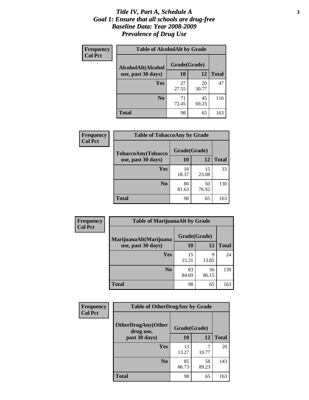### *Title IV, Part A, Schedule A* **3** *Goal 1: Ensure that all schools are drug-free Baseline Data: Year 2008-2009 Prevalence of Drug Use*

| Frequency<br><b>Col Pct</b> | <b>Table of AlcoholAlt by Grade</b> |              |             |              |  |  |
|-----------------------------|-------------------------------------|--------------|-------------|--------------|--|--|
|                             | AlcoholAlt(Alcohol                  | Grade(Grade) |             |              |  |  |
|                             | use, past 30 days)                  | 10           | 12          | <b>Total</b> |  |  |
|                             | Yes                                 | 27<br>27.55  | 20<br>30.77 | 47           |  |  |
|                             | N <sub>0</sub>                      | 71<br>72.45  | 45<br>69.23 | 116          |  |  |
|                             | <b>Total</b>                        | 98           | 65          | 163          |  |  |

| Frequency      | <b>Table of TobaccoAny by Grade</b> |              |             |              |  |  |
|----------------|-------------------------------------|--------------|-------------|--------------|--|--|
| <b>Col Pct</b> | <b>TobaccoAny(Tobacco</b>           | Grade(Grade) |             |              |  |  |
|                | use, past 30 days)                  | 10           | 12          | <b>Total</b> |  |  |
|                | Yes                                 | 18<br>18.37  | 15<br>23.08 | 33           |  |  |
|                | N <sub>0</sub>                      | 80<br>81.63  | 50<br>76.92 | 130          |  |  |
|                | Total                               | 98           | 65          | 163          |  |  |

| Frequency      | <b>Table of MarijuanaAlt by Grade</b> |              |             |              |  |  |
|----------------|---------------------------------------|--------------|-------------|--------------|--|--|
| <b>Col Pct</b> | MarijuanaAlt(Marijuana                | Grade(Grade) |             |              |  |  |
|                | use, past 30 days)                    | <b>10</b>    | 12          | <b>Total</b> |  |  |
|                | Yes                                   | 15<br>15.31  | 9<br>13.85  | 24           |  |  |
|                | N <sub>0</sub>                        | 83<br>84.69  | 56<br>86.15 | 139          |  |  |
|                | <b>Total</b>                          | 98           | 65          | 163          |  |  |

| Frequency<br><b>Col Pct</b> | <b>Table of OtherDrugAny by Grade</b>  |              |             |              |  |  |
|-----------------------------|----------------------------------------|--------------|-------------|--------------|--|--|
|                             | <b>OtherDrugAny(Other</b><br>drug use, | Grade(Grade) |             |              |  |  |
|                             | past 30 days)                          | 10           | 12          | <b>Total</b> |  |  |
|                             | Yes                                    | 13<br>13.27  | 10.77       | 20           |  |  |
|                             | N <sub>0</sub>                         | 85<br>86.73  | 58<br>89.23 | 143          |  |  |
|                             | <b>Total</b>                           | 98           | 65          | 163          |  |  |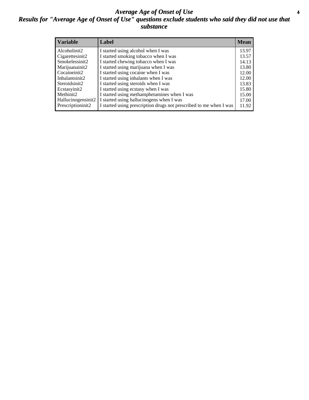### *Average Age of Onset of Use* **4** *Results for "Average Age of Onset of Use" questions exclude students who said they did not use that substance*

| <b>Variable</b>       | Label                                                              | <b>Mean</b> |
|-----------------------|--------------------------------------------------------------------|-------------|
| Alcoholinit2          | I started using alcohol when I was                                 | 13.97       |
| Cigarettesinit2       | I started smoking tobacco when I was                               | 13.57       |
| Smokelessinit2        | I started chewing tobacco when I was                               | 14.13       |
| Marijuanainit2        | I started using marijuana when I was                               | 13.80       |
| Cocaineinit2          | I started using cocaine when I was                                 | 12.00       |
| Inhalantsinit2        | I started using inhalants when I was                               | 12.00       |
| Steroidsinit2         | I started using steroids when I was                                | 13.83       |
| Ecstasyinit2          | I started using ecstasy when I was                                 | 15.80       |
| Methinit <sub>2</sub> | I started using methamphetamines when I was                        | 15.00       |
| Hallucinogensinit2    | I started using hallucinogens when I was                           | 17.00       |
| Prescriptioninit2     | I started using prescription drugs not prescribed to me when I was | 11.92       |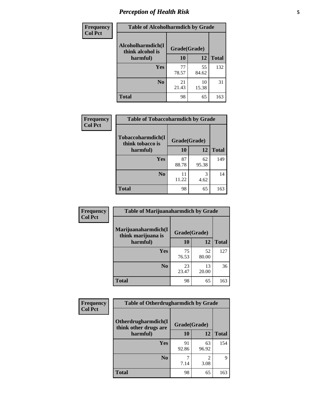# *Perception of Health Risk* **5**

| <b>Frequency</b> | <b>Table of Alcoholharmdich by Grade</b> |              |             |              |  |
|------------------|------------------------------------------|--------------|-------------|--------------|--|
| <b>Col Pct</b>   | Alcoholharmdich(I<br>think alcohol is    | Grade(Grade) |             |              |  |
|                  | harmful)                                 | 10           | 12          | <b>Total</b> |  |
|                  | <b>Yes</b>                               | 77           | 55          | 132          |  |
|                  |                                          | 78.57        | 84.62       |              |  |
|                  | N <sub>0</sub>                           | 21<br>21.43  | 10<br>15.38 | 31           |  |
|                  | <b>Total</b>                             | 98           | 65          | 163          |  |

| Frequency      | <b>Table of Tobaccoharmdich by Grade</b> |              |             |              |  |
|----------------|------------------------------------------|--------------|-------------|--------------|--|
| <b>Col Pct</b> | Tobaccoharmdich(I<br>think tobacco is    | Grade(Grade) |             |              |  |
|                | harmful)                                 | 10           | 12          | <b>Total</b> |  |
|                | Yes                                      | 87<br>88.78  | 62<br>95.38 | 149          |  |
|                | N <sub>0</sub>                           | 11<br>11.22  | 3<br>4.62   | 14           |  |
|                | <b>Total</b>                             | 98           | 65          | 163          |  |

| Frequency      | <b>Table of Marijuanaharmdich by Grade</b> |              |             |              |  |
|----------------|--------------------------------------------|--------------|-------------|--------------|--|
| <b>Col Pct</b> | Marijuanaharmdich(I<br>think marijuana is  | Grade(Grade) |             |              |  |
|                | harmful)                                   | 10           | 12          | <b>Total</b> |  |
|                | Yes                                        | 75<br>76.53  | 52<br>80.00 | 127          |  |
|                | N <sub>0</sub>                             | 23<br>23.47  | 13<br>20.00 | 36           |  |
|                | <b>Total</b>                               | 98           | 65          | 163          |  |

| <b>Frequency</b> | <b>Table of Otherdrugharmdich by Grade</b>                   |             |             |              |  |
|------------------|--------------------------------------------------------------|-------------|-------------|--------------|--|
| <b>Col Pct</b>   | Otherdrugharmdich(I<br>Grade(Grade)<br>think other drugs are |             |             |              |  |
|                  | harmful)                                                     | <b>10</b>   | 12          | <b>Total</b> |  |
|                  | Yes                                                          | 91<br>92.86 | 63<br>96.92 | 154          |  |
|                  | N <sub>0</sub>                                               | 7.14        | 2<br>3.08   | 9            |  |
|                  | <b>Total</b>                                                 | 98          | 65          | 163          |  |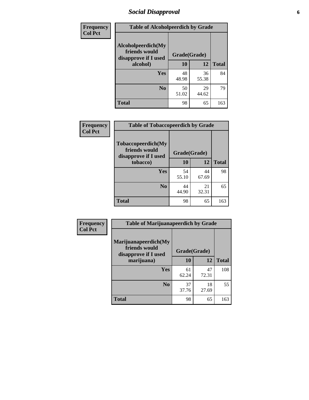# *Social Disapproval* **6**

| Frequency      | <b>Table of Alcoholpeerdich by Grade</b>                    |              |             |              |
|----------------|-------------------------------------------------------------|--------------|-------------|--------------|
| <b>Col Pct</b> | Alcoholpeerdich(My<br>friends would<br>disapprove if I used | Grade(Grade) |             |              |
|                | alcohol)                                                    | 10           | 12          | <b>Total</b> |
|                | <b>Yes</b>                                                  | 48<br>48.98  | 36<br>55.38 | 84           |
|                | N <sub>0</sub>                                              | 50<br>51.02  | 29<br>44.62 | 79           |
|                | <b>Total</b>                                                | 98           | 65          | 163          |

| <b>Frequency</b> |
|------------------|
| <b>Col Pct</b>   |

| <b>Table of Tobaccopeerdich by Grade</b>                            |              |             |              |  |
|---------------------------------------------------------------------|--------------|-------------|--------------|--|
| <b>Tobaccopeerdich</b> (My<br>friends would<br>disapprove if I used | Grade(Grade) |             |              |  |
| tobacco)                                                            | 10           | 12          | <b>Total</b> |  |
| Yes                                                                 | 54<br>55.10  | 44<br>67.69 | 98           |  |
| N <sub>0</sub>                                                      | 44<br>44.90  | 21<br>32.31 | 65           |  |
| <b>Total</b>                                                        | 98           | 65          | 163          |  |

| <b>Frequency</b> | <b>Table of Marijuanapeerdich by Grade</b>                    |              |             |              |  |
|------------------|---------------------------------------------------------------|--------------|-------------|--------------|--|
| <b>Col Pct</b>   | Marijuanapeerdich(My<br>friends would<br>disapprove if I used | Grade(Grade) |             |              |  |
|                  | marijuana)                                                    | 10           | 12          | <b>Total</b> |  |
|                  | <b>Yes</b>                                                    | 61<br>62.24  | 47<br>72.31 | 108          |  |
|                  | N <sub>0</sub>                                                | 37<br>37.76  | 18<br>27.69 | 55           |  |
|                  | <b>Total</b>                                                  | 98           | 65          | 163          |  |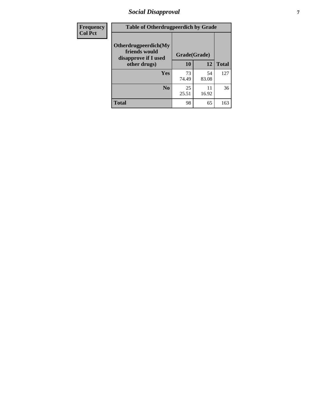# *Social Disapproval* **7**

| Frequency      | <b>Table of Otherdrugpeerdich by Grade</b>                    |              |             |              |  |  |
|----------------|---------------------------------------------------------------|--------------|-------------|--------------|--|--|
| <b>Col Pct</b> | Otherdrugpeerdich(My<br>friends would<br>disapprove if I used | Grade(Grade) |             |              |  |  |
|                | other drugs)                                                  | 10           | 12          | <b>Total</b> |  |  |
|                | Yes                                                           | 73<br>74.49  | 54<br>83.08 | 127          |  |  |
|                | N <sub>0</sub>                                                | 25<br>25.51  | 11<br>16.92 | 36           |  |  |
|                | <b>Total</b>                                                  | 98           | 65          | 163          |  |  |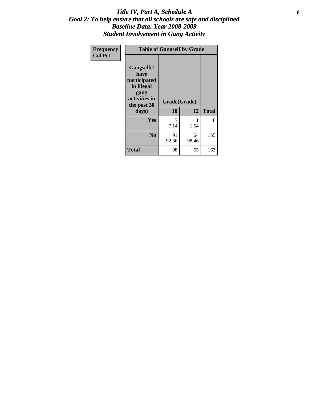### Title IV, Part A, Schedule A **8** *Goal 2: To help ensure that all schools are safe and disciplined Baseline Data: Year 2008-2009 Student Involvement in Gang Activity*

| Frequency      | <b>Table of Gangself by Grade</b>                                                                 |                    |             |              |
|----------------|---------------------------------------------------------------------------------------------------|--------------------|-------------|--------------|
| <b>Col Pct</b> | Gangself(I<br>have<br>participated<br>in illegal<br>gang<br>activities in<br>the past 30<br>days) | Grade(Grade)<br>10 | 12          | <b>Total</b> |
|                | Yes                                                                                               | 7<br>7.14          | 1<br>1.54   | 8            |
|                | N <sub>0</sub>                                                                                    | 91<br>92.86        | 64<br>98.46 | 155          |
|                | <b>Total</b>                                                                                      | 98                 | 65          | 163          |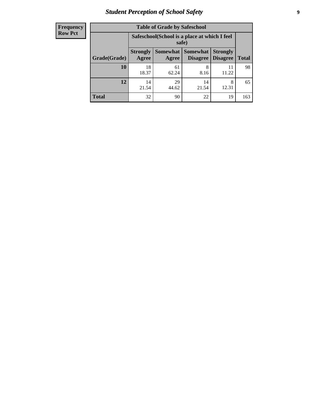# *Student Perception of School Safety* **9**

| <b>Frequency</b><br>Row Pct |
|-----------------------------|
|                             |

| <b>Table of Grade by Safeschool</b> |                                                        |                     |                             |                                    |              |  |
|-------------------------------------|--------------------------------------------------------|---------------------|-----------------------------|------------------------------------|--------------|--|
|                                     | Safeschool (School is a place at which I feel<br>safe) |                     |                             |                                    |              |  |
| Grade(Grade)                        | <b>Strongly</b><br>Agree                               | Somewhat  <br>Agree | <b>Somewhat</b><br>Disagree | <b>Strongly</b><br><b>Disagree</b> | <b>Total</b> |  |
| <b>10</b>                           | 18<br>18.37                                            | 61<br>62.24         | 8<br>8.16                   | 11.22                              | 98           |  |
| 12                                  | 14<br>21.54                                            | 29<br>44.62         | 14<br>21.54                 | 8<br>12.31                         | 65           |  |
| <b>Total</b>                        | 32                                                     | 90                  | 22                          | 19                                 | 163          |  |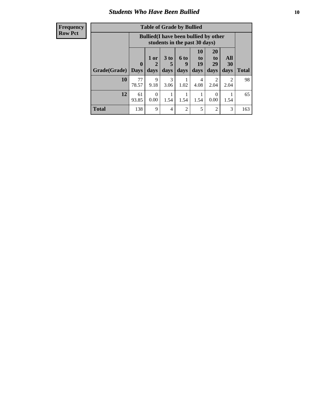### *Students Who Have Been Bullied* **10**

#### **Frequency Row Pct**

| <b>Table of Grade by Bullied</b> |                         |                                                                               |                              |                   |                        |                               |                        |              |
|----------------------------------|-------------------------|-------------------------------------------------------------------------------|------------------------------|-------------------|------------------------|-------------------------------|------------------------|--------------|
|                                  |                         | <b>Bullied</b> (I have been bullied by other<br>students in the past 30 days) |                              |                   |                        |                               |                        |              |
| Grade(Grade)                     | $\bf{0}$<br><b>Days</b> | 1 or<br>$\mathbf{2}$<br>days                                                  | 3 <sub>to</sub><br>5<br>days | 6 to<br>9<br>days | 10<br>to<br>19<br>days | <b>20</b><br>to<br>29<br>days | All<br>30<br>days      | <b>Total</b> |
| 10                               | 77<br>78.57             | 9<br>9.18                                                                     | 3<br>3.06                    | 1.02              | 4<br>4.08              | 2<br>2.04                     | $\mathfrak{D}$<br>2.04 | 98           |
| 12                               | 61<br>93.85             | 0.00                                                                          | 1.54                         | 1.54              | 1.54                   | $\theta$<br>0.00              | 1.54                   | 65           |
| <b>Total</b>                     | 138                     | 9                                                                             | 4                            | $\overline{2}$    | 5                      | $\overline{2}$                | 3                      | 163          |

 $\blacksquare$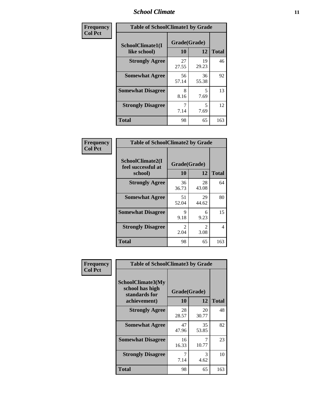### *School Climate* **11**

| Frequency      | <b>Table of SchoolClimate1 by Grade</b> |                    |             |              |  |  |
|----------------|-----------------------------------------|--------------------|-------------|--------------|--|--|
| <b>Col Pct</b> | SchoolClimate1(I<br>like school)        | Grade(Grade)<br>10 | 12          | <b>Total</b> |  |  |
|                | <b>Strongly Agree</b>                   | 27<br>27.55        | 19<br>29.23 | 46           |  |  |
|                | <b>Somewhat Agree</b>                   | 56<br>57.14        | 36<br>55.38 | 92           |  |  |
|                | <b>Somewhat Disagree</b>                | 8<br>8.16          | 5<br>7.69   | 13           |  |  |
|                | <b>Strongly Disagree</b>                | 7<br>7.14          | 5<br>7.69   | 12           |  |  |
|                | <b>Total</b>                            | 98                 | 65          | 163          |  |  |

| Frequency<br><b>Col Pct</b> | <b>Table of SchoolClimate2 by Grade</b>           |                        |             |              |  |  |  |
|-----------------------------|---------------------------------------------------|------------------------|-------------|--------------|--|--|--|
|                             | SchoolClimate2(I<br>feel successful at<br>school) | Grade(Grade)<br>10     | 12          | <b>Total</b> |  |  |  |
|                             | <b>Strongly Agree</b>                             | 36<br>36.73            | 28<br>43.08 | 64           |  |  |  |
|                             | <b>Somewhat Agree</b>                             | 51<br>52.04            | 29<br>44.62 | 80           |  |  |  |
|                             | <b>Somewhat Disagree</b>                          | 9<br>9.18              | 6<br>9.23   | 15           |  |  |  |
|                             | <b>Strongly Disagree</b>                          | $\mathfrak{D}$<br>2.04 | 2<br>3.08   | 4            |  |  |  |
|                             | <b>Total</b>                                      | 98                     | 65          | 163          |  |  |  |

| Frequency | <b>Table of SchoolClimate3 by Grade</b>                      |              |             |              |  |
|-----------|--------------------------------------------------------------|--------------|-------------|--------------|--|
| Col Pct   | <b>SchoolClimate3(My</b><br>school has high<br>standards for | Grade(Grade) |             |              |  |
|           | achievement)                                                 | 10           | 12          | <b>Total</b> |  |
|           | <b>Strongly Agree</b>                                        | 28<br>28.57  | 20<br>30.77 | 48           |  |
|           | <b>Somewhat Agree</b>                                        | 47<br>47.96  | 35<br>53.85 | 82           |  |
|           | <b>Somewhat Disagree</b>                                     | 16<br>16.33  | 7<br>10.77  | 23           |  |
|           | <b>Strongly Disagree</b>                                     | 7<br>7.14    | 3<br>4.62   | 10           |  |
|           | Total                                                        | 98           | 65          | 163          |  |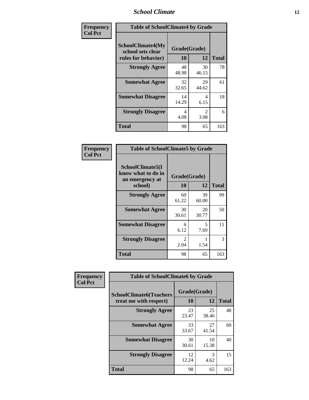### *School Climate* **12**

| Frequency      |                                                                      | <b>Table of SchoolClimate4 by Grade</b> |                        |              |  |
|----------------|----------------------------------------------------------------------|-----------------------------------------|------------------------|--------------|--|
| <b>Col Pct</b> | <b>SchoolClimate4(My</b><br>school sets clear<br>rules for behavior) | Grade(Grade)<br>10                      | 12                     | <b>Total</b> |  |
|                | <b>Strongly Agree</b>                                                | 48<br>48.98                             | 30<br>46.15            | 78           |  |
|                | <b>Somewhat Agree</b>                                                | 32<br>32.65                             | 29<br>44.62            | 61           |  |
|                | <b>Somewhat Disagree</b>                                             | 14<br>14.29                             | 4<br>6.15              | 18           |  |
|                | <b>Strongly Disagree</b>                                             | 4<br>4.08                               | $\mathfrak{D}$<br>3.08 | 6            |  |
|                | <b>Total</b>                                                         | 98                                      | 65                     | 163          |  |

| <b>Table of SchoolClimate5 by Grade</b>                              |                    |             |              |  |  |
|----------------------------------------------------------------------|--------------------|-------------|--------------|--|--|
| SchoolClimate5(I<br>know what to do in<br>an emergency at<br>school) | Grade(Grade)<br>10 | 12          | <b>Total</b> |  |  |
| <b>Strongly Agree</b>                                                | 60<br>61.22        | 39<br>60.00 | 99           |  |  |
| <b>Somewhat Agree</b>                                                | 30<br>30.61        | 20<br>30.77 | 50           |  |  |
| <b>Somewhat Disagree</b>                                             | 6<br>6.12          | 5<br>7.69   | 11           |  |  |
| <b>Strongly Disagree</b>                                             | 2<br>2.04          | 1.54        | 3            |  |  |
| <b>Total</b>                                                         | 98                 | 65          | 163          |  |  |

| Frequency      | <b>Table of SchoolClimate6 by Grade</b>                  |                    |             |              |
|----------------|----------------------------------------------------------|--------------------|-------------|--------------|
| <b>Col Pct</b> | <b>SchoolClimate6(Teachers</b><br>treat me with respect) | Grade(Grade)<br>10 | 12          | <b>Total</b> |
|                | <b>Strongly Agree</b>                                    | 23<br>23.47        | 25<br>38.46 | 48           |
|                | <b>Somewhat Agree</b>                                    | 33<br>33.67        | 27<br>41.54 | 60           |
|                | <b>Somewhat Disagree</b>                                 | 30<br>30.61        | 10<br>15.38 | 40           |
|                | <b>Strongly Disagree</b>                                 | 12<br>12.24        | 3<br>4.62   | 15           |
|                | <b>Total</b>                                             | 98                 | 65          | 163          |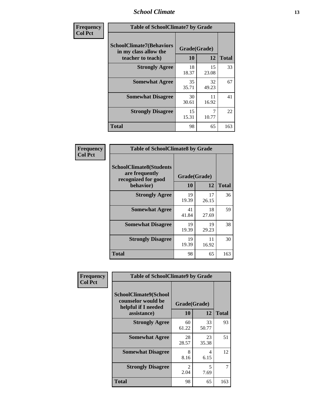### *School Climate* **13**

| Frequency      | <b>Table of SchoolClimate7 by Grade</b>                                       |                           |             |              |
|----------------|-------------------------------------------------------------------------------|---------------------------|-------------|--------------|
| <b>Col Pct</b> | <b>SchoolClimate7(Behaviors</b><br>in my class allow the<br>teacher to teach) | Grade(Grade)<br><b>10</b> | 12          | <b>Total</b> |
|                | <b>Strongly Agree</b>                                                         | 18<br>18.37               | 15<br>23.08 | 33           |
|                | <b>Somewhat Agree</b>                                                         | 35<br>35.71               | 32<br>49.23 | 67           |
|                | <b>Somewhat Disagree</b>                                                      | 30<br>30.61               | 11<br>16.92 | 41           |
|                | <b>Strongly Disagree</b>                                                      | 15<br>15.31               | 10.77       | 22           |
|                | <b>Total</b>                                                                  | 98                        | 65          | 163          |

| Frequency      | <b>Table of SchoolClimate8 by Grade</b>                                              |                    |             |              |
|----------------|--------------------------------------------------------------------------------------|--------------------|-------------|--------------|
| <b>Col Pct</b> | <b>SchoolClimate8(Students</b><br>are frequently<br>recognized for good<br>behavior) | Grade(Grade)<br>10 | 12          | <b>Total</b> |
|                | <b>Strongly Agree</b>                                                                | 19<br>19.39        | 17<br>26.15 | 36           |
|                | <b>Somewhat Agree</b>                                                                | 41<br>41.84        | 18<br>27.69 | 59           |
|                | <b>Somewhat Disagree</b>                                                             | 19<br>19.39        | 19<br>29.23 | 38           |
|                | <b>Strongly Disagree</b>                                                             | 19<br>19.39        | 11<br>16.92 | 30           |
|                | <b>Total</b>                                                                         | 98                 | 65          | 163          |

| Frequency      | <b>Table of SchoolClimate9 by Grade</b>                                                  |                    |             |                |
|----------------|------------------------------------------------------------------------------------------|--------------------|-------------|----------------|
| <b>Col Pct</b> | <b>SchoolClimate9(School</b><br>counselor would be<br>helpful if I needed<br>assistance) | Grade(Grade)<br>10 | 12          | <b>Total</b>   |
|                | <b>Strongly Agree</b>                                                                    | 60<br>61.22        | 33<br>50.77 | 93             |
|                | <b>Somewhat Agree</b>                                                                    | 28<br>28.57        | 23<br>35.38 | 51             |
|                | <b>Somewhat Disagree</b>                                                                 | 8<br>8.16          | 4<br>6.15   | 12             |
|                | <b>Strongly Disagree</b>                                                                 | 2<br>2.04          | 5<br>7.69   | $\overline{7}$ |
|                | Total                                                                                    | 98                 | 65          | 163            |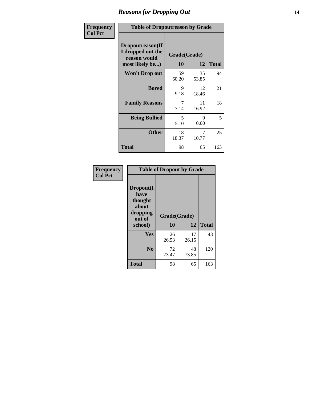### *Reasons for Dropping Out* **14**

| Frequency      | <b>Table of Dropoutreason by Grade</b>                                   |                    |             |              |
|----------------|--------------------------------------------------------------------------|--------------------|-------------|--------------|
| <b>Col Pct</b> | Dropoutreason(If<br>I dropped out the<br>reason would<br>most likely be) | Grade(Grade)<br>10 | 12          | <b>Total</b> |
|                | Won't Drop out                                                           | 59<br>60.20        | 35<br>53.85 | 94           |
|                | <b>Bored</b>                                                             | 9<br>9.18          | 12<br>18.46 | 21           |
|                | <b>Family Reasons</b>                                                    | 7<br>7.14          | 11<br>16.92 | 18           |
|                | <b>Being Bullied</b>                                                     | 5<br>5.10          | 0<br>0.00   | 5            |
|                | <b>Other</b>                                                             | 18<br>18.37        | 7<br>10.77  | 25           |
|                | <b>Total</b>                                                             | 98                 | 65          | 163          |

| Frequency      |                                                                        | <b>Table of Dropout by Grade</b> |              |     |
|----------------|------------------------------------------------------------------------|----------------------------------|--------------|-----|
| <b>Col Pct</b> | Dropout(I<br>have<br>thought<br>about<br>dropping<br>out of<br>school) | Grade(Grade)<br>10               | <b>Total</b> |     |
|                |                                                                        |                                  | 12           |     |
|                | Yes                                                                    | 26<br>26.53                      | 17<br>26.15  | 43  |
|                | N <sub>0</sub>                                                         | 72<br>73.47                      | 48<br>73.85  | 120 |
|                | <b>Total</b>                                                           | 98                               | 65           | 163 |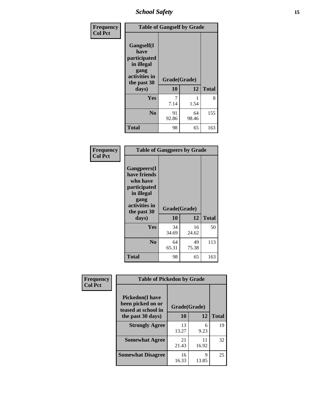*School Safety* **15**

| Frequency      | <b>Table of Gangself by Grade</b>                                                                 |                    |             |              |
|----------------|---------------------------------------------------------------------------------------------------|--------------------|-------------|--------------|
| <b>Col Pct</b> | Gangself(I<br>have<br>participated<br>in illegal<br>gang<br>activities in<br>the past 30<br>days) | Grade(Grade)<br>10 | 12          | <b>Total</b> |
|                | Yes                                                                                               | 7<br>7.14          | 1<br>1.54   | 8            |
|                | N <sub>0</sub>                                                                                    | 91<br>92.86        | 64<br>98.46 | 155          |
|                | <b>Total</b>                                                                                      | 98                 | 65          | 163          |

| Frequency<br><b>Col Pct</b> | <b>Table of Gangpeers by Grade</b>                                                                                             |                    |             |              |
|-----------------------------|--------------------------------------------------------------------------------------------------------------------------------|--------------------|-------------|--------------|
|                             | <b>Gangpeers</b> (I<br>have friends<br>who have<br>participated<br>in illegal<br>gang<br>activities in<br>the past 30<br>days) | Grade(Grade)<br>10 | 12          | <b>Total</b> |
|                             | <b>Yes</b>                                                                                                                     | 34<br>34.69        | 16<br>24.62 | 50           |
|                             | N <sub>0</sub>                                                                                                                 | 64<br>65.31        | 49<br>75.38 | 113          |
|                             | <b>Total</b>                                                                                                                   | 98                 | 65          | 163          |

| Frequency      | <b>Table of Pickedon by Grade</b>                                  |              |             |              |
|----------------|--------------------------------------------------------------------|--------------|-------------|--------------|
| <b>Col Pct</b> | <b>Pickedon(I have</b><br>been picked on or<br>teased at school in | Grade(Grade) |             |              |
|                | the past 30 days)                                                  | 10           | 12          | <b>Total</b> |
|                | <b>Strongly Agree</b>                                              | 13<br>13.27  | 6<br>9.23   | 19           |
|                | <b>Somewhat Agree</b>                                              | 21<br>21.43  | 11<br>16.92 | 32           |
|                | <b>Somewhat Disagree</b>                                           | 16<br>16.33  | 9<br>13.85  | 25           |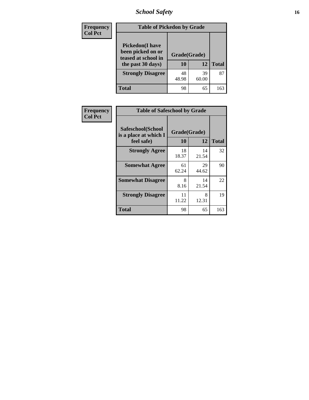# *School Safety* **16**

| <b>Frequency</b> |                                                                                          | <b>Table of Pickedon by Grade</b> |             |              |  |  |  |  |  |  |
|------------------|------------------------------------------------------------------------------------------|-----------------------------------|-------------|--------------|--|--|--|--|--|--|
| <b>Col Pct</b>   | <b>Pickedon</b> (I have<br>been picked on or<br>teased at school in<br>the past 30 days) | Grade(Grade)<br>10                | 12          | <b>Total</b> |  |  |  |  |  |  |
|                  | <b>Strongly Disagree</b>                                                                 | 48<br>48.98                       | 39<br>60.00 | 87           |  |  |  |  |  |  |
|                  | Total                                                                                    | 98                                | 65          | 163          |  |  |  |  |  |  |

| Frequency      |                                                          | <b>Table of Safeschool by Grade</b> |             |              |  |  |  |  |  |  |
|----------------|----------------------------------------------------------|-------------------------------------|-------------|--------------|--|--|--|--|--|--|
| <b>Col Pct</b> | Safeschool(School<br>is a place at which I<br>feel safe) | Grade(Grade)<br>10                  | 12          | <b>Total</b> |  |  |  |  |  |  |
|                | <b>Strongly Agree</b>                                    | 18<br>18.37                         | 14<br>21.54 | 32           |  |  |  |  |  |  |
|                | <b>Somewhat Agree</b>                                    | 61<br>62.24                         | 29<br>44.62 | 90           |  |  |  |  |  |  |
|                | <b>Somewhat Disagree</b>                                 | 8<br>8.16                           | 14<br>21.54 | 22           |  |  |  |  |  |  |
|                | <b>Strongly Disagree</b>                                 | 11<br>11.22                         | 8<br>12.31  | 19           |  |  |  |  |  |  |
|                | <b>Total</b>                                             | 98                                  | 65          | 163          |  |  |  |  |  |  |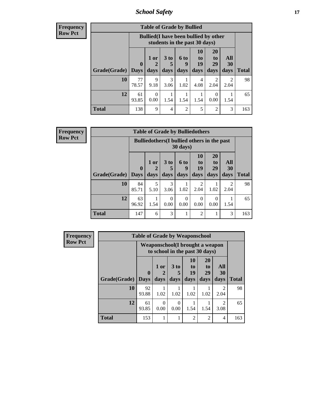*School Safety* **17**

| Frequency      |
|----------------|
| <b>Row Pct</b> |

h

| <b>Table of Grade by Bullied</b> |                       |                                                                               |                              |                   |                        |                               |                                     |              |  |  |  |
|----------------------------------|-----------------------|-------------------------------------------------------------------------------|------------------------------|-------------------|------------------------|-------------------------------|-------------------------------------|--------------|--|--|--|
|                                  |                       | <b>Bullied</b> (I have been bullied by other<br>students in the past 30 days) |                              |                   |                        |                               |                                     |              |  |  |  |
| Grade(Grade)                     | $\mathbf 0$<br>  Days | $1$ or<br>days                                                                | 3 <sub>to</sub><br>5<br>days | 6 to<br>9<br>days | 10<br>to<br>19<br>days | <b>20</b><br>to<br>29<br>days | All<br>30<br>days                   | <b>Total</b> |  |  |  |
| 10                               | 77<br>78.57           | 9<br>9.18                                                                     | 3<br>3.06                    | 1.02              | 4<br>4.08              | 2<br>2.04                     | $\mathcal{D}_{\mathcal{A}}$<br>2.04 | 98           |  |  |  |
| 12                               | 61<br>93.85           | $\Omega$<br>0.00                                                              | 1.54                         | 1.54              | 1.54                   | $\Omega$<br>0.00              | 1.54                                | 65           |  |  |  |
| <b>Total</b>                     | 138                   | 9                                                                             | 4                            | $\mathcal{D}$     | 5                      | $\overline{2}$                | 3                                   | 163          |  |  |  |

| <b>Frequency</b> |              |                                                    |                | <b>Table of Grade by Bulliedothers</b> |                   |                             |                               |                   |              |
|------------------|--------------|----------------------------------------------------|----------------|----------------------------------------|-------------------|-----------------------------|-------------------------------|-------------------|--------------|
| <b>Row Pct</b>   |              | <b>Bulliedothers</b> (I bullied others in the past |                |                                        |                   |                             |                               |                   |              |
|                  | Grade(Grade) | $\mathbf{0}$<br><b>Days</b>                        | $1$ or<br>days | 3 to<br>days                           | 6 to<br>q<br>days | 10<br>to<br>19<br>days      | <b>20</b><br>to<br>29<br>days | All<br>30<br>days | <b>Total</b> |
|                  | 10           | 84                                                 | 5              | 3                                      |                   | $\mathfrak{D}$              |                               | $\mathfrak{D}$    | 98           |
|                  |              | 85.71                                              | 5.10           | 3.06                                   | 1.02              | 2.04                        | 1.02                          | 2.04              |              |
|                  | 12           | 63<br>96.92                                        | 1.54           | $\Omega$<br>0.00                       | 0<br>0.00         | $\Omega$<br>0.00            | 0<br>0.00                     | 1.54              | 65           |
|                  | <b>Total</b> | 147                                                | 6              | 3                                      |                   | $\mathcal{D}_{\mathcal{A}}$ |                               | 3                 | 163          |

| <b>Frequency</b> |              | <b>Table of Grade by Weaponschool</b>                              |                       |              |                               |                                           |                        |              |  |  |
|------------------|--------------|--------------------------------------------------------------------|-----------------------|--------------|-------------------------------|-------------------------------------------|------------------------|--------------|--|--|
| <b>Row Pct</b>   |              | Weaponschool (I brought a weapon<br>to school in the past 30 days) |                       |              |                               |                                           |                        |              |  |  |
|                  | Grade(Grade) | $\mathbf{0}$<br><b>Days</b>                                        | 1 or<br>days          | 3 to<br>days | <b>10</b><br>to<br>19<br>days | <b>20</b><br>t <sub>0</sub><br>29<br>days | All<br>30<br>days      | <b>Total</b> |  |  |
|                  | 10           | 92                                                                 |                       |              |                               |                                           | $\overline{2}$         | 98           |  |  |
|                  |              | 93.88                                                              | 1.02                  | 1.02         | 1.02                          | 1.02                                      | 2.04                   |              |  |  |
|                  | 12           | 61<br>93.85                                                        | $\mathcal{L}$<br>0.00 | 0.00         | 1.54                          | 1.54                                      | $\mathfrak{D}$<br>3.08 | 65           |  |  |
|                  | <b>Total</b> | 153                                                                |                       |              | $\mathfrak{D}$                | $\overline{2}$                            | 4                      | 163          |  |  |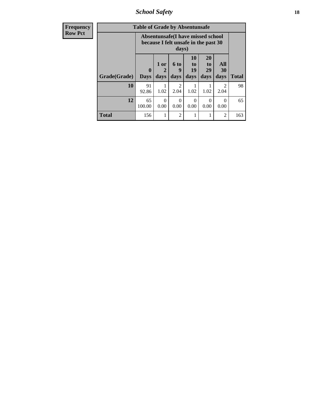*School Safety* **18**

| <b>Frequency</b> | <b>Table of Grade by Absentunsafe</b> |                             |                   |                        |                               |                                                                           |                   |              |  |
|------------------|---------------------------------------|-----------------------------|-------------------|------------------------|-------------------------------|---------------------------------------------------------------------------|-------------------|--------------|--|
| <b>Row Pct</b>   |                                       |                             |                   | days)                  |                               | Absentunsafe(I have missed school<br>because I felt unsafe in the past 30 |                   |              |  |
|                  | Grade(Grade)                          | $\mathbf{0}$<br><b>Days</b> | 1 or<br>2<br>days | 6 to<br>9<br>days      | <b>10</b><br>to<br>19<br>days | <b>20</b><br>to<br>29<br>days                                             | All<br>30<br>days | <b>Total</b> |  |
|                  | 10                                    | 91<br>92.86                 | 1.02              | $\mathfrak{D}$<br>2.04 | 1.02                          | 1.02                                                                      | 2.04              | 98           |  |
|                  | 12                                    | 65<br>100.00                | $\Omega$<br>0.00  | $\Omega$<br>0.00       | $\Omega$<br>0.00              | $\Omega$<br>0.00                                                          | $\Omega$<br>0.00  | 65           |  |
|                  | <b>Total</b>                          | 156                         | 1                 | $\mathfrak{D}$         |                               |                                                                           | 2                 | 163          |  |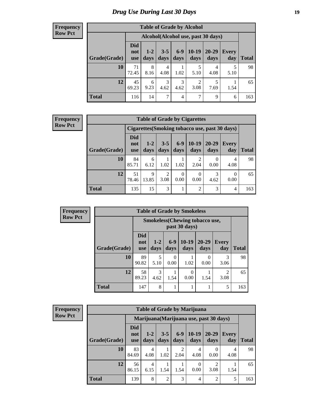# *Drug Use During Last 30 Days* **19**

#### **Frequency Row Pct**

| <b>Table of Grade by Alcohol</b> |                                 |                                    |                 |                |                        |               |                     |              |  |  |  |  |
|----------------------------------|---------------------------------|------------------------------------|-----------------|----------------|------------------------|---------------|---------------------|--------------|--|--|--|--|
|                                  |                                 | Alcohol(Alcohol use, past 30 days) |                 |                |                        |               |                     |              |  |  |  |  |
| Grade(Grade)                     | <b>Did</b><br>not<br><b>use</b> | $1 - 2$<br>days                    | $3 - 5$<br>days | $6-9$<br>days  | $10-19$<br>days        | 20-29<br>days | <b>Every</b><br>day | <b>Total</b> |  |  |  |  |
| 10                               | 71<br>72.45                     | 8<br>8.16                          | 4<br>4.08       | 1.02           | 5<br>5.10              | 4<br>4.08     | 5<br>5.10           | 98           |  |  |  |  |
| 12                               | 45<br>69.23                     | 6<br>9.23                          | 3<br>4.62       | 3<br>4.62      | $\overline{c}$<br>3.08 | 5<br>7.69     | 1.54                | 65           |  |  |  |  |
| <b>Total</b>                     | 116                             | 14                                 | 7               | $\overline{4}$ | 7                      | 9             | 6                   | 163          |  |  |  |  |

#### **Frequency Row Pct**

| <b>Table of Grade by Cigarettes</b> |                                 |                                                |                 |                 |                 |                   |                     |       |  |  |  |
|-------------------------------------|---------------------------------|------------------------------------------------|-----------------|-----------------|-----------------|-------------------|---------------------|-------|--|--|--|
|                                     |                                 | Cigarettes (Smoking tobacco use, past 30 days) |                 |                 |                 |                   |                     |       |  |  |  |
| Grade(Grade)                        | <b>Did</b><br>not<br><b>use</b> | $1-2$<br>days                                  | $3 - 5$<br>days | $6 - 9$<br>days | $10-19$<br>days | $20 - 29$<br>days | <b>Every</b><br>day | Total |  |  |  |
| 10                                  | 84<br>85.71                     | 6<br>6.12                                      | 1.02            | 1.02            | 2<br>2.04       | 0.00              | 4<br>4.08           | 98    |  |  |  |
| 12                                  | 51<br>78.46                     | Q<br>13.85                                     | 2<br>3.08       | 0<br>0.00       | 0<br>0.00       | 3<br>4.62         | 0<br>0.00           | 65    |  |  |  |
| <b>Total</b>                        | 135                             | 15                                             | 3               |                 | $\overline{2}$  | 3                 | 4                   | 163   |  |  |  |

| Frequency      |              | <b>Table of Grade by Smokeless</b> |                 |               |                                                        |                   |              |              |  |  |  |  |  |
|----------------|--------------|------------------------------------|-----------------|---------------|--------------------------------------------------------|-------------------|--------------|--------------|--|--|--|--|--|
| <b>Row Pct</b> |              |                                    |                 |               | <b>Smokeless</b> (Chewing tobaccouse,<br>past 30 days) |                   |              |              |  |  |  |  |  |
|                | Grade(Grade) | <b>Did</b><br>not<br><b>use</b>    | $1 - 2$<br>days | $6-9$<br>days | $10-19$<br>days                                        | $20 - 29$<br>days | Every<br>day | <b>Total</b> |  |  |  |  |  |
|                | 10           | 89<br>90.82                        | 5<br>5.10       | 0<br>0.00     | 1.02                                                   | 0<br>0.00         | 3.06         | 98           |  |  |  |  |  |
|                | 12           | 58<br>89.23                        | 3<br>4.62       | 1.54          | 0.00                                                   | 1.54              | 3.08         | 65           |  |  |  |  |  |
|                | <b>Total</b> | 147                                | 8               |               |                                                        |                   | 5            | 163          |  |  |  |  |  |

| <b>Frequency</b> |
|------------------|
| <b>Row Pct</b>   |

| <b>Table of Grade by Marijuana</b> |                          |                                         |                 |                 |                 |                        |              |       |  |  |  |
|------------------------------------|--------------------------|-----------------------------------------|-----------------|-----------------|-----------------|------------------------|--------------|-------|--|--|--|
|                                    |                          | Marijuana (Marijuana use, past 30 days) |                 |                 |                 |                        |              |       |  |  |  |
| Grade(Grade)                       | Did<br>not<br><b>use</b> | $1 - 2$<br>days                         | $3 - 5$<br>days | $6 - 9$<br>days | $10-19$<br>days | 20-29<br>days          | Every<br>day | Total |  |  |  |
| 10                                 | 83<br>84.69              | 4<br>4.08                               | 1.02            | 2<br>2.04       | 4<br>4.08       | 0.00                   | 4<br>4.08    | 98    |  |  |  |
| 12                                 | 56<br>86.15              | 4<br>6.15                               | 1.54            | 1.54            | 0<br>0.00       | $\mathfrak{D}$<br>3.08 | 1.54         | 65    |  |  |  |
| <b>Total</b>                       | 139                      | 8                                       | $\overline{2}$  | 3               | $\overline{4}$  | 2                      | 5            | 163   |  |  |  |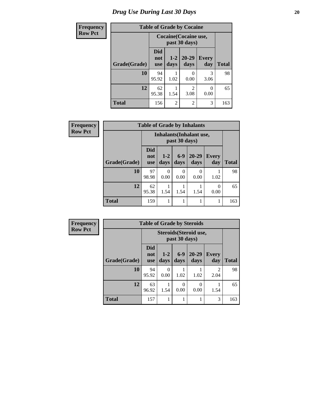# *Drug Use During Last 30 Days* 20

| <b>Frequency</b> | <b>Table of Grade by Cocaine</b> |                          |                 |                   |                     |              |
|------------------|----------------------------------|--------------------------|-----------------|-------------------|---------------------|--------------|
| <b>Row Pct</b>   |                                  | Cocaine (Cocaine use,    |                 |                   |                     |              |
|                  | Grade(Grade)                     | <b>Did</b><br>not<br>use | $1 - 2$<br>days | $20 - 29$<br>days | <b>Every</b><br>day | <b>Total</b> |
|                  | 10                               | 94<br>95.92              | 1.02            | $\Omega$<br>0.00  | 3<br>3.06           | 98           |
|                  | 12                               | 62<br>95.38              | 1.54            | っ<br>3.08         | 0<br>0.00           | 65           |
|                  | Total                            | 156                      | $\mathfrak{D}$  | $\mathfrak{D}$    | 3                   | 163          |

| Frequency      | <b>Table of Grade by Inhalants</b> |                                 |               |               |                                 |                  |              |
|----------------|------------------------------------|---------------------------------|---------------|---------------|---------------------------------|------------------|--------------|
| <b>Row Pct</b> |                                    |                                 |               | past 30 days) | <b>Inhalants</b> (Inhalant use, |                  |              |
|                | Grade(Grade)                       | <b>Did</b><br>not<br><b>use</b> | $1-2$<br>days | $6-9$<br>days | $20 - 29$<br>days               | Every<br>day     | <b>Total</b> |
|                | 10                                 | 97<br>98.98                     | 0<br>0.00     | 0<br>0.00     | 0<br>0.00                       | 1.02             | 98           |
|                | 12                                 | 62<br>95.38                     | 1.54          | 1.54          | 1.54                            | $\Omega$<br>0.00 | 65           |
|                | <b>Total</b>                       | 159                             |               |               | 1                               |                  | 163          |

| Frequency      | <b>Table of Grade by Steroids</b> |                                 |                 |               |                        |                        |              |
|----------------|-----------------------------------|---------------------------------|-----------------|---------------|------------------------|------------------------|--------------|
| <b>Row Pct</b> |                                   |                                 |                 | past 30 days) | Steroids (Steroid use, |                        |              |
|                | Grade(Grade)                      | <b>Did</b><br>not<br><b>use</b> | $1 - 2$<br>days | $6-9$<br>days | $20 - 29$<br>days      | <b>Every</b><br>day    | <b>Total</b> |
|                | 10                                | 94<br>95.92                     | 0<br>0.00       | 1.02          | 1.02                   | $\mathfrak{D}$<br>2.04 | 98           |
|                | 12                                | 63<br>96.92                     | 1.54            | 0<br>0.00     | 0.00                   | 1.54                   | 65           |
|                | <b>Total</b>                      | 157                             |                 | 1             |                        | 3                      | 163          |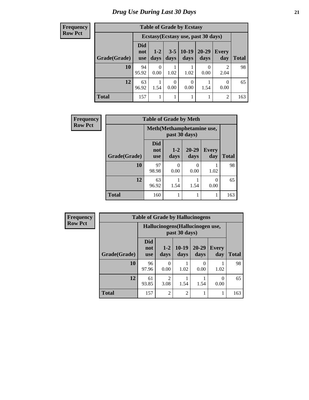**Frequency Row Pct**

| <b>Table of Grade by Ecstasy</b> |                                                     |                                                                                                             |      |      |                                     |                        |     |  |  |
|----------------------------------|-----------------------------------------------------|-------------------------------------------------------------------------------------------------------------|------|------|-------------------------------------|------------------------|-----|--|--|
|                                  |                                                     |                                                                                                             |      |      | Ecstasy (Ecstasy use, past 30 days) |                        |     |  |  |
| Grade(Grade)                     | Did<br>not<br><b>use</b>                            | $10-19$<br>20-29<br>$1-2$<br>$3 - 5$<br><b>Every</b><br>days<br>day<br><b>Total</b><br>days<br>days<br>days |      |      |                                     |                        |     |  |  |
| 10                               | 94<br>95.92                                         | 0.00                                                                                                        | 1.02 | 1.02 | 0.00                                | $\mathfrak{D}$<br>2.04 | 98  |  |  |
| 12                               | 63<br>0.00<br>0.00<br>1.54<br>96.92<br>0.00<br>1.54 |                                                                                                             |      |      |                                     |                        |     |  |  |
| <b>Total</b>                     | 157                                                 |                                                                                                             |      |      |                                     | $\mathfrak{D}$         | 163 |  |  |

| Frequency      | <b>Table of Grade by Meth</b> |                                            |                           |                   |                     |              |
|----------------|-------------------------------|--------------------------------------------|---------------------------|-------------------|---------------------|--------------|
| <b>Row Pct</b> |                               | Meth(Methamphetamine use,<br>past 30 days) |                           |                   |                     |              |
|                | Grade(Grade)                  | <b>Did</b><br>not<br><b>use</b>            | $1-2$<br>days             | $20 - 29$<br>days | <b>Every</b><br>day | <b>Total</b> |
|                | 10                            | 97<br>98.98                                | $\mathbf{\Omega}$<br>0.00 | 0<br>0.00         | 1.02                | 98           |
|                | 12                            | 63<br>96.92                                | 1.54                      | 1.54              | 0.00                | 65           |
|                | <b>Total</b>                  | 160                                        |                           |                   |                     | 163          |

| <b>Frequency</b> |                                                  | <b>Table of Grade by Hallucinogens</b> |                        |                 |                   |                     |              |  |  |
|------------------|--------------------------------------------------|----------------------------------------|------------------------|-----------------|-------------------|---------------------|--------------|--|--|
| <b>Row Pct</b>   | Hallucinogens(Hallucinogen use,<br>past 30 days) |                                        |                        |                 |                   |                     |              |  |  |
|                  | Grade(Grade)                                     | <b>Did</b><br>not<br><b>use</b>        | $1 - 2$<br>days        | $10-19$<br>days | $20 - 29$<br>days | <b>Every</b><br>day | <b>Total</b> |  |  |
|                  | 10                                               | 96<br>97.96                            | 0.00                   | 1.02            | 0<br>0.00         | 1.02                | 98           |  |  |
|                  | 12                                               | 61<br>93.85                            | $\mathfrak{D}$<br>3.08 | 1.54            | 1.54              | 0<br>0.00           | 65           |  |  |
|                  | <b>Total</b>                                     | 157                                    | $\mathfrak{D}$         | $\overline{2}$  | 1                 | 1                   | 163          |  |  |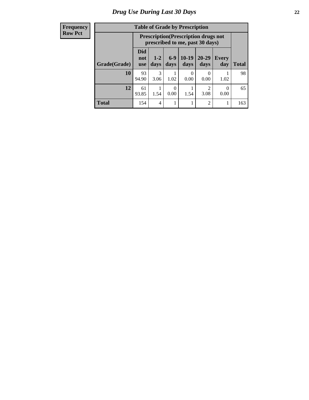#### **Frequency Row Pct**

| <b>Table of Grade by Prescription</b> |                                                               |                                                                                                          |      |           |                |      |     |  |
|---------------------------------------|---------------------------------------------------------------|----------------------------------------------------------------------------------------------------------|------|-----------|----------------|------|-----|--|
|                                       |                                                               | <b>Prescription</b> (Prescription drugs not<br>prescribed to me, past 30 days)                           |      |           |                |      |     |  |
| Grade(Grade)                          | Did<br>not<br><b>use</b>                                      | $6-9$<br>$10-19$<br>$20 - 29$<br>$1 - 2$<br>Every<br>days<br>days<br><b>Total</b><br>days<br>days<br>day |      |           |                |      |     |  |
| 10                                    | 93<br>94.90                                                   | 3<br>3.06                                                                                                | 1.02 | 0<br>0.00 | 0<br>0.00      | 1.02 | 98  |  |
| 12                                    | 61<br>2<br>0<br>93.85<br>1.54<br>1.54<br>0.00<br>3.08<br>0.00 |                                                                                                          |      |           |                |      |     |  |
| <b>Total</b>                          | 154                                                           | 4                                                                                                        |      |           | $\overline{2}$ |      | 163 |  |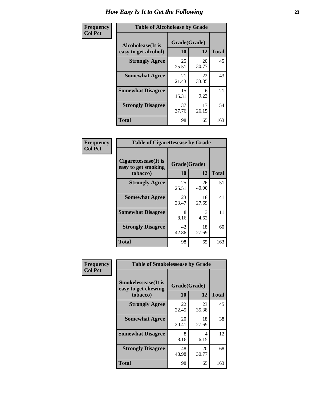| Frequency      | <b>Table of Alcoholease by Grade</b>              |                    |             |              |  |
|----------------|---------------------------------------------------|--------------------|-------------|--------------|--|
| <b>Col Pct</b> | <b>Alcoholease</b> (It is<br>easy to get alcohol) | Grade(Grade)<br>10 | 12          | <b>Total</b> |  |
|                | <b>Strongly Agree</b><br><b>Somewhat Agree</b>    | 25<br>25.51        | 20<br>30.77 | 45           |  |
|                |                                                   | 21<br>21.43        | 22<br>33.85 | 43           |  |
|                | <b>Somewhat Disagree</b>                          | 15<br>15.31        | 6<br>9.23   | 21           |  |
|                | <b>Strongly Disagree</b>                          | 37<br>37.76        | 17<br>26.15 | 54           |  |
|                | <b>Total</b>                                      | 98                 | 65          | 163          |  |

| Frequency      | <b>Table of Cigarettesease by Grade</b>                 |                           |             |              |  |
|----------------|---------------------------------------------------------|---------------------------|-------------|--------------|--|
| <b>Col Pct</b> | Cigarettesease(It is<br>easy to get smoking<br>tobacco) | Grade(Grade)<br><b>10</b> | 12          | <b>Total</b> |  |
|                | <b>Strongly Agree</b>                                   | 25<br>25.51               | 26<br>40.00 | 51           |  |
|                | <b>Somewhat Agree</b>                                   | 23<br>23.47               | 18<br>27.69 | 41           |  |
|                | <b>Somewhat Disagree</b>                                | 8<br>8.16                 | 3<br>4.62   | 11           |  |
|                | <b>Strongly Disagree</b>                                | 42<br>42.86               | 18<br>27.69 | 60           |  |
|                | <b>Total</b>                                            | 98                        | 65          | 163          |  |

| Frequency      | <b>Table of Smokelessease by Grade</b>             |              |             |              |
|----------------|----------------------------------------------------|--------------|-------------|--------------|
| <b>Col Pct</b> | <b>Smokelessease</b> (It is<br>easy to get chewing | Grade(Grade) |             |              |
|                | tobacco)                                           | <b>10</b>    | 12          | <b>Total</b> |
|                | <b>Strongly Agree</b>                              | 22<br>22.45  | 23<br>35.38 | 45           |
|                | <b>Somewhat Agree</b>                              | 20<br>20.41  | 18<br>27.69 | 38           |
|                | <b>Somewhat Disagree</b>                           | 8<br>8.16    | 4<br>6.15   | 12           |
|                | <b>Strongly Disagree</b>                           | 48<br>48.98  | 20<br>30.77 | 68           |
|                | <b>Total</b>                                       | 98           | 65          | 163          |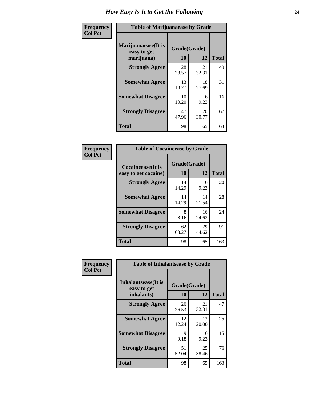| Frequency      | <b>Table of Marijuanaease by Grade</b>            |                           |             |              |  |
|----------------|---------------------------------------------------|---------------------------|-------------|--------------|--|
| <b>Col Pct</b> | Marijuanaease (It is<br>easy to get<br>marijuana) | Grade(Grade)<br><b>10</b> | 12          | <b>Total</b> |  |
|                | <b>Strongly Agree</b>                             | 28<br>28.57               | 21<br>32.31 | 49           |  |
|                | <b>Somewhat Agree</b>                             | 13<br>13.27               | 18<br>27.69 | 31           |  |
|                | <b>Somewhat Disagree</b>                          | 10<br>10.20               | 6<br>9.23   | 16           |  |
|                | <b>Strongly Disagree</b>                          | 47<br>47.96               | 20<br>30.77 | 67           |  |
|                | <b>Total</b>                                      | 98                        | 65          | 163          |  |

| <b>Table of Cocaineease by Grade</b>              |                    |             |              |  |  |  |  |
|---------------------------------------------------|--------------------|-------------|--------------|--|--|--|--|
| <b>Cocaineease</b> (It is<br>easy to get cocaine) | Grade(Grade)<br>10 | 12          | <b>Total</b> |  |  |  |  |
| <b>Strongly Agree</b>                             | 14<br>14.29        | 6<br>9.23   | 20           |  |  |  |  |
| <b>Somewhat Agree</b>                             | 14<br>14.29        | 14<br>21.54 | 28           |  |  |  |  |
| <b>Somewhat Disagree</b>                          | 8<br>8.16          | 16<br>24.62 | 24           |  |  |  |  |
| <b>Strongly Disagree</b>                          | 62<br>63.27        | 29<br>44.62 | 91           |  |  |  |  |
| <b>Total</b>                                      | 98                 | 65          | 163          |  |  |  |  |

| Frequency      | <b>Table of Inhalantsease by Grade</b>     |              |             |              |
|----------------|--------------------------------------------|--------------|-------------|--------------|
| <b>Col Pct</b> | <b>Inhalantsease</b> (It is<br>easy to get | Grade(Grade) |             |              |
|                | inhalants)                                 | 10           | 12          | <b>Total</b> |
|                | <b>Strongly Agree</b>                      | 26<br>26.53  | 21<br>32.31 | 47           |
|                | <b>Somewhat Agree</b>                      | 12<br>12.24  | 13<br>20.00 | 25           |
|                | <b>Somewhat Disagree</b>                   | 9<br>9.18    | 6<br>9.23   | 15           |
|                | <b>Strongly Disagree</b>                   | 51<br>52.04  | 25<br>38.46 | 76           |
|                | <b>Total</b>                               | 98           | 65          | 163          |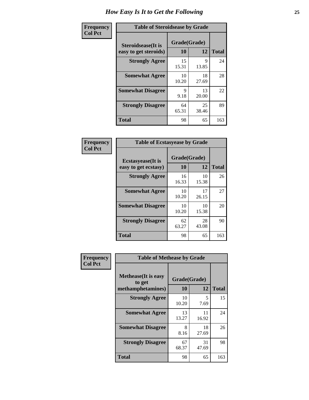| Frequency      | <b>Table of Steroidsease by Grade</b>               |                    |              |     |
|----------------|-----------------------------------------------------|--------------------|--------------|-----|
| <b>Col Pct</b> | <b>Steroidsease</b> (It is<br>easy to get steroids) | Grade(Grade)<br>10 | <b>Total</b> |     |
|                | <b>Strongly Agree</b>                               | 15<br>15.31        | 9<br>13.85   | 24  |
|                | <b>Somewhat Agree</b>                               | 10<br>10.20        | 18<br>27.69  | 28  |
|                | <b>Somewhat Disagree</b>                            | 9<br>9.18          | 13<br>20.00  | 22  |
|                | <b>Strongly Disagree</b>                            | 64<br>65.31        | 25<br>38.46  | 89  |
|                | <b>Total</b>                                        | 98                 | 65           | 163 |

| Frequency      | <b>Table of Ecstasyease by Grade</b>              |                    |              |     |
|----------------|---------------------------------------------------|--------------------|--------------|-----|
| <b>Col Pct</b> | <b>Ecstasyease</b> (It is<br>easy to get ecstasy) | Grade(Grade)<br>10 | <b>Total</b> |     |
|                | <b>Strongly Agree</b>                             | 16<br>16.33        | 10<br>15.38  | 26  |
|                | <b>Somewhat Agree</b>                             | 10<br>10.20        | 17<br>26.15  | 27  |
|                | <b>Somewhat Disagree</b>                          | 10<br>10.20        | 10<br>15.38  | 20  |
|                | <b>Strongly Disagree</b>                          | 62<br>63.27        | 28<br>43.08  | 90  |
|                | Total                                             | 98                 | 65           | 163 |

| Frequency      | <b>Table of Methease by Grade</b>     |              |             |              |
|----------------|---------------------------------------|--------------|-------------|--------------|
| <b>Col Pct</b> | <b>Methease</b> (It is easy<br>to get | Grade(Grade) |             |              |
|                | methamphetamines)                     | <b>10</b>    | 12          | <b>Total</b> |
|                | <b>Strongly Agree</b>                 | 10<br>10.20  | 5<br>7.69   | 15           |
|                | <b>Somewhat Agree</b>                 | 13<br>13.27  | 11<br>16.92 | 24           |
|                | <b>Somewhat Disagree</b>              | 8<br>8.16    | 18<br>27.69 | 26           |
|                | <b>Strongly Disagree</b>              | 67<br>68.37  | 31<br>47.69 | 98           |
|                | <b>Total</b>                          | 98           | 65          | 163          |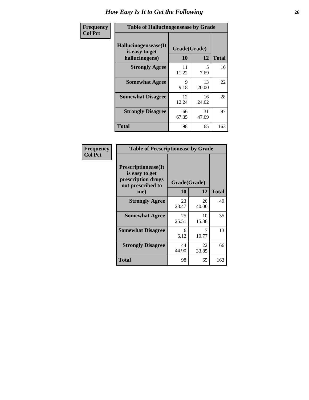| <b>Frequency</b> | <b>Table of Hallucinogensease by Grade</b>               |                    |             |              |  |  |  |  |
|------------------|----------------------------------------------------------|--------------------|-------------|--------------|--|--|--|--|
| <b>Col Pct</b>   | Hallucinogensease(It<br>is easy to get<br>hallucinogens) | Grade(Grade)<br>10 | 12          | <b>Total</b> |  |  |  |  |
|                  | <b>Strongly Agree</b>                                    | 11<br>11.22        | 5<br>7.69   | 16           |  |  |  |  |
|                  | <b>Somewhat Agree</b>                                    | 9<br>9.18          | 13<br>20.00 | 22           |  |  |  |  |
|                  | <b>Somewhat Disagree</b>                                 | 12<br>12.24        | 16<br>24.62 | 28           |  |  |  |  |
|                  | <b>Strongly Disagree</b>                                 | 66<br>67.35        | 31<br>47.69 | 97           |  |  |  |  |
|                  | <b>Total</b>                                             | 98                 | 65          | 163          |  |  |  |  |

| <b>Table of Prescriptionease by Grade</b>                                                |             |              |              |
|------------------------------------------------------------------------------------------|-------------|--------------|--------------|
| <b>Prescriptionease</b> (It<br>is easy to get<br>prescription drugs<br>not prescribed to |             | Grade(Grade) |              |
| me)                                                                                      | 10          | 12           | <b>Total</b> |
| <b>Strongly Agree</b>                                                                    | 23<br>23.47 | 26<br>40.00  | 49           |
| <b>Somewhat Agree</b>                                                                    | 25<br>25.51 | 10<br>15.38  | 35           |
| <b>Somewhat Disagree</b>                                                                 | 6<br>6.12   | 10.77        | 13           |
| <b>Strongly Disagree</b>                                                                 | 44<br>44.90 | 22<br>33.85  | 66           |
| <b>Total</b>                                                                             | 98          | 65           | 163          |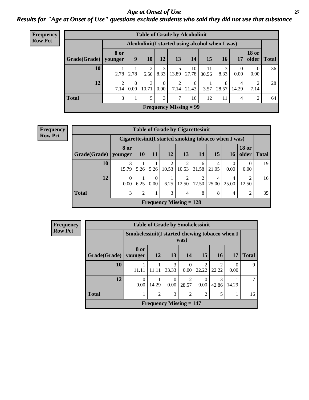*Age at Onset of Use* **27** *Results for "Age at Onset of Use" questions exclude students who said they did not use that substance*

| <b>Frequency</b> | <b>Table of Grade by Alcoholinit</b> |                        |                  |            |                                  |               |                                                  |             |            |            |                        |              |
|------------------|--------------------------------------|------------------------|------------------|------------|----------------------------------|---------------|--------------------------------------------------|-------------|------------|------------|------------------------|--------------|
| <b>Row Pct</b>   |                                      |                        |                  |            |                                  |               | Alcoholinit (I started using alcohol when I was) |             |            |            |                        |              |
|                  | Grade(Grade)   younger               | 8 or                   | 9                | <b>10</b>  | 12                               | 13            | 14                                               | 15          | 16         | 17         | <b>18 or</b><br>older  | <b>Total</b> |
|                  | 10                                   | 2.78                   | 2.78             | ↑<br>5.56  | 3<br>8.33                        | 13.89         | 10<br>27.78                                      | 11<br>30.56 | 3<br>8.33  | 0<br>0.00  | $\overline{0}$<br>0.00 | 36           |
|                  | 12                                   | $\overline{2}$<br>7.14 | $\theta$<br>0.00 | 3<br>10.71 | $\overline{0}$<br>$0.00^{\circ}$ | 2<br>7.14     | 6<br>21.43                                       | 3.57        | 8<br>28.57 | 4<br>14.29 | 2<br>7.14              | 28           |
|                  | <b>Total</b>                         | 3                      |                  | 5          | 3                                | $\mathcal{I}$ | 16                                               | 12          | 11         | 4          | 2                      | 64           |
|                  |                                      |                        |                  |            |                                  |               | <b>Frequency Missing = 99</b>                    |             |            |            |                        |              |

| Frequency      | <b>Table of Grade by Cigarettesinit</b> |                  |           |                          |       |                           |            |            |                                                      |                               |    |
|----------------|-----------------------------------------|------------------|-----------|--------------------------|-------|---------------------------|------------|------------|------------------------------------------------------|-------------------------------|----|
| <b>Row Pct</b> |                                         |                  |           |                          |       |                           |            |            | Cigarettesinit(I started smoking tobacco when I was) |                               |    |
|                | Grade(Grade)                            | 8 or<br>younger  | <b>10</b> | <b>11</b>                | 12    | 13                        | 14         | 15         | <b>16</b>                                            | <b>18 or</b><br>older   Total |    |
|                | 10                                      | 3<br>15.79       | 5.26      | 5.26                     | 10.53 | 10.53                     | 6<br>31.58 | 4<br>21.05 | $\Omega$<br>0.00                                     | $\Omega$<br>0.00              | 19 |
|                | 12                                      | $\Omega$<br>0.00 | 6.25      | $\left( \right)$<br>0.00 | 6.25  | 12.50                     | 12.50      | 4<br>25.00 | 4<br>25.00                                           | 2<br>12.50                    | 16 |
|                | <b>Total</b>                            | 3                | ↑         |                          | 3     | $\overline{4}$            | 8          | 8          | 4                                                    | 2                             | 35 |
|                |                                         |                  |           |                          |       | Frequency Missing $= 128$ |            |            |                                                      |                               |    |

| Frequency      | <b>Table of Grade by Smokelessinit</b> |                                                 |                |                                             |                         |                                      |                        |                  |              |  |
|----------------|----------------------------------------|-------------------------------------------------|----------------|---------------------------------------------|-------------------------|--------------------------------------|------------------------|------------------|--------------|--|
| <b>Row Pct</b> |                                        | Smokelessinit (I started chewing tobacco when I |                |                                             | was)                    |                                      |                        |                  |              |  |
|                | Grade(Grade)   younger                 | 8 or                                            | 12             | 13                                          | <b>14</b>               | <b>15</b>                            | <b>16</b>              | <b>17</b>        | <b>Total</b> |  |
|                | 10                                     | 11.11                                           | 11.11          | 3<br>33.33                                  | 0.00                    | $\mathcal{D}_{\mathcal{L}}$<br>22.22 | $\mathcal{D}$<br>22.22 | $\Omega$<br>0.00 | 9            |  |
|                | 12                                     | $\theta$<br>0.00                                | 14.29          | $\Omega$<br>0.00                            | $\mathfrak{D}$<br>28.57 | $\left($<br>0.00                     | 3<br>42.86             | 14.29            | ┑            |  |
|                | <b>Total</b>                           |                                                 | $\overline{2}$ | 3                                           | 2                       | $\mathfrak{D}$                       | 5                      |                  | 16           |  |
|                |                                        |                                                 |                | <b>Frequency Missing <math>= 147</math></b> |                         |                                      |                        |                  |              |  |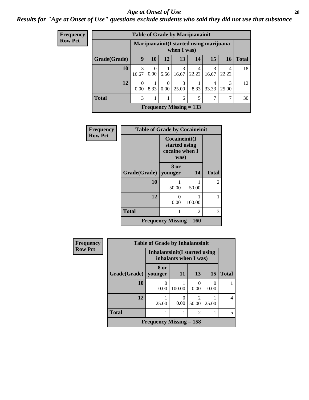#### *Age at Onset of Use* **28**

### *Results for "Age at Onset of Use" questions exclude students who said they did not use that substance*

| Frequency      | <b>Table of Grade by Marijuanainit</b> |                  |                   |                  |                                                         |            |            |            |              |  |  |
|----------------|----------------------------------------|------------------|-------------------|------------------|---------------------------------------------------------|------------|------------|------------|--------------|--|--|
| <b>Row Pct</b> |                                        |                  |                   |                  | Marijuanainit (I started using marijuana<br>when I was) |            |            |            |              |  |  |
|                | Grade(Grade)                           | 9                | 10                | 12               | 13                                                      | 14         | 15         | 16         | <b>Total</b> |  |  |
|                | 10                                     | 3<br>16.67       | $\Omega$<br>0.001 | 5.56             | 3<br>16.67                                              | 4<br>22.22 | 3<br>16.67 | 4<br>22.22 | 18           |  |  |
|                | 12                                     | $\Omega$<br>0.00 | 8.33              | 0<br>$0.00\vert$ | 3<br>25.00                                              | 8.33       | 4<br>33.33 | 3<br>25.00 | 12           |  |  |
|                | <b>Total</b>                           | 3                |                   |                  | 6                                                       | 5          | 7          | 7          | 30           |  |  |
|                |                                        |                  |                   |                  | Frequency Missing $= 133$                               |            |            |            |              |  |  |

| Frequency      | <b>Table of Grade by Cocaineinit</b> |                                                          |        |                |  |  |  |  |
|----------------|--------------------------------------|----------------------------------------------------------|--------|----------------|--|--|--|--|
| <b>Row Pct</b> |                                      | Cocaineinit(I<br>started using<br>cocaine when I<br>was) |        |                |  |  |  |  |
|                | Grade(Grade)                         | 8 or<br>younger                                          | 14     | <b>Total</b>   |  |  |  |  |
|                | 10                                   | 50.00                                                    | 50.00  | $\mathfrak{D}$ |  |  |  |  |
|                | 12                                   | 0<br>0.00                                                | 100.00 |                |  |  |  |  |
|                | <b>Total</b>                         |                                                          | 2      | 3              |  |  |  |  |
|                |                                      | <b>Frequency Missing <math>= 160</math></b>              |        |                |  |  |  |  |

| Frequency      | <b>Table of Grade by Inhalantsinit</b> |                           |                                                         |                           |           |                |  |  |  |
|----------------|----------------------------------------|---------------------------|---------------------------------------------------------|---------------------------|-----------|----------------|--|--|--|
| <b>Row Pct</b> |                                        |                           | Inhalantsinit (I started using<br>inhalants when I was) |                           |           |                |  |  |  |
|                | Grade(Grade)                           | 8 or<br>younger           | <b>11</b>                                               | 13                        | 15        | <b>Total</b>   |  |  |  |
|                | 10                                     | 0.00                      | 100.00                                                  | $\mathbf{\Omega}$<br>0.00 | 0<br>0.00 |                |  |  |  |
|                | 12                                     | 25.00                     | 0.00                                                    | ာ<br>50.00                | 25.00     | $\overline{4}$ |  |  |  |
|                | <b>Total</b>                           |                           |                                                         | $\mathcal{D}$             |           | 5              |  |  |  |
|                |                                        | Frequency Missing $= 158$ |                                                         |                           |           |                |  |  |  |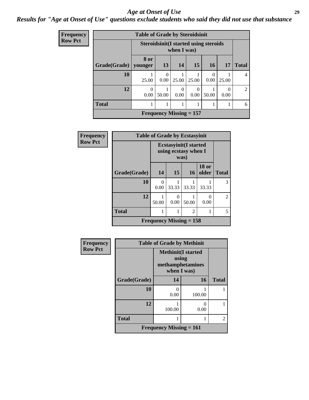#### *Age at Onset of Use* **29**

### *Results for "Age at Onset of Use" questions exclude students who said they did not use that substance*

| Frequency      | <b>Table of Grade by Steroidsinit</b>                       |                  |                  |                           |               |                  |                  |              |
|----------------|-------------------------------------------------------------|------------------|------------------|---------------------------|---------------|------------------|------------------|--------------|
| <b>Row Pct</b> | <b>Steroidsinit(I started using steroids</b><br>when I was) |                  |                  |                           |               |                  |                  |              |
|                | Grade(Grade)                                                | 8 or<br>younger  | 13               | 14                        | 15            | 16               | <b>17</b>        | <b>Total</b> |
|                | 10                                                          | 25.00            | $\theta$<br>0.00 | 25.00                     | 25.00         | $\Omega$<br>0.00 | 25.00            | 4            |
|                | 12                                                          | $\theta$<br>0.00 | 50.00            | $\theta$<br>0.00          | 0<br>$0.00\,$ | 50.00            | $\Omega$<br>0.00 | 2            |
|                | <b>Total</b>                                                | T                |                  | 1                         |               |                  |                  | 6            |
|                |                                                             |                  |                  | Frequency Missing $= 157$ |               |                  |                  |              |

| <b>Frequency</b> | <b>Table of Grade by Ecstasyinit</b> |                                                               |       |                           |                       |                |
|------------------|--------------------------------------|---------------------------------------------------------------|-------|---------------------------|-----------------------|----------------|
| <b>Row Pct</b>   |                                      | <b>Ecstasyinit</b> (I started<br>using ecstasy when I<br>was) |       |                           |                       |                |
|                  | Grade(Grade)                         | 14                                                            | 15    | 16                        | <b>18 or</b><br>older | <b>Total</b>   |
|                  | 10                                   | 0<br>0.00                                                     | 33.33 | 33.33                     | 33.33                 | 3              |
|                  | 12                                   | 50.00                                                         | 0.00  | 50.00                     | 0.00                  | $\mathfrak{D}$ |
|                  | <b>Total</b>                         |                                                               |       | $\overline{c}$            |                       | 5              |
|                  |                                      |                                                               |       | Frequency Missing $= 158$ |                       |                |

| <b>Frequency</b> | <b>Table of Grade by Methinit</b> |                                                                       |        |                |  |
|------------------|-----------------------------------|-----------------------------------------------------------------------|--------|----------------|--|
| <b>Row Pct</b>   |                                   | <b>Methinit(I started</b><br>using<br>methamphetamines<br>when I was) |        |                |  |
|                  | Grade(Grade)                      | 14                                                                    | 16     | <b>Total</b>   |  |
|                  | 10                                | 0<br>0.00                                                             | 100.00 |                |  |
|                  | 12                                | 100.00                                                                | 0.00   |                |  |
|                  | <b>Total</b>                      |                                                                       |        | $\mathfrak{D}$ |  |
|                  |                                   | Frequency Missing $= 161$                                             |        |                |  |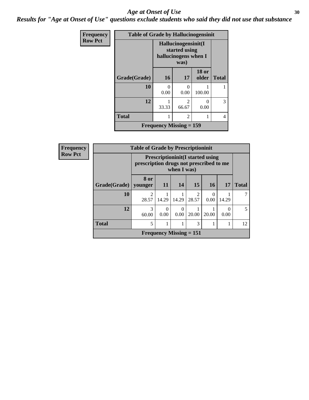#### Age at Onset of Use **30**

*Results for "Age at Onset of Use" questions exclude students who said they did not use that substance*

| <b>Frequency</b> | <b>Table of Grade by Hallucinogensinit</b> |                                                                      |                           |                       |              |  |
|------------------|--------------------------------------------|----------------------------------------------------------------------|---------------------------|-----------------------|--------------|--|
| <b>Row Pct</b>   |                                            | Hallucinogensinit(I<br>started using<br>hallucinogens when I<br>was) |                           |                       |              |  |
|                  | Grade(Grade)                               | <b>16</b>                                                            | 17                        | <b>18 or</b><br>older | <b>Total</b> |  |
|                  | 10                                         | 0<br>0.00                                                            | 0<br>0.00                 | 100.00                |              |  |
|                  | 12                                         | 33.33                                                                | $\mathfrak{D}$<br>66.67   | 0<br>0.00             | 3            |  |
|                  | <b>Total</b>                               | 1                                                                    | $\overline{c}$            |                       | 4            |  |
|                  |                                            |                                                                      | Frequency Missing $= 159$ |                       |              |  |

| <b>Frequency</b> | <b>Table of Grade by Prescriptioninit</b><br><b>Prescriptioninit (I started using</b><br>prescription drugs not prescribed to me<br>when I was) |            |           |                                |                        |           |           |              |
|------------------|-------------------------------------------------------------------------------------------------------------------------------------------------|------------|-----------|--------------------------------|------------------------|-----------|-----------|--------------|
| <b>Row Pct</b>   |                                                                                                                                                 |            |           |                                |                        |           |           |              |
|                  | Grade(Grade)   younger                                                                                                                          | 8 or       | <b>11</b> | 14                             | 15                     | 16        | 17        | <b>Total</b> |
|                  | 10                                                                                                                                              | 28.57      | 14.29     | 14.29                          | $\mathcal{D}$<br>28.57 | 0<br>0.00 | 14.29     |              |
|                  | 12                                                                                                                                              | 3<br>60.00 | 0<br>0.00 | 0<br>0.00                      | 20.00                  | 20.00     | 0<br>0.00 | 5            |
|                  | <b>Total</b>                                                                                                                                    | 5          |           |                                | 3                      |           |           | 12           |
|                  |                                                                                                                                                 |            |           | <b>Frequency Missing = 151</b> |                        |           |           |              |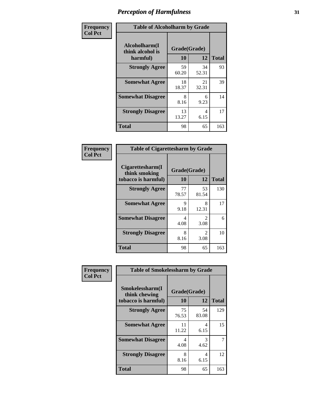| Frequency      | <b>Table of Alcoholharm by Grade</b>          |                    |             |              |  |
|----------------|-----------------------------------------------|--------------------|-------------|--------------|--|
| <b>Col Pct</b> | Alcoholharm(I<br>think alcohol is<br>harmful) | Grade(Grade)<br>10 | 12          | <b>Total</b> |  |
|                | <b>Strongly Agree</b>                         | 59<br>60.20        | 34<br>52.31 | 93           |  |
|                | <b>Somewhat Agree</b>                         | 18<br>18.37        | 21<br>32.31 | 39           |  |
|                | <b>Somewhat Disagree</b>                      | 8<br>8.16          | 6<br>9.23   | 14           |  |
|                | <b>Strongly Disagree</b>                      | 13<br>13.27        | 4<br>6.15   | 17           |  |
|                | <b>Total</b>                                  | 98                 | 65          | 163          |  |

|                                                          | <b>Table of Cigarettesharm by Grade</b> |                        |     |  |  |  |  |
|----------------------------------------------------------|-----------------------------------------|------------------------|-----|--|--|--|--|
| Cigarettesharm(I<br>think smoking<br>tobacco is harmful) | Grade(Grade)<br>10                      | <b>Total</b>           |     |  |  |  |  |
| <b>Strongly Agree</b>                                    | 77<br>78.57                             | 53<br>81.54            | 130 |  |  |  |  |
| <b>Somewhat Agree</b>                                    | 9<br>9.18                               | 8<br>12.31             | 17  |  |  |  |  |
| <b>Somewhat Disagree</b>                                 | 4<br>4.08                               | $\mathfrak{D}$<br>3.08 | 6   |  |  |  |  |
| <b>Strongly Disagree</b>                                 | 8<br>8.16                               | 2<br>3.08              | 10  |  |  |  |  |
| <b>Total</b>                                             | 98                                      | 65                     | 163 |  |  |  |  |

| Frequency      | <b>Table of Smokelessharm by Grade</b>                  |                                     |             |              |  |  |
|----------------|---------------------------------------------------------|-------------------------------------|-------------|--------------|--|--|
| <b>Col Pct</b> | Smokelessharm(I<br>think chewing<br>tobacco is harmful) | Grade(Grade)<br>10                  | 12          | <b>Total</b> |  |  |
|                | <b>Strongly Agree</b>                                   | 75<br>76.53                         | 54<br>83.08 | 129          |  |  |
|                | <b>Somewhat Agree</b>                                   | 11<br>11.22                         | 4<br>6.15   | 15           |  |  |
|                | <b>Somewhat Disagree</b>                                | $\boldsymbol{\vartriangle}$<br>4.08 | 3<br>4.62   |              |  |  |
|                | <b>Strongly Disagree</b>                                | 8<br>8.16                           | 4<br>6.15   | 12           |  |  |
|                | <b>Total</b>                                            | 98                                  | 65          | 163          |  |  |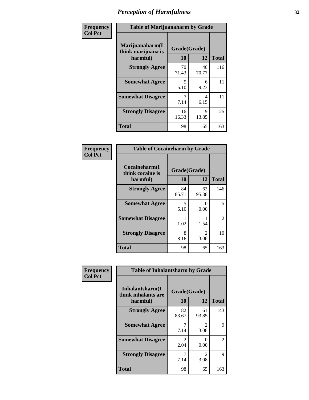| Frequency      |                                                   | <b>Table of Marijuanaharm by Grade</b> |             |              |  |  |
|----------------|---------------------------------------------------|----------------------------------------|-------------|--------------|--|--|
| <b>Col Pct</b> | Marijuanaharm(I<br>think marijuana is<br>harmful) | Grade(Grade)<br>10                     | 12          | <b>Total</b> |  |  |
|                | <b>Strongly Agree</b>                             | 70<br>71.43                            | 46<br>70.77 | 116          |  |  |
|                | <b>Somewhat Agree</b>                             | 5<br>5.10                              | 6<br>9.23   | 11           |  |  |
|                | <b>Somewhat Disagree</b>                          | 7<br>7.14                              | 4<br>6.15   | 11           |  |  |
|                | <b>Strongly Disagree</b>                          | 16<br>16.33                            | 9<br>13.85  | 25           |  |  |
|                | <b>Total</b>                                      | 98                                     | 65          | 163          |  |  |

| <b>Table of Cocaineharm by Grade</b>          |                    |                        |     |  |  |  |  |
|-----------------------------------------------|--------------------|------------------------|-----|--|--|--|--|
| Cocaineharm(I<br>think cocaine is<br>harmful) | Grade(Grade)<br>10 | <b>Total</b>           |     |  |  |  |  |
| <b>Strongly Agree</b>                         | 84<br>85.71        | 62<br>95.38            | 146 |  |  |  |  |
| <b>Somewhat Agree</b>                         | 5<br>5.10          | 0<br>0.00              | 5   |  |  |  |  |
| <b>Somewhat Disagree</b>                      | 1<br>1.02          | 1.54                   | 2   |  |  |  |  |
| <b>Strongly Disagree</b>                      | 8<br>8.16          | $\mathfrak{D}$<br>3.08 | 10  |  |  |  |  |
| Total                                         | 98                 | 65                     | 163 |  |  |  |  |

| Frequency      | <b>Table of Inhalantsharm by Grade</b>             |                        |                        |                |  |  |
|----------------|----------------------------------------------------|------------------------|------------------------|----------------|--|--|
| <b>Col Pct</b> | Inhalantsharm(I<br>think inhalants are<br>harmful) | 10                     | Grade(Grade)<br>12     | <b>Total</b>   |  |  |
|                | <b>Strongly Agree</b>                              | 82<br>83.67            | 61<br>93.85            | 143            |  |  |
|                | <b>Somewhat Agree</b>                              | 7.14                   | $\mathfrak{D}$<br>3.08 | 9              |  |  |
|                | <b>Somewhat Disagree</b>                           | $\mathfrak{D}$<br>2.04 | 0<br>0.00              | $\mathfrak{D}$ |  |  |
|                | <b>Strongly Disagree</b>                           | 7.14                   | $\mathfrak{D}$<br>3.08 | 9              |  |  |
|                | <b>Total</b>                                       | 98                     | 65                     | 163            |  |  |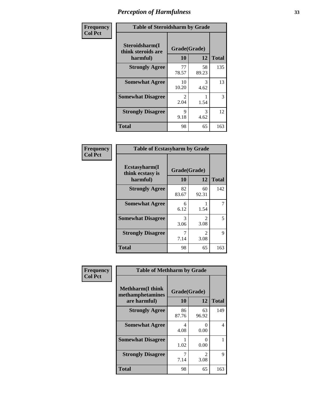| Frequency      | <b>Table of Steroidsharm by Grade</b>            |                       |             |              |  |
|----------------|--------------------------------------------------|-----------------------|-------------|--------------|--|
| <b>Col Pct</b> | Steroidsharm(I<br>think steroids are<br>harmful) | Grade(Grade)<br>10    | 12          | <b>Total</b> |  |
|                | <b>Strongly Agree</b>                            | 77<br>78.57           | 58<br>89.23 | 135          |  |
|                | <b>Somewhat Agree</b>                            | 10<br>10.20           | 3<br>4.62   | 13           |  |
|                | <b>Somewhat Disagree</b>                         | $\mathcal{L}$<br>2.04 | 1.54        | 3            |  |
|                | <b>Strongly Disagree</b>                         | 9<br>9.18             | 3<br>4.62   | 12           |  |
|                | <b>Total</b>                                     | 98                    | 65          | 163          |  |

| <b>Table of Ecstasyharm by Grade</b>          |                    |                        |     |  |  |
|-----------------------------------------------|--------------------|------------------------|-----|--|--|
| Ecstasyharm(I<br>think ecstasy is<br>harmful) | Grade(Grade)<br>10 | <b>Total</b>           |     |  |  |
| <b>Strongly Agree</b>                         | 82<br>83.67        | 60<br>92.31            | 142 |  |  |
| <b>Somewhat Agree</b>                         | 6<br>6.12          | 1.54                   | 7   |  |  |
| <b>Somewhat Disagree</b>                      | 3<br>3.06          | 2<br>3.08              | 5   |  |  |
| <b>Strongly Disagree</b>                      | 7<br>7.14          | $\mathfrak{D}$<br>3.08 | 9   |  |  |
| <b>Total</b>                                  | 98                 | 65                     | 163 |  |  |

| Frequency      | <b>Table of Methharm by Grade</b>                           |             |                           |              |
|----------------|-------------------------------------------------------------|-------------|---------------------------|--------------|
| <b>Col Pct</b> | <b>Methharm(I think</b><br>methamphetamines<br>are harmful) | <b>10</b>   | Grade(Grade)<br>12        | <b>Total</b> |
|                | <b>Strongly Agree</b>                                       | 86<br>87.76 | 63<br>96.92               | 149          |
|                | <b>Somewhat Agree</b>                                       | 4<br>4.08   | 0<br>0.00                 | 4            |
|                | <b>Somewhat Disagree</b>                                    | 1.02        | $\mathbf{\Omega}$<br>0.00 |              |
|                | <b>Strongly Disagree</b>                                    | 7<br>7.14   | $\mathfrak{D}$<br>3.08    | 9            |
|                | <b>Total</b>                                                | 98          | 65                        | 163          |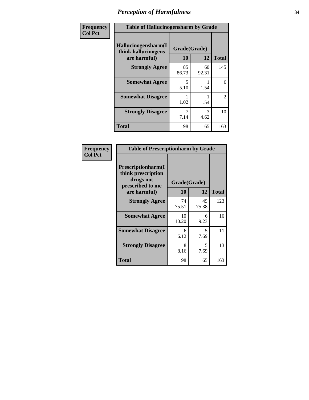| Frequency      | <b>Table of Hallucinogensharm by Grade</b>                 |                    |             |                |
|----------------|------------------------------------------------------------|--------------------|-------------|----------------|
| <b>Col Pct</b> | Hallucinogensharm(I<br>think hallucinogens<br>are harmful) | Grade(Grade)<br>10 | 12          | <b>Total</b>   |
|                | <b>Strongly Agree</b>                                      | 85<br>86.73        | 60<br>92.31 | 145            |
|                | <b>Somewhat Agree</b>                                      | 5<br>5.10          | 1.54        | 6              |
|                | <b>Somewhat Disagree</b>                                   | 1.02               | 1.54        | $\overline{2}$ |
|                | <b>Strongly Disagree</b>                                   | 7.14               | 3<br>4.62   | 10             |
|                | <b>Total</b>                                               | 98                 | 65          | 163            |

| <b>Table of Prescriptionharm by Grade</b>                                         |              |             |              |  |
|-----------------------------------------------------------------------------------|--------------|-------------|--------------|--|
| <b>Prescriptionharm</b> (I<br>think prescription<br>drugs not<br>prescribed to me | Grade(Grade) |             |              |  |
| are harmful)                                                                      | 10           | 12          | <b>Total</b> |  |
| <b>Strongly Agree</b>                                                             | 74<br>75.51  | 49<br>75.38 | 123          |  |
| <b>Somewhat Agree</b>                                                             | 10<br>10.20  | 6<br>9.23   | 16           |  |
| <b>Somewhat Disagree</b>                                                          | 6<br>6.12    | 5<br>7.69   | 11           |  |
| <b>Strongly Disagree</b>                                                          | 8<br>8.16    | 5<br>7.69   | 13           |  |
| <b>Total</b>                                                                      | 98           | 65          | 163          |  |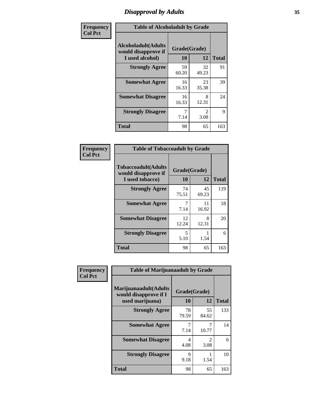# *Disapproval by Adults* **35**

| Frequency      | <b>Table of Alcoholadult by Grade</b>                                 |                    |                                     |              |
|----------------|-----------------------------------------------------------------------|--------------------|-------------------------------------|--------------|
| <b>Col Pct</b> | <b>Alcoholadult</b> (Adults<br>would disapprove if<br>I used alcohol) | Grade(Grade)<br>10 | 12                                  | <b>Total</b> |
|                | <b>Strongly Agree</b>                                                 | 59<br>60.20        | 32<br>49.23                         | 91           |
|                | <b>Somewhat Agree</b>                                                 | 16<br>16.33        | 23<br>35.38                         | 39           |
|                | <b>Somewhat Disagree</b>                                              | 16<br>16.33        | 8<br>12.31                          | 24           |
|                | <b>Strongly Disagree</b>                                              | 7<br>7.14          | $\mathcal{D}_{\mathcal{A}}$<br>3.08 | 9            |
|                | <b>Total</b>                                                          | 98                 | 65                                  | 163          |

| <b>Table of Tobaccoadult by Grade</b>                                 |                    |             |              |  |
|-----------------------------------------------------------------------|--------------------|-------------|--------------|--|
| <b>Tobaccoadult</b> (Adults<br>would disapprove if<br>I used tobacco) | Grade(Grade)<br>10 | 12          | <b>Total</b> |  |
| <b>Strongly Agree</b>                                                 | 74<br>75.51        | 45<br>69.23 | 119          |  |
| <b>Somewhat Agree</b>                                                 | 7<br>7.14          | 11<br>16.92 | 18           |  |
| <b>Somewhat Disagree</b>                                              | 12<br>12.24        | 8<br>12.31  | 20           |  |
| <b>Strongly Disagree</b>                                              | 5<br>5.10          | 1.54        | 6            |  |
| <b>Total</b>                                                          | 98                 | 65          | 163          |  |

| Frequency      | <b>Table of Marijuanaadult by Grade</b>                           |                    |                        |              |
|----------------|-------------------------------------------------------------------|--------------------|------------------------|--------------|
| <b>Col Pct</b> | Marijuanaadult(Adults<br>would disapprove if I<br>used marijuana) | Grade(Grade)<br>10 | 12                     | <b>Total</b> |
|                | <b>Strongly Agree</b>                                             | 78<br>79.59        | 55<br>84.62            | 133          |
|                | <b>Somewhat Agree</b>                                             | 7.14               | 7<br>10.77             | 14           |
|                | <b>Somewhat Disagree</b>                                          | 4<br>4.08          | $\mathfrak{D}$<br>3.08 | 6            |
|                | <b>Strongly Disagree</b>                                          | 9<br>9.18          | 1.54                   | 10           |
|                | <b>Total</b>                                                      | 98                 | 65                     | 163          |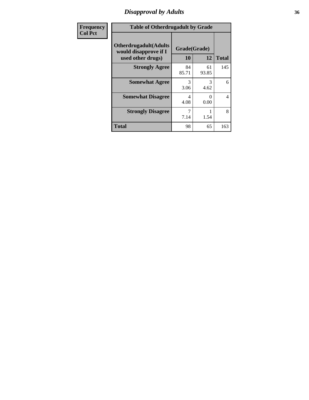### *Disapproval by Adults* **36**

| <b>Frequency</b> | <b>Table of Otherdrugadult by Grade</b>                                     |                    |             |              |
|------------------|-----------------------------------------------------------------------------|--------------------|-------------|--------------|
| <b>Col Pct</b>   | <b>Otherdrugadult</b> (Adults<br>would disapprove if I<br>used other drugs) | Grade(Grade)<br>10 | 12          | <b>Total</b> |
|                  | <b>Strongly Agree</b>                                                       | 84<br>85.71        | 61<br>93.85 | 145          |
|                  | <b>Somewhat Agree</b>                                                       | 3<br>3.06          | 3<br>4.62   | 6            |
|                  | <b>Somewhat Disagree</b>                                                    | 4<br>4.08          | 0<br>0.00   | 4            |
|                  | <b>Strongly Disagree</b>                                                    | 7.14               | 1.54        | 8            |
|                  | <b>Total</b>                                                                | 98                 | 65          | 163          |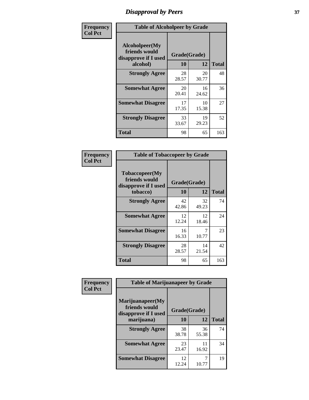## *Disapproval by Peers* **37**

| Frequency      | <b>Table of Alcoholpeer by Grade</b>                    |              |             |              |  |
|----------------|---------------------------------------------------------|--------------|-------------|--------------|--|
| <b>Col Pct</b> | Alcoholpeer(My<br>friends would<br>disapprove if I used | Grade(Grade) |             |              |  |
|                | alcohol)                                                | 10           | 12          | <b>Total</b> |  |
|                | <b>Strongly Agree</b>                                   | 28<br>28.57  | 20<br>30.77 | 48           |  |
|                | <b>Somewhat Agree</b>                                   | 20<br>20.41  | 16<br>24.62 | 36           |  |
|                | <b>Somewhat Disagree</b>                                | 17<br>17.35  | 10<br>15.38 | 27           |  |
|                | <b>Strongly Disagree</b>                                | 33<br>33.67  | 19<br>29.23 | 52           |  |
|                | Total                                                   | 98           | 65          | 163          |  |

| Frequency      | <b>Table of Tobaccopeer by Grade</b>                                |                    |             |              |
|----------------|---------------------------------------------------------------------|--------------------|-------------|--------------|
| <b>Col Pct</b> | Tobaccopeer(My<br>friends would<br>disapprove if I used<br>tobacco) | Grade(Grade)<br>10 | 12          | <b>Total</b> |
|                | <b>Strongly Agree</b>                                               | 42<br>42.86        | 32<br>49.23 | 74           |
|                | <b>Somewhat Agree</b>                                               | 12<br>12.24        | 12<br>18.46 | 24           |
|                | <b>Somewhat Disagree</b>                                            | 16<br>16.33        | 7<br>10.77  | 23           |
|                | <b>Strongly Disagree</b>                                            | 28<br>28.57        | 14<br>21.54 | 42           |
|                | Total                                                               | 98                 | 65          | 163          |

| Frequency<br><b>Col Pct</b> | <b>Table of Marijuanapeer by Grade</b>                    |              |             |              |
|-----------------------------|-----------------------------------------------------------|--------------|-------------|--------------|
|                             | Marijuanapeer(My<br>friends would<br>disapprove if I used | Grade(Grade) |             |              |
|                             | marijuana)                                                | 10           | 12          | <b>Total</b> |
|                             | <b>Strongly Agree</b>                                     | 38<br>38.78  | 36<br>55.38 | 74           |
|                             | <b>Somewhat Agree</b>                                     | 23<br>23.47  | 11<br>16.92 | 34           |
|                             | <b>Somewhat Disagree</b>                                  | 12<br>12.24  | 10.77       | 19           |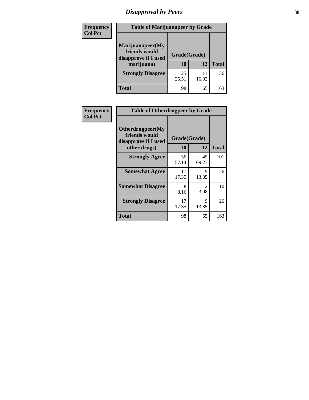# *Disapproval by Peers* **38**

| <b>Frequency</b> | <b>Table of Marijuanapeer by Grade</b>                                  |                           |       |              |  |
|------------------|-------------------------------------------------------------------------|---------------------------|-------|--------------|--|
| <b>Col Pct</b>   | Marijuanapeer(My<br>friends would<br>disapprove if I used<br>marijuana) | Grade(Grade)<br><b>10</b> | 12    | <b>Total</b> |  |
|                  | <b>Strongly Disagree</b>                                                | 25<br>25.51               | 16.92 | 36           |  |
|                  | <b>Total</b>                                                            | 98                        | 65    | 163          |  |

| <b>Frequency</b> | <b>Table of Otherdrugpeer by Grade</b>                                    |                    |                        |              |
|------------------|---------------------------------------------------------------------------|--------------------|------------------------|--------------|
| <b>Col Pct</b>   | Otherdrugpeer(My<br>friends would<br>disapprove if I used<br>other drugs) | Grade(Grade)<br>10 | 12                     | <b>Total</b> |
|                  |                                                                           |                    |                        | 101          |
|                  | <b>Strongly Agree</b>                                                     | 56<br>57.14        | 45<br>69.23            |              |
|                  | <b>Somewhat Agree</b>                                                     | 17<br>17.35        | $\mathbf Q$<br>13.85   | 26           |
|                  | <b>Somewhat Disagree</b>                                                  | 8<br>8.16          | $\mathfrak{D}$<br>3.08 | 10           |
|                  | <b>Strongly Disagree</b>                                                  | 17<br>17.35        | $\mathbf Q$<br>13.85   | 26           |
|                  | <b>Total</b>                                                              | 98                 | 65                     | 163          |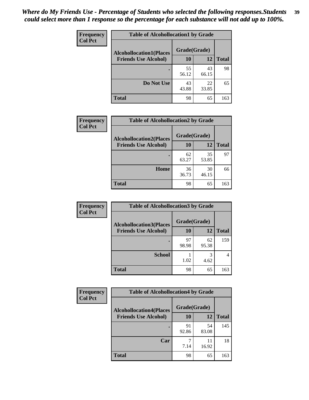| Frequency<br><b>Col Pct</b> | <b>Table of Alcohollocation1 by Grade</b> |              |             |              |
|-----------------------------|-------------------------------------------|--------------|-------------|--------------|
|                             | <b>Alcohollocation1(Places</b>            | Grade(Grade) |             |              |
|                             | <b>Friends Use Alcohol)</b>               | 10           | 12          | <b>Total</b> |
|                             |                                           | 55<br>56.12  | 43<br>66.15 | 98           |
|                             | Do Not Use                                | 43<br>43.88  | 22<br>33.85 | 65           |
|                             | <b>Total</b>                              | 98           | 65          | 163          |

| Frequency      | <b>Table of Alcohollocation2 by Grade</b>                     |                           |             |              |
|----------------|---------------------------------------------------------------|---------------------------|-------------|--------------|
| <b>Col Pct</b> | <b>Alcohollocation2(Places</b><br><b>Friends Use Alcohol)</b> | Grade(Grade)<br><b>10</b> | <b>12</b>   | <b>Total</b> |
|                |                                                               | 62<br>63.27               | 35<br>53.85 | 97           |
|                | Home                                                          | 36<br>36.73               | 30<br>46.15 | 66           |
|                | <b>Total</b>                                                  | 98                        | 65          | 163          |

| Frequency<br><b>Col Pct</b> | <b>Table of Alcohollocation 3 by Grade</b>                    |                    |             |              |
|-----------------------------|---------------------------------------------------------------|--------------------|-------------|--------------|
|                             | <b>Alcohollocation3(Places</b><br><b>Friends Use Alcohol)</b> | Grade(Grade)<br>10 | 12          | <b>Total</b> |
|                             |                                                               | 97<br>98.98        | 62<br>95.38 | 159          |
|                             | <b>School</b>                                                 | 1.02               | 3<br>4.62   | 4            |
|                             | <b>Total</b>                                                  | 98                 | 65          | 163          |

| <b>Frequency</b> | <b>Table of Alcohollocation4 by Grade</b> |              |             |              |
|------------------|-------------------------------------------|--------------|-------------|--------------|
| <b>Col Pct</b>   | <b>Alcohollocation4(Places</b>            | Grade(Grade) |             |              |
|                  | <b>Friends Use Alcohol)</b>               | 10           | 12          | <b>Total</b> |
|                  |                                           | 91<br>92.86  | 54<br>83.08 | 145          |
|                  | Car                                       | 7<br>7.14    | 11<br>16.92 | 18           |
|                  | Total                                     | 98           | 65          | 163          |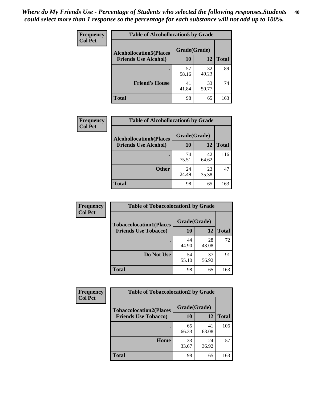| Frequency<br><b>Col Pct</b> | <b>Table of Alcohollocation5 by Grade</b> |              |             |              |  |
|-----------------------------|-------------------------------------------|--------------|-------------|--------------|--|
|                             | <b>Alcohollocation5(Places</b>            | Grade(Grade) |             |              |  |
|                             | <b>Friends Use Alcohol)</b>               | 10           | 12          | <b>Total</b> |  |
|                             |                                           | 57<br>58.16  | 32<br>49.23 | 89           |  |
|                             | <b>Friend's House</b>                     | 41<br>41.84  | 33<br>50.77 | 74           |  |
|                             | <b>Total</b>                              | 98           | 65          | 163          |  |

| <b>Frequency</b> | <b>Table of Alcohollocation6 by Grade</b> |              |             |              |
|------------------|-------------------------------------------|--------------|-------------|--------------|
| <b>Col Pct</b>   | <b>Alcohollocation6(Places</b>            | Grade(Grade) |             |              |
|                  | <b>Friends Use Alcohol)</b>               | 10           | 12          | <b>Total</b> |
|                  |                                           | 74<br>75.51  | 42<br>64.62 | 116          |
|                  | <b>Other</b>                              | 24<br>24.49  | 23<br>35.38 | 47           |
|                  | <b>Total</b>                              | 98           | 65          | 163          |

| Frequency      | <b>Table of Tobaccolocation1 by Grade</b> |              |             |              |
|----------------|-------------------------------------------|--------------|-------------|--------------|
| <b>Col Pct</b> | <b>Tobaccolocation1(Places</b>            | Grade(Grade) |             |              |
|                | <b>Friends Use Tobacco)</b>               | 10           | 12          | <b>Total</b> |
|                |                                           | 44<br>44.90  | 28<br>43.08 | 72           |
|                | Do Not Use                                | 54<br>55.10  | 37<br>56.92 | 91           |
|                | <b>Total</b>                              | 98           | 65          | 163          |

| <b>Frequency</b> | <b>Table of Tobaccolocation2 by Grade</b> |              |             |              |  |
|------------------|-------------------------------------------|--------------|-------------|--------------|--|
| <b>Col Pct</b>   | <b>Tobaccolocation2(Places</b>            | Grade(Grade) |             |              |  |
|                  | <b>Friends Use Tobacco)</b>               | 10           | 12          | <b>Total</b> |  |
|                  |                                           | 65<br>66.33  | 41<br>63.08 | 106          |  |
|                  | Home                                      | 33<br>33.67  | 24<br>36.92 | 57           |  |
|                  | <b>Total</b>                              | 98           | 65          | 163          |  |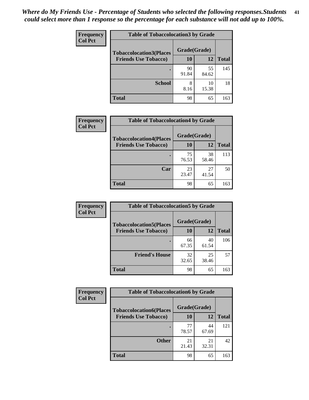| Frequency      | <b>Table of Tobaccolocation 3 by Grade</b> |              |             |              |  |
|----------------|--------------------------------------------|--------------|-------------|--------------|--|
| <b>Col Pct</b> | <b>Tobaccolocation3(Places</b>             | Grade(Grade) |             |              |  |
|                | <b>Friends Use Tobacco)</b>                | 10           | <b>12</b>   | <b>Total</b> |  |
|                | ٠                                          | 90<br>91.84  | 55<br>84.62 | 145          |  |
|                | <b>School</b>                              | 8<br>8.16    | 10<br>15.38 | 18           |  |
|                | <b>Total</b>                               | 98           | 65          | 163          |  |

| <b>Frequency</b> | <b>Table of Tobaccolocation4 by Grade</b> |              |             |              |
|------------------|-------------------------------------------|--------------|-------------|--------------|
| <b>Col Pct</b>   | <b>Tobaccolocation4(Places</b>            | Grade(Grade) |             |              |
|                  | <b>Friends Use Tobacco)</b>               | 10           | 12          | <b>Total</b> |
|                  |                                           | 75<br>76.53  | 38<br>58.46 | 113          |
|                  | Car                                       | 23<br>23.47  | 27<br>41.54 | 50           |
|                  | <b>Total</b>                              | 98           | 65          | 163          |

| Frequency      | <b>Table of Tobaccolocation5 by Grade</b> |              |             |              |
|----------------|-------------------------------------------|--------------|-------------|--------------|
| <b>Col Pct</b> | <b>Tobaccolocation5(Places</b>            | Grade(Grade) |             |              |
|                | <b>Friends Use Tobacco)</b>               | 10           | <b>12</b>   | <b>Total</b> |
|                |                                           | 66<br>67.35  | 40<br>61.54 | 106          |
|                | <b>Friend's House</b>                     | 32<br>32.65  | 25<br>38.46 | 57           |
|                | <b>Total</b>                              | 98           | 65          | 163          |

| <b>Frequency</b> | <b>Table of Tobaccolocation6 by Grade</b> |              |             |              |  |
|------------------|-------------------------------------------|--------------|-------------|--------------|--|
| <b>Col Pct</b>   | <b>Tobaccolocation6(Places</b>            | Grade(Grade) |             |              |  |
|                  | <b>Friends Use Tobacco)</b>               | 10           | 12          | <b>Total</b> |  |
|                  |                                           | 77<br>78.57  | 44<br>67.69 | 121          |  |
|                  | <b>Other</b>                              | 21<br>21.43  | 21<br>32.31 | 42           |  |
|                  | <b>Total</b>                              | 98           | 65          | 163          |  |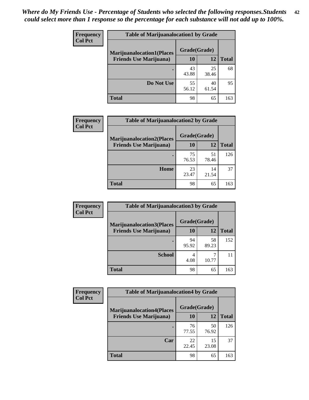| <b>Frequency</b> | <b>Table of Marijuanalocation1 by Grade</b> |              |             |              |
|------------------|---------------------------------------------|--------------|-------------|--------------|
| <b>Col Pct</b>   | <b>Marijuanalocation1(Places</b>            | Grade(Grade) |             |              |
|                  | <b>Friends Use Marijuana</b> )              | 10           | 12          | <b>Total</b> |
|                  |                                             | 43<br>43.88  | 25<br>38.46 | 68           |
|                  | Do Not Use                                  | 55<br>56.12  | 40<br>61.54 | 95           |
|                  | <b>Total</b>                                | 98           | 65          | 163          |

| <b>Frequency</b> | <b>Table of Marijuanalocation2 by Grade</b>                        |                    |             |              |
|------------------|--------------------------------------------------------------------|--------------------|-------------|--------------|
| <b>Col Pct</b>   | <b>Marijuanalocation2(Places</b><br><b>Friends Use Marijuana</b> ) | Grade(Grade)<br>10 | 12          | <b>Total</b> |
|                  |                                                                    | 75<br>76.53        | 51<br>78.46 | 126          |
|                  | Home                                                               | 23<br>23.47        | 14<br>21.54 | 37           |
|                  | <b>Total</b>                                                       | 98                 | 65          | 163          |

| Frequency      | <b>Table of Marijuanalocation3 by Grade</b> |              |             |       |
|----------------|---------------------------------------------|--------------|-------------|-------|
| <b>Col Pct</b> | <b>Marijuanalocation3</b> (Places           | Grade(Grade) |             |       |
|                | <b>Friends Use Marijuana</b> )              | 10           | 12          | Total |
|                |                                             | 94<br>95.92  | 58<br>89.23 | 152   |
|                | <b>School</b>                               | 4<br>4.08    | 10.77       |       |
|                | <b>Total</b>                                | 98           | 65          | 163   |

| Frequency      | <b>Table of Marijuanalocation4 by Grade</b> |              |             |              |  |
|----------------|---------------------------------------------|--------------|-------------|--------------|--|
| <b>Col Pct</b> | <b>Marijuanalocation4(Places</b>            | Grade(Grade) |             |              |  |
|                | <b>Friends Use Marijuana</b> )              | <b>10</b>    | 12          | <b>Total</b> |  |
|                |                                             | 76<br>77.55  | 50<br>76.92 | 126          |  |
|                | Car                                         | 22<br>22.45  | 15<br>23.08 | 37           |  |
|                | <b>Total</b>                                | 98           | 65          | 163          |  |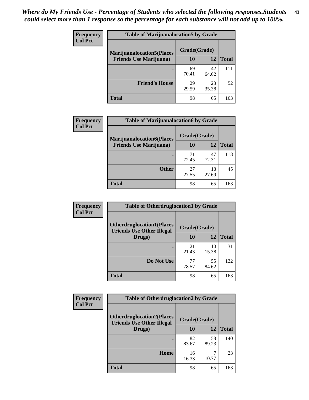| <b>Frequency</b> | <b>Table of Marijuanalocation5 by Grade</b> |              |             |              |
|------------------|---------------------------------------------|--------------|-------------|--------------|
| <b>Col Pct</b>   | <b>Marijuanalocation5</b> (Places           | Grade(Grade) |             |              |
|                  | <b>Friends Use Marijuana</b> )              | 10           | 12          | <b>Total</b> |
|                  |                                             | 69<br>70.41  | 42<br>64.62 | 111          |
|                  | <b>Friend's House</b>                       | 29<br>29.59  | 23<br>35.38 | 52           |
|                  | <b>Total</b>                                | 98           | 65          | 163          |

| <b>Frequency</b> | <b>Table of Marijuanalocation6 by Grade</b>                        |                    |             |              |
|------------------|--------------------------------------------------------------------|--------------------|-------------|--------------|
| <b>Col Pct</b>   | <b>Marijuanalocation6(Places</b><br><b>Friends Use Marijuana</b> ) | Grade(Grade)<br>10 | 12          | <b>Total</b> |
|                  |                                                                    | 71<br>72.45        | 47<br>72.31 | 118          |
|                  | <b>Other</b>                                                       | 27<br>27.55        | 18<br>27.69 | 45           |
|                  | <b>Total</b>                                                       | 98                 | 65          | 163          |

| Frequency      | <b>Table of Otherdruglocation1 by Grade</b>                          |              |             |              |
|----------------|----------------------------------------------------------------------|--------------|-------------|--------------|
| <b>Col Pct</b> | <b>Otherdruglocation1(Places</b><br><b>Friends Use Other Illegal</b> | Grade(Grade) |             |              |
|                | Drugs)                                                               | 10           | 12          | <b>Total</b> |
|                |                                                                      | 21<br>21.43  | 10<br>15.38 | 31           |
|                | Do Not Use                                                           | 77<br>78.57  | 55<br>84.62 | 132          |
|                | <b>Total</b>                                                         | 98           | 65          | 163          |

| <b>Frequency</b> | <b>Table of Otherdruglocation2 by Grade</b>                          |              |             |              |
|------------------|----------------------------------------------------------------------|--------------|-------------|--------------|
| <b>Col Pct</b>   | <b>Otherdruglocation2(Places</b><br><b>Friends Use Other Illegal</b> | Grade(Grade) |             |              |
|                  | Drugs)                                                               | 10           | 12          | <b>Total</b> |
|                  |                                                                      | 82<br>83.67  | 58<br>89.23 | 140          |
|                  | <b>Home</b>                                                          | 16<br>16.33  | 10.77       | 23           |
|                  | <b>Total</b>                                                         | 98           | 65          | 163          |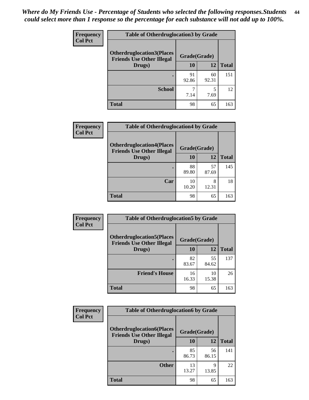| <b>Frequency</b> | <b>Table of Otherdruglocation 3 by Grade</b>                         |              |             |              |
|------------------|----------------------------------------------------------------------|--------------|-------------|--------------|
| <b>Col Pct</b>   | <b>Otherdruglocation3(Places</b><br><b>Friends Use Other Illegal</b> | Grade(Grade) |             |              |
|                  | Drugs)                                                               | 10           | 12          | <b>Total</b> |
|                  |                                                                      | 91<br>92.86  | 60<br>92.31 | 151          |
|                  | <b>School</b>                                                        | 7.14         | 5<br>7.69   | 12           |
|                  | <b>Total</b>                                                         | 98           | 65          | 163          |

| Frequency      | <b>Table of Otherdruglocation4 by Grade</b>                          |              |             |              |
|----------------|----------------------------------------------------------------------|--------------|-------------|--------------|
| <b>Col Pct</b> | <b>Otherdruglocation4(Places</b><br><b>Friends Use Other Illegal</b> | Grade(Grade) |             |              |
|                | Drugs)                                                               | 10           | 12          | <b>Total</b> |
|                |                                                                      | 88<br>89.80  | 57<br>87.69 | 145          |
|                | Car                                                                  | 10<br>10.20  | 8<br>12.31  | 18           |
|                | <b>Total</b>                                                         | 98           | 65          | 163          |

| Frequency      | <b>Table of Otherdruglocation5 by Grade</b>                          |              |             |              |
|----------------|----------------------------------------------------------------------|--------------|-------------|--------------|
| <b>Col Pct</b> | <b>Otherdruglocation5(Places</b><br><b>Friends Use Other Illegal</b> | Grade(Grade) |             |              |
|                | Drugs)                                                               | 10           | 12          | <b>Total</b> |
|                |                                                                      | 82<br>83.67  | 55<br>84.62 | 137          |
|                | <b>Friend's House</b>                                                | 16<br>16.33  | 10<br>15.38 | 26           |
|                | <b>Total</b>                                                         | 98           | 65          | 163          |

| <b>Frequency</b> | <b>Table of Otherdruglocation6 by Grade</b>                          |              |             |              |
|------------------|----------------------------------------------------------------------|--------------|-------------|--------------|
| <b>Col Pct</b>   | <b>Otherdruglocation6(Places</b><br><b>Friends Use Other Illegal</b> | Grade(Grade) |             |              |
|                  | Drugs)                                                               | <b>10</b>    | 12          | <b>Total</b> |
|                  |                                                                      | 85<br>86.73  | 56<br>86.15 | 141          |
|                  | <b>Other</b>                                                         | 13<br>13.27  | 9<br>13.85  | 22           |
|                  | <b>Total</b>                                                         | 98           | 65          | 163          |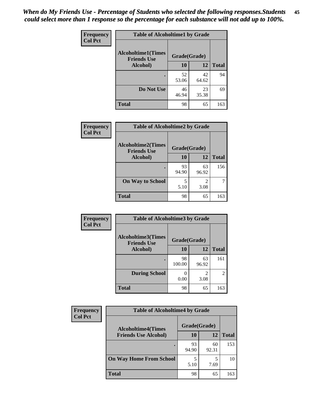| Frequency      | <b>Table of Alcoholtime1 by Grade</b>           |              |             |              |
|----------------|-------------------------------------------------|--------------|-------------|--------------|
| <b>Col Pct</b> | <b>Alcoholtime1(Times</b><br><b>Friends Use</b> | Grade(Grade) |             |              |
|                | Alcohol)                                        | <b>10</b>    | 12          | <b>Total</b> |
|                |                                                 | 52<br>53.06  | 42<br>64.62 | 94           |
|                | Do Not Use                                      | 46<br>46.94  | 23<br>35.38 | 69           |
|                | <b>Total</b>                                    | 98           | 65          | 163          |

| Frequency      | <b>Table of Alcoholtime2 by Grade</b>           |              |             |              |
|----------------|-------------------------------------------------|--------------|-------------|--------------|
| <b>Col Pct</b> | <b>Alcoholtime2(Times</b><br><b>Friends Use</b> | Grade(Grade) |             |              |
|                | Alcohol)                                        | 10           | 12          | <b>Total</b> |
|                |                                                 | 93<br>94.90  | 63<br>96.92 | 156          |
|                | <b>On Way to School</b>                         | 5.10         | 2<br>3.08   |              |
|                | <b>Total</b>                                    | 98           | 65          | 163          |

| Frequency      | <b>Table of Alcoholtime3 by Grade</b>           |              |             |                |
|----------------|-------------------------------------------------|--------------|-------------|----------------|
| <b>Col Pct</b> | <b>Alcoholtime3(Times</b><br><b>Friends Use</b> | Grade(Grade) |             |                |
|                | Alcohol)                                        | 10           | 12          | <b>Total</b>   |
|                |                                                 | 98<br>100.00 | 63<br>96.92 | 161            |
|                | <b>During School</b>                            | 0<br>0.00    | 2<br>3.08   | $\overline{2}$ |
|                | <b>Total</b>                                    | 98           | 65          | 163            |

| <b>Frequency</b><br><b>Col Pct</b> | <b>Table of Alcoholtime4 by Grade</b> |              |             |              |
|------------------------------------|---------------------------------------|--------------|-------------|--------------|
|                                    | <b>Alcoholtime4(Times</b>             | Grade(Grade) |             |              |
|                                    | <b>Friends Use Alcohol)</b>           | 10           | 12          | <b>Total</b> |
|                                    |                                       | 93<br>94.90  | 60<br>92.31 | 153          |
|                                    | <b>On Way Home From School</b>        | 5.10         | 5<br>7.69   | 10           |
|                                    | <b>Total</b>                          | 98           | 65          | 163          |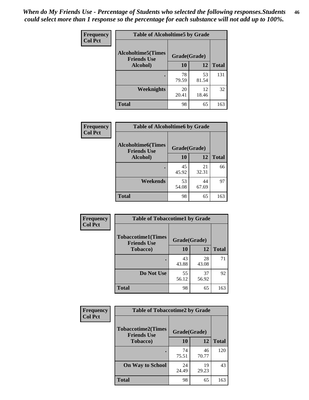*When do My Friends Use - Percentage of Students who selected the following responses.Students could select more than 1 response so the percentage for each substance will not add up to 100%.* **46**

| <b>Frequency</b> | <b>Table of Alcoholtime5 by Grade</b>           |              |             |              |
|------------------|-------------------------------------------------|--------------|-------------|--------------|
| <b>Col Pct</b>   | <b>Alcoholtime5(Times</b><br><b>Friends Use</b> | Grade(Grade) |             |              |
|                  | Alcohol)                                        | 10           | 12          | <b>Total</b> |
|                  |                                                 | 78<br>79.59  | 53<br>81.54 | 131          |
|                  | Weeknights                                      | 20<br>20.41  | 12<br>18.46 | 32           |
|                  | <b>Total</b>                                    | 98           | 65          | 163          |

| <b>Frequency</b> | <b>Table of Alcoholtime6 by Grade</b>           |              |             |              |
|------------------|-------------------------------------------------|--------------|-------------|--------------|
| <b>Col Pct</b>   | <b>Alcoholtime6(Times</b><br><b>Friends Use</b> | Grade(Grade) |             |              |
|                  | Alcohol)                                        | 10           | 12          | <b>Total</b> |
|                  |                                                 | 45<br>45.92  | 21<br>32.31 | 66           |
|                  | Weekends                                        | 53<br>54.08  | 44<br>67.69 | 97           |
|                  | <b>Total</b>                                    | 98           | 65          | 163          |

| Frequency      | <b>Table of Tobaccotime1 by Grade</b>           |              |             |              |  |
|----------------|-------------------------------------------------|--------------|-------------|--------------|--|
| <b>Col Pct</b> | <b>Tobaccotime1(Times</b><br><b>Friends Use</b> | Grade(Grade) |             |              |  |
|                | <b>Tobacco</b> )                                | 10           | 12          | <b>Total</b> |  |
|                | $\bullet$                                       | 43<br>43.88  | 28<br>43.08 | 71           |  |
|                | Do Not Use                                      | 55<br>56.12  | 37<br>56.92 | 92           |  |
|                | <b>Total</b>                                    | 98           | 65          | 163          |  |

| <b>Frequency</b> |                                                 | <b>Table of Tobaccotime2 by Grade</b> |             |              |  |
|------------------|-------------------------------------------------|---------------------------------------|-------------|--------------|--|
| <b>Col Pct</b>   | <b>Tobaccotime2(Times</b><br><b>Friends Use</b> | Grade(Grade)                          |             |              |  |
|                  | <b>Tobacco</b> )                                | 10                                    | 12          | <b>Total</b> |  |
|                  |                                                 | 74<br>75.51                           | 46<br>70.77 | 120          |  |
|                  | <b>On Way to School</b>                         | 24<br>24.49                           | 19<br>29.23 | 43           |  |
|                  | <b>Total</b>                                    | 98                                    | 65          | 163          |  |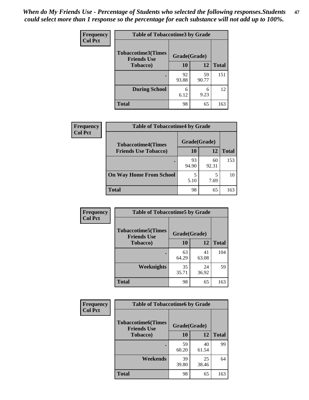*When do My Friends Use - Percentage of Students who selected the following responses.Students could select more than 1 response so the percentage for each substance will not add up to 100%.* **47**

| <b>Frequency</b> | <b>Table of Tobaccotime3 by Grade</b>           |              |             |              |  |
|------------------|-------------------------------------------------|--------------|-------------|--------------|--|
| <b>Col Pct</b>   | <b>Tobaccotime3(Times</b><br><b>Friends Use</b> | Grade(Grade) |             |              |  |
|                  | <b>Tobacco</b> )                                | 10           | 12          | <b>Total</b> |  |
|                  |                                                 | 92<br>93.88  | 59<br>90.77 | 151          |  |
|                  | <b>During School</b>                            | 6<br>6.12    | 6<br>9.23   | 12           |  |
|                  | <b>Total</b>                                    | 98           | 65          | 163          |  |

| <b>Frequency</b> | <b>Table of Tobaccotime4 by Grade</b> |              |             |              |
|------------------|---------------------------------------|--------------|-------------|--------------|
| <b>Col Pct</b>   | <b>Tobaccotime4(Times</b>             | Grade(Grade) |             |              |
|                  | <b>Friends Use Tobacco)</b>           | 10           | 12          | <b>Total</b> |
|                  |                                       | 93<br>94.90  | 60<br>92.31 | 153          |
|                  | <b>On Way Home From School</b>        | 5<br>5.10    | 7.69        | 10           |
|                  | <b>Total</b>                          | 98           | 65          | 163          |

| <b>Frequency</b> | <b>Table of Tobaccotime5 by Grade</b>            |              |             |              |
|------------------|--------------------------------------------------|--------------|-------------|--------------|
| <b>Col Pct</b>   | <b>Tobaccotime5</b> (Times<br><b>Friends Use</b> | Grade(Grade) |             |              |
|                  | <b>Tobacco</b> )                                 | 10           | 12          | <b>Total</b> |
|                  |                                                  | 63<br>64.29  | 41<br>63.08 | 104          |
|                  | Weeknights                                       | 35<br>35.71  | 24<br>36.92 | 59           |
|                  | <b>Total</b>                                     | 98           | 65          | 163          |

| Frequency      | <b>Table of Tobaccotime6 by Grade</b>           |              |             |              |
|----------------|-------------------------------------------------|--------------|-------------|--------------|
| <b>Col Pct</b> | <b>Tobaccotime6(Times</b><br><b>Friends Use</b> | Grade(Grade) |             |              |
|                | <b>Tobacco</b> )                                | 10           | 12          | <b>Total</b> |
|                |                                                 | 59<br>60.20  | 40<br>61.54 | 99           |
|                | Weekends                                        | 39<br>39.80  | 25<br>38.46 | 64           |
|                | <b>Total</b>                                    | 98           | 65          | 163          |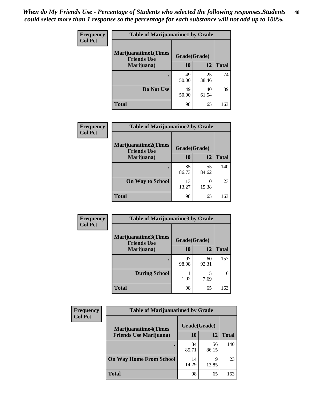| Frequency      | <b>Table of Marijuanatime1 by Grade</b>           |              |             |              |
|----------------|---------------------------------------------------|--------------|-------------|--------------|
| <b>Col Pct</b> | <b>Marijuanatime1(Times</b><br><b>Friends Use</b> | Grade(Grade) |             |              |
|                | Marijuana)                                        | 10           | 12          | <b>Total</b> |
|                |                                                   | 49<br>50.00  | 25<br>38.46 | 74           |
|                | Do Not Use                                        | 49<br>50.00  | 40<br>61.54 | 89           |
|                | <b>Total</b>                                      | 98           | 65          | 163          |

| <b>Frequency</b> | <b>Table of Marijuanatime2 by Grade</b>           |              |             |              |
|------------------|---------------------------------------------------|--------------|-------------|--------------|
| <b>Col Pct</b>   | <b>Marijuanatime2(Times</b><br><b>Friends Use</b> | Grade(Grade) |             |              |
|                  | Marijuana)                                        | 10           | 12          | <b>Total</b> |
|                  |                                                   | 85<br>86.73  | 55<br>84.62 | 140          |
|                  | <b>On Way to School</b>                           | 13<br>13.27  | 10<br>15.38 | 23           |
|                  | <b>Total</b>                                      | 98           | 65          | 163          |

| Frequency      | <b>Table of Marijuanatime3 by Grade</b>    |              |             |              |
|----------------|--------------------------------------------|--------------|-------------|--------------|
| <b>Col Pct</b> | Marijuanatime3(Times<br><b>Friends Use</b> | Grade(Grade) |             |              |
|                | Marijuana)                                 | 10           | 12          | <b>Total</b> |
|                |                                            | 97<br>98.98  | 60<br>92.31 | 157          |
|                | <b>During School</b>                       | 1.02         | 5<br>7.69   | 6            |
|                | <b>Total</b>                               | 98           | 65          | 163          |

| <b>Frequency</b> | <b>Table of Marijuanatime4 by Grade</b> |              |             |              |
|------------------|-----------------------------------------|--------------|-------------|--------------|
| <b>Col Pct</b>   | <b>Marijuanatime4(Times</b>             | Grade(Grade) |             |              |
|                  | <b>Friends Use Marijuana</b> )          | 10           | 12          | <b>Total</b> |
|                  |                                         | 84<br>85.71  | 56<br>86.15 | 140          |
|                  | <b>On Way Home From School</b>          | 14<br>14.29  | Q<br>13.85  | 23           |
|                  | Total                                   | 98           | 65          | 163          |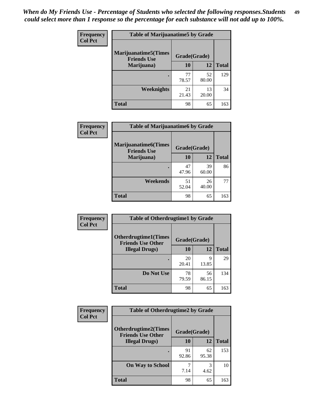| Frequency      | <b>Table of Marijuanatime5 by Grade</b>            |              |             |              |
|----------------|----------------------------------------------------|--------------|-------------|--------------|
| <b>Col Pct</b> | <b>Marijuanatime5</b> (Times<br><b>Friends Use</b> | Grade(Grade) |             |              |
|                | Marijuana)                                         | 10           | 12          | <b>Total</b> |
|                |                                                    | 77<br>78.57  | 52<br>80.00 | 129          |
|                | <b>Weeknights</b>                                  | 21<br>21.43  | 13<br>20.00 | 34           |
|                | <b>Total</b>                                       | 98           | 65          | 163          |

| Frequency      | <b>Table of Marijuanatime6 by Grade</b>           |              |             |              |
|----------------|---------------------------------------------------|--------------|-------------|--------------|
| <b>Col Pct</b> | <b>Marijuanatime6(Times</b><br><b>Friends Use</b> | Grade(Grade) |             |              |
|                | Marijuana)                                        | 10           | 12          | <b>Total</b> |
|                |                                                   | 47<br>47.96  | 39<br>60.00 | 86           |
|                | Weekends                                          | 51<br>52.04  | 26<br>40.00 | 77           |
|                | <b>Total</b>                                      | 98           | 65          | 163          |

| Frequency      | <b>Table of Otherdrugtime1 by Grade</b>                 |              |             |              |
|----------------|---------------------------------------------------------|--------------|-------------|--------------|
| <b>Col Pct</b> | <b>Otherdrugtime1(Times</b><br><b>Friends Use Other</b> | Grade(Grade) |             |              |
|                | <b>Illegal Drugs</b> )                                  | 10           | 12          | <b>Total</b> |
|                |                                                         | 20<br>20.41  | Q<br>13.85  | 29           |
|                | Do Not Use                                              | 78<br>79.59  | 56<br>86.15 | 134          |
|                | Total                                                   | 98           | 65          | 163          |

| <b>Frequency</b> | <b>Table of Otherdrugtime2 by Grade</b>                 |              |             |              |  |  |
|------------------|---------------------------------------------------------|--------------|-------------|--------------|--|--|
| <b>Col Pct</b>   | <b>Otherdrugtime2(Times</b><br><b>Friends Use Other</b> | Grade(Grade) |             |              |  |  |
|                  | <b>Illegal Drugs</b> )                                  | 10           | 12          | <b>Total</b> |  |  |
|                  |                                                         | 91<br>92.86  | 62<br>95.38 | 153          |  |  |
|                  | <b>On Way to School</b>                                 | 7.14         | 3<br>4.62   | 10           |  |  |
|                  | <b>Total</b>                                            | 98           | 65          | 163          |  |  |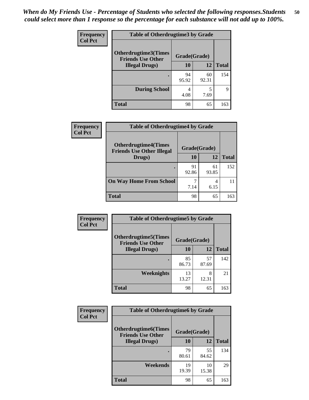| <b>Frequency</b> | <b>Table of Otherdrugtime3 by Grade</b>                          |             |             |              |  |  |
|------------------|------------------------------------------------------------------|-------------|-------------|--------------|--|--|
| <b>Col Pct</b>   | Otherdrugtime3(Times<br>Grade(Grade)<br><b>Friends Use Other</b> |             |             |              |  |  |
|                  | <b>Illegal Drugs</b> )                                           | 10          | 12          | <b>Total</b> |  |  |
|                  |                                                                  | 94<br>95.92 | 60<br>92.31 | 154          |  |  |
|                  | <b>During School</b>                                             | 4<br>4.08   | 5<br>7.69   | 9            |  |  |
|                  | <b>Total</b>                                                     | 98          | 65          | 163          |  |  |

| <b>Frequency</b> | <b>Table of Otherdrugtime4 by Grade</b>                         |              |             |              |  |  |  |
|------------------|-----------------------------------------------------------------|--------------|-------------|--------------|--|--|--|
| <b>Col Pct</b>   | <b>Otherdrugtime4(Times</b><br><b>Friends Use Other Illegal</b> | Grade(Grade) |             |              |  |  |  |
|                  | Drugs)                                                          | 10           | 12          | <b>Total</b> |  |  |  |
|                  | ٠                                                               | 91<br>92.86  | 61<br>93.85 | 152          |  |  |  |
|                  | <b>On Way Home From School</b>                                  | 7.14         | 6.15        | 11           |  |  |  |
|                  | <b>Total</b>                                                    | 98           | 65          | 163          |  |  |  |

| <b>Frequency</b> | <b>Table of Otherdrugtime5 by Grade</b>                  |              |             |              |  |  |
|------------------|----------------------------------------------------------|--------------|-------------|--------------|--|--|
| <b>Col Pct</b>   | <b>Otherdrugtime5</b> (Times<br><b>Friends Use Other</b> | Grade(Grade) |             |              |  |  |
|                  | <b>Illegal Drugs</b> )                                   | 10           | 12          | <b>Total</b> |  |  |
|                  |                                                          | 85<br>86.73  | 57<br>87.69 | 142          |  |  |
|                  | Weeknights                                               | 13<br>13.27  | 8<br>12.31  | 21           |  |  |
|                  | Total                                                    | 98           | 65          | 163          |  |  |

| <b>Frequency</b><br><b>Col Pct</b> | <b>Table of Otherdrugtime6 by Grade</b>                 |              |             |              |  |  |
|------------------------------------|---------------------------------------------------------|--------------|-------------|--------------|--|--|
|                                    | <b>Otherdrugtime6(Times</b><br><b>Friends Use Other</b> | Grade(Grade) |             |              |  |  |
|                                    | <b>Illegal Drugs</b> )                                  | 10           | 12          | <b>Total</b> |  |  |
|                                    |                                                         | 79<br>80.61  | 55<br>84.62 | 134          |  |  |
|                                    | Weekends                                                | 19<br>19.39  | 10<br>15.38 | 29           |  |  |
|                                    | Total                                                   | 98           | 65          | 163          |  |  |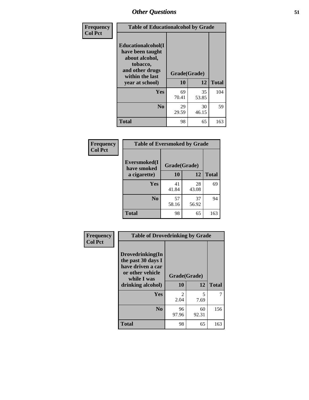| Frequency      | <b>Table of Educationalcohol by Grade</b>                                                                  |              |             |              |  |  |
|----------------|------------------------------------------------------------------------------------------------------------|--------------|-------------|--------------|--|--|
| <b>Col Pct</b> | Educationalcohol(I<br>have been taught<br>about alcohol,<br>tobacco,<br>and other drugs<br>within the last | Grade(Grade) |             |              |  |  |
|                | year at school)                                                                                            | 10           | 12          | <b>Total</b> |  |  |
|                | Yes                                                                                                        | 69<br>70.41  | 35<br>53.85 | 104          |  |  |
|                | N <sub>0</sub>                                                                                             | 29<br>29.59  | 30<br>46.15 | 59           |  |  |
|                | <b>Total</b>                                                                                               | 98           | 65          | 163          |  |  |

| Frequency      | <b>Table of Eversmoked by Grade</b> |              |             |              |  |  |  |
|----------------|-------------------------------------|--------------|-------------|--------------|--|--|--|
| <b>Col Pct</b> | Eversmoked(I<br>have smoked         | Grade(Grade) |             |              |  |  |  |
|                | a cigarette)                        | <b>10</b>    | 12          | <b>Total</b> |  |  |  |
|                | Yes                                 | 41<br>41.84  | 28<br>43.08 | 69           |  |  |  |
|                | N <sub>0</sub>                      | 57<br>58.16  | 37<br>56.92 | 94           |  |  |  |
|                | <b>Total</b>                        | 98           | 65          | 163          |  |  |  |

| Frequency<br><b>Col Pct</b> | <b>Table of Drovedrinking by Grade</b>                                                                                                    |                        |             |              |
|-----------------------------|-------------------------------------------------------------------------------------------------------------------------------------------|------------------------|-------------|--------------|
|                             | Drovedrinking(In<br>the past 30 days I<br>have driven a car<br>or other vehicle<br>Grade(Grade)<br>while I was<br>10<br>drinking alcohol) |                        | 12          | <b>Total</b> |
|                             | <b>Yes</b>                                                                                                                                | $\mathfrak{D}$<br>2.04 | 5<br>7.69   | 7            |
|                             | N <sub>0</sub>                                                                                                                            | 96<br>97.96            | 60<br>92.31 | 156          |
|                             | <b>Total</b>                                                                                                                              | 98                     | 65          | 163          |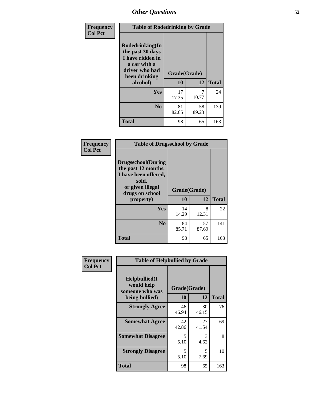| Frequency      | <b>Table of Rodedrinking by Grade</b>                                                                      |              |             |              |  |  |  |
|----------------|------------------------------------------------------------------------------------------------------------|--------------|-------------|--------------|--|--|--|
| <b>Col Pct</b> | Rodedrinking(In<br>the past 30 days<br>I have ridden in<br>a car with a<br>driver who had<br>been drinking | Grade(Grade) |             |              |  |  |  |
|                | alcohol)                                                                                                   | 10           | 12          | <b>Total</b> |  |  |  |
|                | <b>Yes</b>                                                                                                 | 17<br>17.35  | 7<br>10.77  | 24           |  |  |  |
|                | N <sub>0</sub>                                                                                             | 81<br>82.65  | 58<br>89.23 | 139          |  |  |  |
|                | <b>Total</b>                                                                                               | 98           | 65          | 163          |  |  |  |

#### **Frequency Col Pct**

| <b>Table of Drugsschool by Grade</b>                                                                                      |              |             |              |  |  |  |  |
|---------------------------------------------------------------------------------------------------------------------------|--------------|-------------|--------------|--|--|--|--|
| <b>Drugsschool</b> (During<br>the past 12 months,<br>I have been offered,<br>sold,<br>or given illegal<br>drugs on school | Grade(Grade) |             |              |  |  |  |  |
| property)                                                                                                                 | 10           | 12          | <b>Total</b> |  |  |  |  |
| Yes                                                                                                                       | 14<br>14.29  | 8<br>12.31  | 22           |  |  |  |  |
|                                                                                                                           |              |             |              |  |  |  |  |
| N <sub>0</sub>                                                                                                            | 84<br>85.71  | 57<br>87.69 | 141          |  |  |  |  |

| Frequency      | <b>Table of Helpbullied by Grade</b>                 |              |             |              |  |  |  |  |
|----------------|------------------------------------------------------|--------------|-------------|--------------|--|--|--|--|
| <b>Col Pct</b> | $Helpb$ ullied $(I$<br>would help<br>someone who was | Grade(Grade) |             |              |  |  |  |  |
|                | being bullied)                                       | <b>10</b>    | 12          | <b>Total</b> |  |  |  |  |
|                | <b>Strongly Agree</b>                                | 46<br>46.94  | 30<br>46.15 | 76           |  |  |  |  |
|                | <b>Somewhat Agree</b>                                | 42<br>42.86  | 27<br>41.54 | 69           |  |  |  |  |
|                | <b>Somewhat Disagree</b>                             | 5<br>5.10    | 3<br>4.62   | 8            |  |  |  |  |
|                | <b>Strongly Disagree</b>                             | 5<br>5.10    | 5<br>7.69   | 10           |  |  |  |  |
|                | <b>Total</b>                                         | 98           | 65          | 163          |  |  |  |  |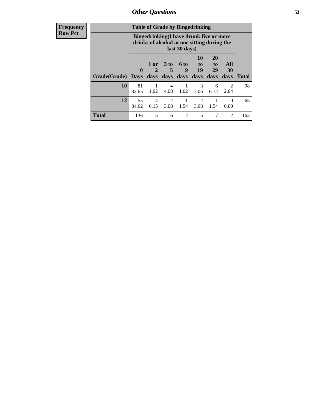| <b>Frequency</b> |              | <b>Table of Grade by Bingedrinking</b> |                                                                                                         |                         |                     |                                  |                               |                        |              |
|------------------|--------------|----------------------------------------|---------------------------------------------------------------------------------------------------------|-------------------------|---------------------|----------------------------------|-------------------------------|------------------------|--------------|
| <b>Row Pct</b>   |              |                                        | Bingedrinking(I have drunk five or more<br>drinks of alcohol at one sitting during the<br>last 30 days) |                         |                     |                                  |                               |                        |              |
|                  | Grade(Grade) | $\mathbf{0}$<br><b>Days</b>            | 1 or<br>days                                                                                            | 3 <sub>to</sub><br>days | $6$ to<br>9<br>days | 10<br>$\mathbf{t}$<br>19<br>days | <b>20</b><br>to<br>29<br>days | All<br>30<br>days      | <b>Total</b> |
|                  | 10           | 81<br>82.65                            | 1.02                                                                                                    | 4<br>4.08               | 1.02                | 3<br>3.06                        | 6<br>6.12                     | $\overline{2}$<br>2.04 | 98           |
|                  | 12           | 55<br>84.62                            | 4<br>6.15                                                                                               | $\mathfrak{D}$<br>3.08  | 1.54                | $\mathfrak{D}$<br>3.08           | 1.54                          | $\Omega$<br>0.00       | 65           |
|                  | <b>Total</b> | 136                                    | 5                                                                                                       | 6                       | $\overline{2}$      | 5                                | 7                             | $\mathfrak{D}$         | 163          |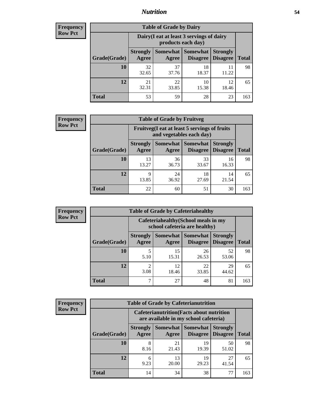### *Nutrition* **54**

| <b>Frequency</b> |
|------------------|
| <b>Row Pct</b>   |

| <b>Table of Grade by Dairy</b> |                          |                                                                 |                             |                                    |              |  |  |  |
|--------------------------------|--------------------------|-----------------------------------------------------------------|-----------------------------|------------------------------------|--------------|--|--|--|
|                                |                          | Dairy (I eat at least 3 servings of dairy<br>products each day) |                             |                                    |              |  |  |  |
| Grade(Grade)                   | <b>Strongly</b><br>Agree | <b>Somewhat</b><br>Agree                                        | <b>Somewhat</b><br>Disagree | <b>Strongly</b><br><b>Disagree</b> | <b>Total</b> |  |  |  |
| 10                             | 32<br>32.65              | 37<br>37.76                                                     | 18<br>18.37                 | 11.22                              | 98           |  |  |  |
| 12                             | 21<br>32.31              | 22<br>33.85                                                     | 10<br>15.38                 | 12<br>18.46                        | 65           |  |  |  |
| <b>Total</b>                   | 53                       | 59                                                              | 28                          | 23                                 | 163          |  |  |  |

| <b>Frequency</b> |  |
|------------------|--|
| <b>Row Pct</b>   |  |

| y | <b>Table of Grade by Fruitveg</b>                                        |                          |             |                                      |                                    |              |
|---|--------------------------------------------------------------------------|--------------------------|-------------|--------------------------------------|------------------------------------|--------------|
|   | Fruitveg(I eat at least 5 servings of fruits<br>and vegetables each day) |                          |             |                                      |                                    |              |
|   | Grade(Grade)                                                             | <b>Strongly</b><br>Agree | Agree       | <b>Somewhat Somewhat</b><br>Disagree | <b>Strongly</b><br><b>Disagree</b> | <b>Total</b> |
|   | 10                                                                       | 13<br>13.27              | 36<br>36.73 | 33<br>33.67                          | 16<br>16.33                        | 98           |
|   | 12                                                                       | 9<br>13.85               | 24<br>36.92 | 18<br>27.69                          | 14<br>21.54                        | 65           |
|   | <b>Total</b>                                                             | 22                       | 60          | 51                                   | 30                                 | 163          |

| <b>Frequency</b> |              | <b>Table of Grade by Cafeteriahealthy</b>                             |             |                                   |                                    |              |  |  |
|------------------|--------------|-----------------------------------------------------------------------|-------------|-----------------------------------|------------------------------------|--------------|--|--|
| <b>Row Pct</b>   |              | Cafeteriahealthy (School meals in my<br>school cafeteria are healthy) |             |                                   |                                    |              |  |  |
|                  | Grade(Grade) | <b>Strongly</b><br>Agree                                              | Agree       | Somewhat   Somewhat  <br>Disagree | <b>Strongly</b><br><b>Disagree</b> | <b>Total</b> |  |  |
|                  | 10           | 5.10                                                                  | 15<br>15.31 | 26<br>26.53                       | 52<br>53.06                        | 98           |  |  |
|                  | 12           | ◠<br>3.08                                                             | 12<br>18.46 | 22<br>33.85                       | 29<br>44.62                        | 65           |  |  |
|                  | Total        | ┑                                                                     | 27          | 48                                | 81                                 | 163          |  |  |

| <b>Frequency</b> |
|------------------|
| <b>Row Pct</b>   |

| <b>Table of Grade by Cafeterianutrition</b>                                               |                          |             |                                   |                                    |              |  |  |
|-------------------------------------------------------------------------------------------|--------------------------|-------------|-----------------------------------|------------------------------------|--------------|--|--|
| <b>Cafeterianutrition</b> (Facts about nutrition<br>are available in my school cafeteria) |                          |             |                                   |                                    |              |  |  |
| Grade(Grade)                                                                              | <b>Strongly</b><br>Agree | Agree       | Somewhat   Somewhat  <br>Disagree | <b>Strongly</b><br><b>Disagree</b> | <b>Total</b> |  |  |
| 10                                                                                        | 8<br>8.16                | 21<br>21.43 | 19<br>19.39                       | 50<br>51.02                        | 98           |  |  |
| 12                                                                                        | 6<br>9.23                | 13<br>20.00 | 19<br>29.23                       | 27<br>41.54                        | 65           |  |  |
| <b>Total</b>                                                                              | 14                       | 34          | 38                                | 77                                 | 163          |  |  |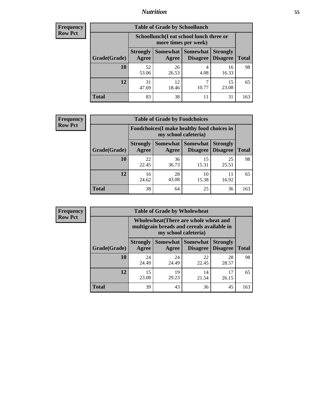### *Nutrition* **55**

| <b>Frequency</b> |
|------------------|
| <b>Row Pct</b>   |

| <b>Table of Grade by Schoollunch</b> |                                                                 |                     |                             |                                    |              |  |
|--------------------------------------|-----------------------------------------------------------------|---------------------|-----------------------------|------------------------------------|--------------|--|
|                                      | Schoollunch(I eat school lunch three or<br>more times per week) |                     |                             |                                    |              |  |
| Grade(Grade)                         | <b>Strongly</b><br>Agree                                        | Somewhat  <br>Agree | <b>Somewhat</b><br>Disagree | <b>Strongly</b><br><b>Disagree</b> | <b>Total</b> |  |
| <b>10</b>                            | 52<br>53.06                                                     | 26<br>26.53         | 4<br>4.08                   | 16<br>16.33                        | 98           |  |
| 12                                   | 31<br>47.69                                                     | 12<br>18.46         | ℸ<br>10.77                  | 15<br>23.08                        | 65           |  |
| <b>Total</b>                         | 83                                                              | 38                  | 11                          | 31                                 | 163          |  |

| <b>Frequency</b> |  |
|------------------|--|
| <b>Row Pct</b>   |  |

| <b>Table of Grade by Foodchoices</b>                                |                          |             |                                      |                                    |              |
|---------------------------------------------------------------------|--------------------------|-------------|--------------------------------------|------------------------------------|--------------|
| Foodchoices (I make healthy food choices in<br>my school cafeteria) |                          |             |                                      |                                    |              |
| Grade(Grade)                                                        | <b>Strongly</b><br>Agree | Agree       | Somewhat Somewhat<br><b>Disagree</b> | <b>Strongly</b><br><b>Disagree</b> | <b>Total</b> |
| 10                                                                  | 22<br>22.45              | 36<br>36.73 | 15<br>15.31                          | 25<br>25.51                        | 98           |
| 12                                                                  | 16<br>24.62              | 28<br>43.08 | 10<br>15.38                          | 11<br>16.92                        | 65           |
| Total                                                               | 38                       | 64          | 25                                   | 36                                 | 163          |

| <b>Frequency</b><br><b>Row Pct</b> | <b>Table of Grade by Wholewheat</b> |                                                                                                             |                     |                                    |                                    |              |  |  |  |
|------------------------------------|-------------------------------------|-------------------------------------------------------------------------------------------------------------|---------------------|------------------------------------|------------------------------------|--------------|--|--|--|
|                                    |                                     | Wholewheat (There are whole wheat and<br>multigrain breads and cereals available in<br>my school cafeteria) |                     |                                    |                                    |              |  |  |  |
|                                    | Grade(Grade)                        | <b>Strongly</b><br>Agree                                                                                    | Somewhat  <br>Agree | <b>Somewhat</b><br><b>Disagree</b> | <b>Strongly</b><br><b>Disagree</b> | <b>Total</b> |  |  |  |
|                                    | 10                                  | 24<br>24.49                                                                                                 | 24<br>24.49         | 22<br>22.45                        | 28<br>28.57                        | 98           |  |  |  |
|                                    | 12                                  | 15<br>23.08                                                                                                 | 19<br>29.23         | 14<br>21.54                        | 17<br>26.15                        | 65           |  |  |  |
|                                    | <b>Total</b>                        | 39                                                                                                          | 43                  | 36                                 | 45                                 | 163          |  |  |  |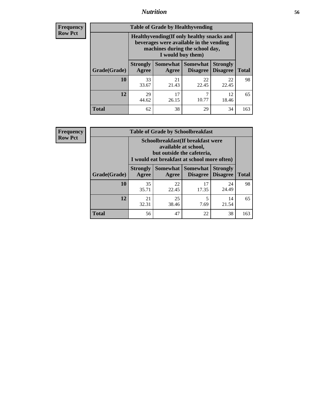### *Nutrition* **56**

**Frequency Row Pct**

| <b>Table of Grade by Healthyvending</b> |                                                                                                                                               |                     |                             |                                    |              |
|-----------------------------------------|-----------------------------------------------------------------------------------------------------------------------------------------------|---------------------|-----------------------------|------------------------------------|--------------|
|                                         | Healthyvending (If only healthy snacks and<br>beverages were available in the vending<br>machines during the school day,<br>I would buy them) |                     |                             |                                    |              |
| Grade(Grade)                            | <b>Strongly</b><br>Agree                                                                                                                      | Somewhat  <br>Agree | <b>Somewhat</b><br>Disagree | <b>Strongly</b><br><b>Disagree</b> | <b>Total</b> |
| 10                                      | 33<br>33.67                                                                                                                                   | 21<br>21.43         | 22<br>22.45                 | 22<br>22.45                        | 98           |
| 12                                      | 29<br>44.62                                                                                                                                   | 17<br>26.15         | 7<br>10.77                  | 12<br>18.46                        | 65           |
| Total                                   | 62                                                                                                                                            | 38                  | 29                          | 34                                 | 163          |

**Frequency Row Pct**

| <b>Table of Grade by Schoolbreakfast</b> |                                                                                                                                         |             |                                        |                                    |              |  |
|------------------------------------------|-----------------------------------------------------------------------------------------------------------------------------------------|-------------|----------------------------------------|------------------------------------|--------------|--|
|                                          | Schoolbreakfast (If breakfast were<br>available at school,<br>but outside the cafeteria,<br>I would eat breakfast at school more often) |             |                                        |                                    |              |  |
| Grade(Grade)                             | <b>Strongly</b><br>Agree                                                                                                                | Agree       | Somewhat   Somewhat<br><b>Disagree</b> | <b>Strongly</b><br><b>Disagree</b> | <b>Total</b> |  |
| 10                                       | 35<br>35.71                                                                                                                             | 22<br>22.45 | 17<br>17.35                            | 24<br>24.49                        | 98           |  |
| 12                                       | 21<br>32.31                                                                                                                             | 25<br>38.46 | 5<br>7.69                              | 14<br>21.54                        | 65           |  |
| <b>Total</b>                             | 56                                                                                                                                      | 47          | 22                                     | 38                                 | 163          |  |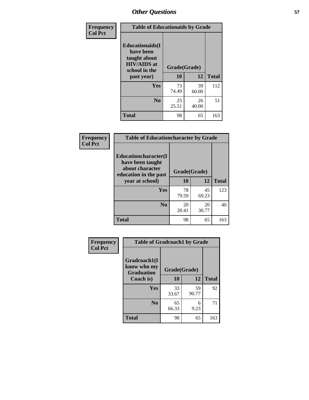| Frequency<br><b>Col Pct</b> | <b>Table of Educationaids by Grade</b>                                                                    |                    |             |              |
|-----------------------------|-----------------------------------------------------------------------------------------------------------|--------------------|-------------|--------------|
|                             | <b>Educationaids</b> (I<br>have been<br>taught about<br><b>HIV/AIDS</b> at<br>school in the<br>past year) | Grade(Grade)<br>10 | 12          | <b>Total</b> |
|                             | Yes                                                                                                       | 73<br>74.49        | 39<br>60.00 | 112          |
|                             | N <sub>0</sub>                                                                                            | 25<br>25.51        | 26<br>40.00 | 51           |
|                             | <b>Total</b>                                                                                              | 98                 | 65          | 163          |

| Frequency      | <b>Table of Educationcharacter by Grade</b>                                                  |              |             |              |
|----------------|----------------------------------------------------------------------------------------------|--------------|-------------|--------------|
| <b>Col Pct</b> | <b>Educationcharacter(I)</b><br>have been taught<br>about character<br>education in the past | Grade(Grade) |             |              |
|                | year at school)                                                                              | 10           | 12          | <b>Total</b> |
|                | Yes                                                                                          | 78<br>79.59  | 45<br>69.23 | 123          |
|                | N <sub>0</sub>                                                                               | 20<br>20.41  | 20<br>30.77 | 40           |
|                | <b>Total</b>                                                                                 | 98           | 65          | 163          |

| Frequency      | <b>Table of Gradcoach1 by Grade</b>              |              |             |              |
|----------------|--------------------------------------------------|--------------|-------------|--------------|
| <b>Col Pct</b> | Gradcoach1(I<br>know who my<br><b>Graduation</b> | Grade(Grade) |             |              |
|                | Coach is)                                        | 10           | 12          | <b>Total</b> |
|                | Yes                                              | 33<br>33.67  | 59<br>90.77 | 92           |
|                | N <sub>0</sub>                                   | 65<br>66.33  | 6<br>9.23   | 71           |
|                | <b>Total</b>                                     | 98           | 65          | 163          |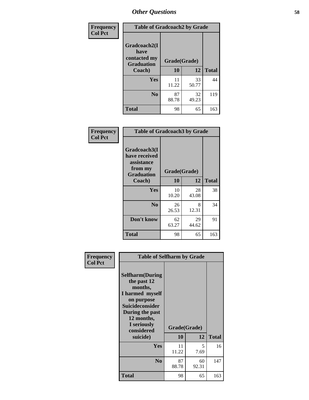| Frequency      | <b>Table of Gradcoach2 by Grade</b> |              |             |              |
|----------------|-------------------------------------|--------------|-------------|--------------|
| <b>Col Pct</b> |                                     |              |             |              |
|                | Gradcoach2(I<br>have                |              |             |              |
|                | contacted my<br><b>Graduation</b>   | Grade(Grade) |             |              |
|                | Coach)                              | 10           | 12          | <b>Total</b> |
|                | Yes                                 | 11<br>11.22  | 33<br>50.77 | 44           |
|                | N <sub>0</sub>                      | 87<br>88.78  | 32<br>49.23 | 119          |
|                | <b>Total</b>                        | 98           | 65          | 163          |

| Frequency<br><b>Col Pct</b> | <b>Table of Gradcoach3 by Grade</b>                    |              |             |              |
|-----------------------------|--------------------------------------------------------|--------------|-------------|--------------|
|                             | Gradcoach3(I<br>have received<br>assistance<br>from my | Grade(Grade) |             |              |
|                             | <b>Graduation</b><br>Coach)                            | 10           | 12          | <b>Total</b> |
|                             | Yes                                                    | 10<br>10.20  | 28<br>43.08 | 38           |
|                             | N <sub>0</sub>                                         | 26<br>26.53  | 8<br>12.31  | 34           |
|                             | Don't know                                             | 62<br>63.27  | 29<br>44.62 | 91           |
|                             | <b>Total</b>                                           | 98           | 65          | 163          |

| Frequency      | <b>Table of Selfharm by Grade</b>                                                                                                                                                      |             |                    |              |
|----------------|----------------------------------------------------------------------------------------------------------------------------------------------------------------------------------------|-------------|--------------------|--------------|
| <b>Col Pct</b> | <b>Selfharm</b> (During<br>the past 12<br>months,<br>I harmed myself<br>on purpose<br><b>Suicideconsider</b><br>During the past<br>12 months,<br>I seriously<br>considered<br>suicide) | 10          | Grade(Grade)<br>12 | <b>Total</b> |
|                | Yes                                                                                                                                                                                    | 11<br>11.22 | 5<br>7.69          | 16           |
|                | N <sub>0</sub>                                                                                                                                                                         | 87<br>88.78 | 60<br>92.31        | 147          |
|                | Total                                                                                                                                                                                  | 98          | 65                 | 163          |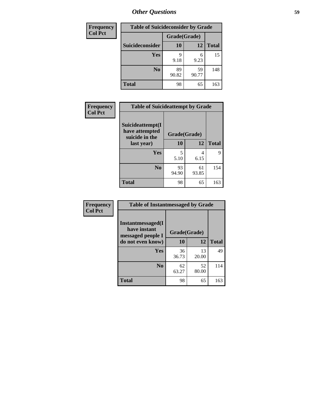| <b>Frequency</b> | <b>Table of Suicideconsider by Grade</b> |              |             |              |  |
|------------------|------------------------------------------|--------------|-------------|--------------|--|
| <b>Col Pct</b>   |                                          | Grade(Grade) |             |              |  |
|                  | Suicideconsider                          | <b>10</b>    | 12          | <b>Total</b> |  |
|                  | <b>Yes</b>                               | q<br>9.18    | 6<br>9.23   | 15           |  |
|                  | N <sub>0</sub>                           | 89<br>90.82  | 59<br>90.77 | 148          |  |
|                  | <b>Total</b>                             | 98           | 65          | 163          |  |

| Frequency      | <b>Table of Suicideattempt by Grade</b>              |              |       |              |
|----------------|------------------------------------------------------|--------------|-------|--------------|
| <b>Col Pct</b> | Suicideattempt(I<br>have attempted<br>suicide in the | Grade(Grade) |       |              |
|                | last year)                                           | 10           | 12    | <b>Total</b> |
|                | Yes                                                  | 5            | 4     | 9            |
|                |                                                      | 5.10         | 6.15  |              |
|                | N <sub>0</sub>                                       | 93           | 61    | 154          |
|                |                                                      | 94.90        | 93.85 |              |
|                | <b>Total</b>                                         | 98           | 65    | 163          |

| Frequency      | <b>Table of Instantmessaged by Grade</b>               |              |             |              |
|----------------|--------------------------------------------------------|--------------|-------------|--------------|
| <b>Col Pct</b> | Instantmessaged(I<br>have instant<br>messaged people I | Grade(Grade) |             |              |
|                | do not even know)                                      | 10           | 12          | <b>Total</b> |
|                | Yes                                                    | 36<br>36.73  | 13<br>20.00 | 49           |
|                | N <sub>0</sub>                                         | 62<br>63.27  | 52<br>80.00 | 114          |
|                | <b>Total</b>                                           | 98           | 65          | 163          |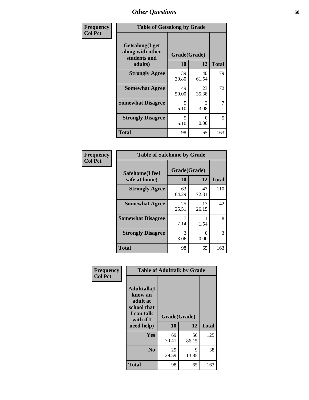| Frequency      | <b>Table of Getsalong by Grade</b>                          |              |             |              |
|----------------|-------------------------------------------------------------|--------------|-------------|--------------|
| <b>Col Pct</b> | <b>Getsalong</b> (I get<br>along with other<br>students and | Grade(Grade) |             |              |
|                | adults)                                                     | <b>10</b>    | 12          | <b>Total</b> |
|                | <b>Strongly Agree</b>                                       | 39<br>39.80  | 40<br>61.54 | 79           |
|                | <b>Somewhat Agree</b>                                       | 49<br>50.00  | 23<br>35.38 | 72           |
|                | <b>Somewhat Disagree</b>                                    | 5<br>5.10    | 2<br>3.08   | 7            |
|                | <b>Strongly Disagree</b>                                    | 5<br>5.10    | 0<br>0.00   | 5            |
|                | <b>Total</b>                                                | 98           | 65          | 163          |

| Frequency      | <b>Table of Safehome by Grade</b> |                           |             |              |
|----------------|-----------------------------------|---------------------------|-------------|--------------|
| <b>Col Pct</b> | Safehome(I feel<br>safe at home)  | Grade(Grade)<br><b>10</b> | 12          | <b>Total</b> |
|                | <b>Strongly Agree</b>             | 63<br>64.29               | 47<br>72.31 | 110          |
|                | <b>Somewhat Agree</b>             | 25<br>25.51               | 17<br>26.15 | 42           |
|                | <b>Somewhat Disagree</b>          | 7.14                      | 1.54        | 8            |
|                | <b>Strongly Disagree</b>          | 3<br>3.06                 | 0<br>0.00   | 3            |
|                | <b>Total</b>                      | 98                        | 65          | 163          |

| Frequency      |                                                                                     | <b>Table of Adulttalk by Grade</b> |             |              |
|----------------|-------------------------------------------------------------------------------------|------------------------------------|-------------|--------------|
| <b>Col Pct</b> | <b>Adulttalk(I</b><br>know an<br>adult at<br>school that<br>I can talk<br>with if I | Grade(Grade)<br>10                 | 12          | <b>Total</b> |
|                | need help)                                                                          |                                    |             |              |
|                | <b>Yes</b>                                                                          | 69<br>70.41                        | 56<br>86.15 | 125          |
|                | N <sub>0</sub>                                                                      | 29<br>29.59                        | 9<br>13.85  | 38           |
|                | <b>Total</b>                                                                        | 98                                 | 65          | 163          |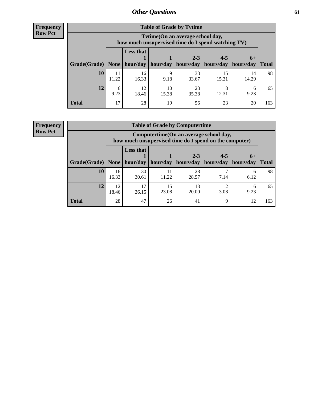**Frequency Row Pct**

| <b>Table of Grade by Tvtime</b> |             |                                                                                        |                     |             |             |             |              |  |  |  |
|---------------------------------|-------------|----------------------------------------------------------------------------------------|---------------------|-------------|-------------|-------------|--------------|--|--|--|
|                                 |             | Tvtime(On an average school day,<br>how much unsupervised time do I spend watching TV) |                     |             |             |             |              |  |  |  |
|                                 |             | <b>Less that</b><br>$2 - 3$<br>$4 - 5$<br>$6+$                                         |                     |             |             |             |              |  |  |  |
| Grade(Grade)   None             |             |                                                                                        | hour/day   hour/day | hours/day   | hours/day   | hours/day   | <b>Total</b> |  |  |  |
| 10                              | 11<br>11.22 | 16<br>16.33                                                                            | q<br>9.18           | 33<br>33.67 | 15<br>15.31 | 14<br>14.29 | 98           |  |  |  |
| 12                              | 6<br>9.23   | 12<br>18.46                                                                            | 10<br>15.38         | 23<br>35.38 | 8<br>12.31  | 6<br>9.23   | 65           |  |  |  |
| <b>Total</b>                    | 17          | 28                                                                                     | 19                  | 56          | 23          | 20          | 163          |  |  |  |

**Frequency Row Pct**

| <b>Table of Grade by Computertime</b> |             |                                                                                                                               |             |             |           |           |     |  |  |
|---------------------------------------|-------------|-------------------------------------------------------------------------------------------------------------------------------|-------------|-------------|-----------|-----------|-----|--|--|
|                                       |             | Computertime(On an average school day,<br>how much unsupervised time do I spend on the computer)                              |             |             |           |           |     |  |  |
| Grade(Grade)                          | None        | <b>Less that</b><br>$2 - 3$<br>$4 - 5$<br>$6+$<br>hour/day<br>hours/day<br>hours/day<br>hour/day<br>hours/day<br><b>Total</b> |             |             |           |           |     |  |  |
| 10                                    | 16<br>16.33 | 30<br>30.61                                                                                                                   | 11<br>11.22 | 28<br>28.57 | 7.14      | 6<br>6.12 | 98  |  |  |
| 12                                    | 12<br>18.46 | 17<br>26.15                                                                                                                   | 15<br>23.08 | 13<br>20.00 | ◠<br>3.08 | 6<br>9.23 | 65  |  |  |
| <b>Total</b>                          | 28          | 47                                                                                                                            | 26          | 41          | 9         | 12        | 163 |  |  |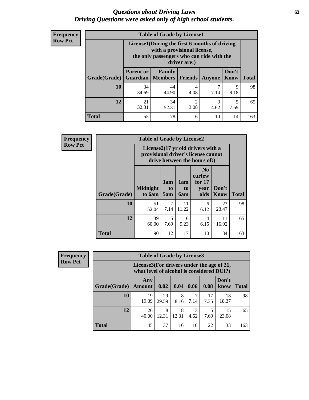#### *Questions about Driving Laws* **62** *Driving Questions were asked only of high school students.*

| <b>Frequency</b> |
|------------------|
| <b>Row Pct</b>   |

| <b>Table of Grade by License1</b> |                  |                                                                                                                                           |           |           |           |     |  |  |  |
|-----------------------------------|------------------|-------------------------------------------------------------------------------------------------------------------------------------------|-----------|-----------|-----------|-----|--|--|--|
|                                   |                  | License1(During the first 6 months of driving<br>with a provisional license,<br>the only passengers who can ride with the<br>driver are:) |           |           |           |     |  |  |  |
| Grade(Grade)                      | <b>Parent or</b> | Don't<br>Family<br><b>Guardian   Members  </b><br><b>Total</b><br>Friends<br>Know<br>Anyone                                               |           |           |           |     |  |  |  |
| 10                                | 34<br>34.69      | 44<br>44.90                                                                                                                               | 4<br>4.08 | 7<br>7.14 | 9<br>9.18 | 98  |  |  |  |
| 12                                | 21<br>32.31      | 34<br>52.31                                                                                                                               | 2<br>3.08 | 3<br>4.62 | 5<br>7.69 | 65  |  |  |  |
| Total                             | 55               | 78                                                                                                                                        | 6         | 10        | 14        | 163 |  |  |  |

| <b>Frequency</b> | <b>Table of Grade by License2</b> |                                                                                                          |                  |                  |                                                      |                      |              |  |
|------------------|-----------------------------------|----------------------------------------------------------------------------------------------------------|------------------|------------------|------------------------------------------------------|----------------------|--------------|--|
| <b>Row Pct</b>   |                                   | License2(17 yr old drivers with a<br>provisional driver's license cannot<br>drive between the hours of:) |                  |                  |                                                      |                      |              |  |
|                  | Grade(Grade)                      | <b>Midnight</b><br>to 6am                                                                                | 1am<br>to<br>5am | 1am<br>to<br>6am | N <sub>0</sub><br>curfew<br>for $17$<br>year<br>olds | Don't<br><b>Know</b> | <b>Total</b> |  |
|                  | 10                                | 51<br>52.04                                                                                              | 7<br>7.14        | 11<br>11.22      | 6<br>6.12                                            | 23<br>23.47          | 98           |  |
|                  | 12                                | 39<br>60.00                                                                                              | 5<br>7.69        | 6<br>9.23        | $\overline{4}$<br>6.15                               | 11<br>16.92          | 65           |  |
|                  | <b>Total</b>                      | 90                                                                                                       | 12               | 17               | 10                                                   | 34                   | 163          |  |

| Frequency      |              | <b>Table of Grade by License3</b>                                                      |             |            |           |             |               |              |
|----------------|--------------|----------------------------------------------------------------------------------------|-------------|------------|-----------|-------------|---------------|--------------|
| <b>Row Pct</b> |              | License3(For drivers under the age of 21,<br>what level of alcohol is considered DUI?) |             |            |           |             |               |              |
|                | Grade(Grade) | Any<br><b>Amount</b>                                                                   | 0.02        | 0.04       | 0.06      | 0.08        | Don't<br>know | <b>Total</b> |
|                | <b>10</b>    | 19<br>19.39                                                                            | 29<br>29.59 | 8<br>8.16  | 7.14      | 17<br>17.35 | 18<br>18.37   | 98           |
|                | 12           | 26<br>40.00                                                                            | 8<br>12.31  | 8<br>12.31 | 3<br>4.62 | 7.69        | 15<br>23.08   | 65           |
|                | <b>Total</b> | 45                                                                                     | 37          | 16         | 10        | 22          | 33            | 163          |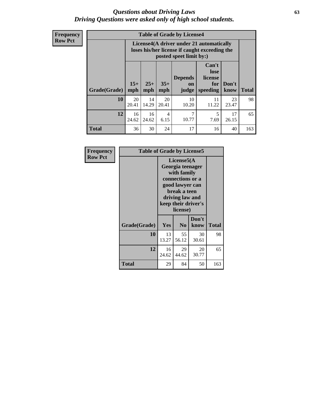#### *Questions about Driving Laws* **63** *Driving Questions were asked only of high school students.*

**Frequency Row Pct**

| <b>Table of Grade by License4</b> |              |                                                                                                                                               |             |             |             |             |     |  |
|-----------------------------------|--------------|-----------------------------------------------------------------------------------------------------------------------------------------------|-------------|-------------|-------------|-------------|-----|--|
|                                   |              | License4(A driver under 21 automatically<br>loses his/her license if caught exceeding the<br>posted speet limit by:)                          |             |             |             |             |     |  |
| Grade(Grade)                      | $15+$<br>mph | Can't<br>lose<br><b>Depends</b><br>license<br>$25+$<br>$35+$<br>Don't<br>for<br>on<br>mph<br><b>Total</b><br>speeding<br>know<br>mph<br>judge |             |             |             |             |     |  |
| 10                                | 20<br>20.41  | 14<br>14.29                                                                                                                                   | 20<br>20.41 | 10<br>10.20 | 11<br>11.22 | 23<br>23.47 | 98  |  |
| 12                                | 16<br>24.62  | 16<br>24.62                                                                                                                                   | 4<br>6.15   | 7<br>10.77  | 5<br>7.69   | 17<br>26.15 | 65  |  |
| <b>Total</b>                      | 36           | 30                                                                                                                                            | 24          | 17          | 16          | 40          | 163 |  |

| Frequency      |              | <b>Table of Grade by License5</b>                                                                                                                           |                |               |              |  |  |  |
|----------------|--------------|-------------------------------------------------------------------------------------------------------------------------------------------------------------|----------------|---------------|--------------|--|--|--|
| <b>Row Pct</b> |              | License5(A)<br>Georgia teenager<br>with family<br>connections or a<br>good lawyer can<br>break a teen<br>driving law and<br>keep their driver's<br>license) |                |               |              |  |  |  |
|                | Grade(Grade) | Yes                                                                                                                                                         | N <sub>0</sub> | Don't<br>know | <b>Total</b> |  |  |  |
|                | 10           | 13<br>13.27                                                                                                                                                 | 55<br>56.12    | 30<br>30.61   | 98           |  |  |  |
|                | 12           | 16<br>24.62                                                                                                                                                 | 29<br>44.62    | 20<br>30.77   | 65           |  |  |  |
|                | <b>Total</b> | 29                                                                                                                                                          | 84             | 50            | 163          |  |  |  |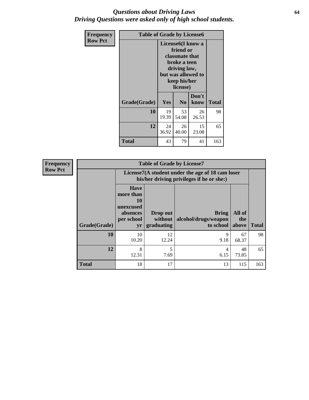#### *Questions about Driving Laws* **64** *Driving Questions were asked only of high school students.*

| <b>Frequency</b> | <b>Table of Grade by License6</b> |             |                                                                                                                           |                    |              |  |  |
|------------------|-----------------------------------|-------------|---------------------------------------------------------------------------------------------------------------------------|--------------------|--------------|--|--|
| <b>Row Pct</b>   |                                   |             | License <sub>6</sub> (I know a<br>friend or<br>classmate that<br>broke a teen<br>driving law,<br>keep his/her<br>license) | but was allowed to |              |  |  |
|                  | Grade(Grade)                      | <b>Yes</b>  | N <sub>0</sub>                                                                                                            | Don't<br>know      | <b>Total</b> |  |  |
|                  | 10                                | 19<br>19.39 | 53<br>54.08                                                                                                               | 26<br>26.53        | 98           |  |  |
|                  | 12                                | 24<br>36.92 | 26<br>40.00                                                                                                               | 15<br>23.08        | 65           |  |  |
|                  | <b>Total</b>                      | 43          | 79                                                                                                                        | 41                 | 163          |  |  |

| <b>Frequency</b> |              |                                                                             | <b>Table of Grade by License7</b>                                                             |                                                   |                        |              |  |  |  |
|------------------|--------------|-----------------------------------------------------------------------------|-----------------------------------------------------------------------------------------------|---------------------------------------------------|------------------------|--------------|--|--|--|
| <b>Row Pct</b>   |              |                                                                             | License7(A student under the age of 18 cam loser<br>his/her driving privileges if he or she:) |                                                   |                        |              |  |  |  |
|                  | Grade(Grade) | <b>Have</b><br>more than<br>10<br>unexcused<br>absences<br>per school<br>yr | Drop out<br>without  <br>graduating                                                           | <b>Bring</b><br>alcohol/drugs/weapon<br>to school | All of<br>the<br>above | <b>Total</b> |  |  |  |
|                  | 10           | 10<br>10.20                                                                 | 12<br>12.24                                                                                   | 9<br>9.18                                         | 67<br>68.37            | 98           |  |  |  |
|                  | 12           | 8<br>12.31                                                                  | 5<br>7.69                                                                                     | 4<br>6.15                                         | 48<br>73.85            | 65           |  |  |  |
|                  | <b>Total</b> | 18                                                                          | 17                                                                                            | 13                                                | 115                    | 163          |  |  |  |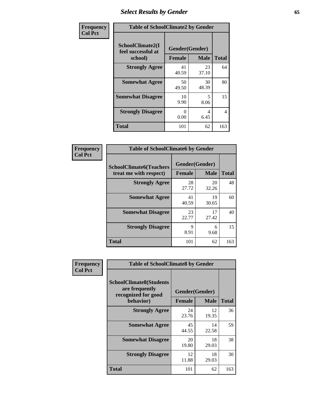# *Select Results by Gender* **65**

| Frequency      | <b>Table of SchoolClimate2 by Gender</b>          |                                 |             |                |  |
|----------------|---------------------------------------------------|---------------------------------|-------------|----------------|--|
| <b>Col Pct</b> | SchoolClimate2(I<br>feel successful at<br>school) | Gender(Gender)<br><b>Female</b> | <b>Male</b> | <b>Total</b>   |  |
|                | <b>Strongly Agree</b>                             | 41<br>40.59                     | 23<br>37.10 | 64             |  |
|                | <b>Somewhat Agree</b>                             | 50<br>49.50                     | 30<br>48.39 | 80             |  |
|                | <b>Somewhat Disagree</b>                          | 10<br>9.90                      | 5<br>8.06   | 15             |  |
|                | <b>Strongly Disagree</b>                          | 0<br>0.00                       | 4<br>6.45   | $\overline{4}$ |  |
|                | <b>Total</b>                                      | 101                             | 62          | 163            |  |

| <b>Frequency</b> | <b>Table of SchoolClimate6 by Gender</b> |                |             |              |  |  |
|------------------|------------------------------------------|----------------|-------------|--------------|--|--|
| <b>Col Pct</b>   | <b>SchoolClimate6(Teachers</b>           | Gender(Gender) |             |              |  |  |
|                  | treat me with respect)                   | <b>Female</b>  | <b>Male</b> | <b>Total</b> |  |  |
|                  | <b>Strongly Agree</b>                    | 28<br>27.72    | 20<br>32.26 | 48           |  |  |
|                  | <b>Somewhat Agree</b>                    | 41<br>40.59    | 19<br>30.65 | 60           |  |  |
|                  | <b>Somewhat Disagree</b>                 | 23<br>22.77    | 17<br>27.42 | 40           |  |  |
|                  | <b>Strongly Disagree</b>                 | 9<br>8.91      | 6<br>9.68   | 15           |  |  |
|                  | <b>Total</b>                             | 101            | 62          | 163          |  |  |

| Frequency      | <b>Table of SchoolClimate8 by Gender</b>                                             |                                 |             |              |  |
|----------------|--------------------------------------------------------------------------------------|---------------------------------|-------------|--------------|--|
| <b>Col Pct</b> | <b>SchoolClimate8(Students</b><br>are frequently<br>recognized for good<br>behavior) | Gender(Gender)<br><b>Female</b> | <b>Male</b> | <b>Total</b> |  |
|                | <b>Strongly Agree</b>                                                                | 24<br>23.76                     | 12<br>19.35 | 36           |  |
|                | <b>Somewhat Agree</b>                                                                | 45<br>44.55                     | 14<br>22.58 | 59           |  |
|                | <b>Somewhat Disagree</b>                                                             | 20<br>19.80                     | 18<br>29.03 | 38           |  |
|                | <b>Strongly Disagree</b>                                                             | 12<br>11.88                     | 18<br>29.03 | 30           |  |
|                | Total                                                                                | 101                             | 62          | 163          |  |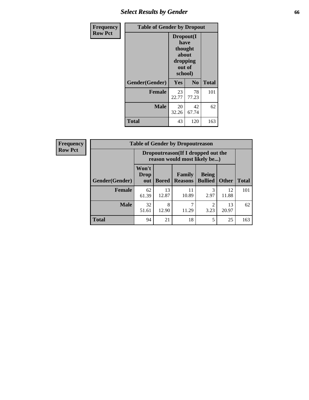## *Select Results by Gender* **66**

| <b>Frequency</b> | <b>Table of Gender by Dropout</b> |                                                                        |                |              |
|------------------|-----------------------------------|------------------------------------------------------------------------|----------------|--------------|
| <b>Row Pct</b>   |                                   | Dropout(I<br>have<br>thought<br>about<br>dropping<br>out of<br>school) |                |              |
|                  | Gender(Gender)                    | Yes                                                                    | N <sub>o</sub> | <b>Total</b> |
|                  | <b>Female</b>                     | 23<br>22.77                                                            | 78<br>77.23    | 101          |
|                  | <b>Male</b>                       | 20<br>32.26                                                            | 42<br>67.74    | 62           |
|                  | <b>Total</b>                      | 43                                                                     | 120            | 163          |

| <b>Frequency</b> |                        | <b>Table of Gender by Dropoutreason</b>                            |              |                          |                                |              |              |
|------------------|------------------------|--------------------------------------------------------------------|--------------|--------------------------|--------------------------------|--------------|--------------|
| <b>Row Pct</b>   |                        | Dropoutreason(If I dropped out the<br>reason would most likely be) |              |                          |                                |              |              |
|                  | <b>Gender</b> (Gender) | Won't<br><b>Drop</b><br>out                                        | <b>Bored</b> | Family<br><b>Reasons</b> | <b>Being</b><br><b>Bullied</b> | <b>Other</b> | <b>Total</b> |
|                  | Female                 | 62<br>61.39                                                        | 13<br>12.87  | 11<br>10.89              | 3<br>2.97                      | 12<br>11.88  | 101          |
|                  | <b>Male</b>            | 32<br>51.61                                                        | 8<br>12.90   | 11.29                    | っ<br>3.23                      | 13<br>20.97  | 62           |
|                  | <b>Total</b>           | 94                                                                 | 21           | 18                       | 5                              | 25           | 163          |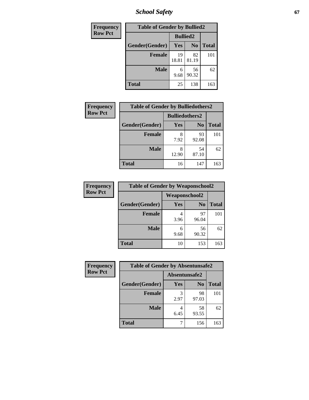*School Safety* **67**

| Frequency      | <b>Table of Gender by Bullied2</b> |                 |                |              |
|----------------|------------------------------------|-----------------|----------------|--------------|
| <b>Row Pct</b> |                                    | <b>Bullied2</b> |                |              |
|                | Gender(Gender)                     | Yes             | N <sub>0</sub> | <b>Total</b> |
|                | <b>Female</b>                      | 19<br>18.81     | 82<br>81.19    | 101          |
|                | <b>Male</b>                        | 6<br>9.68       | 56<br>90.32    | 62           |
|                | <b>Total</b>                       | 25              | 138            | 163          |

| Frequency      | <b>Table of Gender by Bulliedothers2</b> |                       |             |              |
|----------------|------------------------------------------|-----------------------|-------------|--------------|
| <b>Row Pct</b> |                                          | <b>Bulliedothers2</b> |             |              |
|                | Gender(Gender)                           | <b>Yes</b>            | $\bf N_0$   | <b>Total</b> |
|                | <b>Female</b>                            | 8<br>7.92             | 93<br>92.08 | 101          |
|                | <b>Male</b>                              | 8<br>12.90            | 54<br>87.10 | 62           |
|                | Total                                    | 16                    | 147         | 163          |

| <b>Frequency</b> | <b>Table of Gender by Weaponschool2</b> |                      |                |              |
|------------------|-----------------------------------------|----------------------|----------------|--------------|
| <b>Row Pct</b>   |                                         | <b>Weaponschool2</b> |                |              |
|                  | Gender(Gender)                          | Yes                  | N <sub>0</sub> | <b>Total</b> |
|                  | <b>Female</b>                           | 3.96                 | 97<br>96.04    | 101          |
|                  | <b>Male</b>                             | 6<br>9.68            | 56<br>90.32    | 62           |
|                  | <b>Total</b>                            | 10                   | 153            | 163          |

| Frequency      | <b>Table of Gender by Absentunsafe2</b> |               |                |              |
|----------------|-----------------------------------------|---------------|----------------|--------------|
| <b>Row Pct</b> |                                         | Absentunsafe2 |                |              |
|                | Gender(Gender)                          | Yes           | N <sub>0</sub> | <b>Total</b> |
|                | <b>Female</b>                           | 2.97          | 98<br>97.03    | 101          |
|                | <b>Male</b>                             | 6.45          | 58<br>93.55    | 62           |
|                | <b>Total</b>                            |               | 156            | 163          |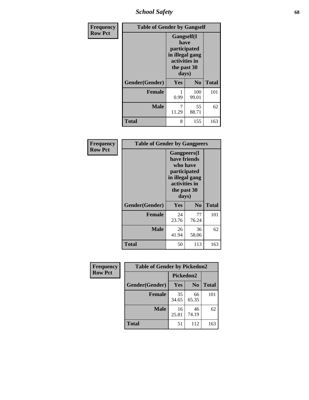*School Safety* **68**

| Frequency      |                                                                                                | <b>Table of Gender by Gangself</b> |                |              |
|----------------|------------------------------------------------------------------------------------------------|------------------------------------|----------------|--------------|
| <b>Row Pct</b> | Gangself(I<br>have<br>participated<br>in illegal gang<br>activities in<br>the past 30<br>days) |                                    |                |              |
|                | Gender(Gender)                                                                                 | Yes                                | N <sub>0</sub> | <b>Total</b> |
|                | <b>Female</b>                                                                                  | 0.99                               | 100<br>99.01   | 101          |
|                | <b>Male</b>                                                                                    | 7<br>11.29                         | 55<br>88.71    | 62           |
|                | <b>Total</b>                                                                                   | 8                                  | 155            | 163          |

| Frequency      | <b>Table of Gender by Gangpeers</b> |                                                                                                                             |                |              |
|----------------|-------------------------------------|-----------------------------------------------------------------------------------------------------------------------------|----------------|--------------|
| <b>Row Pct</b> |                                     | <b>Gangpeers</b> (I<br>have friends<br>who have<br>participated<br>in illegal gang<br>activities in<br>the past 30<br>days) |                |              |
|                | Gender(Gender)                      | Yes                                                                                                                         | N <sub>0</sub> | <b>Total</b> |
|                | <b>Female</b>                       | 24<br>23.76                                                                                                                 | 77<br>76.24    | 101          |
|                | <b>Male</b>                         | 26<br>41.94                                                                                                                 | 36<br>58.06    | 62           |
|                | <b>Total</b>                        | 50                                                                                                                          | 113            | 163          |

| Frequency      | <b>Table of Gender by Pickedon2</b> |             |                |              |
|----------------|-------------------------------------|-------------|----------------|--------------|
| <b>Row Pct</b> |                                     | Pickedon2   |                |              |
|                | Gender(Gender)                      | Yes         | N <sub>0</sub> | <b>Total</b> |
|                | <b>Female</b>                       | 35<br>34.65 | 66<br>65.35    | 101          |
|                | <b>Male</b>                         | 16<br>25.81 | 46<br>74.19    | 62           |
|                | <b>Total</b>                        | 51          | 112            | 163          |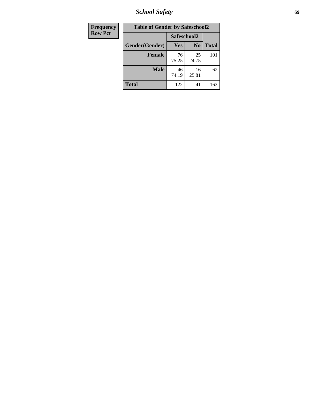*School Safety* **69**

| Frequency      | <b>Table of Gender by Safeschool2</b> |             |                |              |  |
|----------------|---------------------------------------|-------------|----------------|--------------|--|
| <b>Row Pct</b> | Safeschool2                           |             |                |              |  |
|                | Gender(Gender)                        | Yes         | N <sub>0</sub> | <b>Total</b> |  |
|                | <b>Female</b>                         | 76<br>75.25 | 25<br>24.75    | 101          |  |
|                | <b>Male</b>                           | 46<br>74.19 | 16<br>25.81    | 62           |  |
|                | <b>Total</b>                          | 122         | 41             | 163          |  |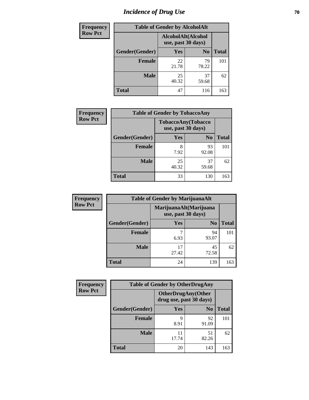# *Incidence of Drug Use* **70**

| <b>Frequency</b> |                                          | <b>Table of Gender by AlcoholAlt</b> |                |              |
|------------------|------------------------------------------|--------------------------------------|----------------|--------------|
| <b>Row Pct</b>   | AlcoholAlt(Alcohol<br>use, past 30 days) |                                      |                |              |
|                  | Gender(Gender)                           | Yes                                  | N <sub>0</sub> | <b>Total</b> |
|                  | <b>Female</b>                            | 22<br>21.78                          | 79<br>78.22    | 101          |
|                  | <b>Male</b>                              | 25<br>40.32                          | 37<br>59.68    | 62           |
|                  | <b>Total</b>                             | 47                                   | 116            | 163          |

| <b>Frequency</b> | <b>Table of Gender by TobaccoAny</b> |                                          |                |              |  |
|------------------|--------------------------------------|------------------------------------------|----------------|--------------|--|
| <b>Row Pct</b>   |                                      | TobaccoAny(Tobacco<br>use, past 30 days) |                |              |  |
|                  | Gender(Gender)                       | Yes                                      | N <sub>0</sub> | <b>Total</b> |  |
|                  | <b>Female</b>                        | 8<br>7.92                                | 93<br>92.08    | 101          |  |
|                  | <b>Male</b>                          | 25<br>40.32                              | 37<br>59.68    | 62           |  |
|                  | <b>Total</b>                         | 33                                       | 130            | 163          |  |

| <b>Frequency</b> |                | <b>Table of Gender by MarijuanaAlt</b>       |                |              |
|------------------|----------------|----------------------------------------------|----------------|--------------|
| <b>Row Pct</b>   |                | MarijuanaAlt(Marijuana<br>use, past 30 days) |                |              |
|                  | Gender(Gender) | Yes                                          | N <sub>0</sub> | <b>Total</b> |
|                  | <b>Female</b>  | ⇁<br>6.93                                    | 94<br>93.07    | 101          |
|                  | <b>Male</b>    | 17<br>27.42                                  | 45<br>72.58    | 62           |
|                  | <b>Total</b>   | 24                                           | 139            | 163          |

| <b>Frequency</b> | <b>Table of Gender by OtherDrugAny</b> |                         |                           |              |
|------------------|----------------------------------------|-------------------------|---------------------------|--------------|
| <b>Row Pct</b>   |                                        | drug use, past 30 days) | <b>OtherDrugAny(Other</b> |              |
|                  | Gender(Gender)                         | <b>Yes</b>              | N <sub>0</sub>            | <b>Total</b> |
|                  | <b>Female</b>                          | Q<br>8.91               | 92<br>91.09               | 101          |
|                  | <b>Male</b>                            | 17.74                   | 51<br>82.26               | 62           |
|                  | <b>Total</b>                           | 20                      | 143                       | 163          |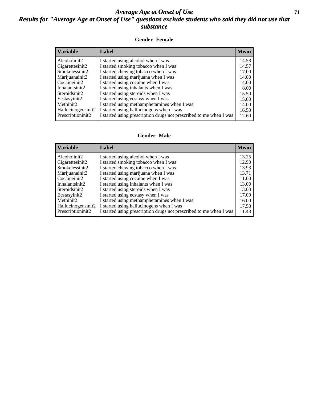#### *Average Age at Onset of Use* **71** *Results for "Average Age at Onset of Use" questions exclude students who said they did not use that substance*

#### **Gender=Female**

| <b>Variable</b>    | <b>Label</b>                                                       | <b>Mean</b> |
|--------------------|--------------------------------------------------------------------|-------------|
| Alcoholinit2       | I started using alcohol when I was                                 | 14.53       |
| Cigarettesinit2    | I started smoking tobacco when I was                               | 14.57       |
| Smokelessinit2     | I started chewing tobacco when I was                               | 17.00       |
| Marijuanainit2     | I started using marijuana when I was                               | 14.00       |
| Cocaineinit2       | I started using cocaine when I was                                 | 14.00       |
| Inhalantsinit2     | I started using inhalants when I was                               | 8.00        |
| Steroidsinit2      | I started using steroids when I was                                | 15.50       |
| Ecstasyinit2       | I started using ecstasy when I was                                 | 15.00       |
| Methinit2          | I started using methamphetamines when I was                        | 14.00       |
| Hallucinogensinit2 | I started using hallucinogens when I was                           | 16.50       |
| Prescription in t2 | I started using prescription drugs not prescribed to me when I was | 12.60       |

#### **Gender=Male**

| <b>Variable</b>                 | Label                                                              | <b>Mean</b> |
|---------------------------------|--------------------------------------------------------------------|-------------|
| Alcoholinit2                    | I started using alcohol when I was                                 | 13.25       |
| Cigarettesinit2                 | I started smoking tobacco when I was                               | 12.90       |
| Smokelessinit2                  | I started chewing tobacco when I was                               | 13.93       |
| Marijuanainit2                  | I started using marijuana when I was                               | 13.71       |
| Cocaineinit2                    | I started using cocaine when I was                                 | 11.00       |
| Inhalantsinit2                  | I started using inhalants when I was                               | 13.00       |
| Steroidsinit2                   | I started using steroids when I was                                | 13.00       |
| Ecstasyinit2                    | I started using ecstasy when I was                                 | 17.00       |
| Methinit2                       | I started using methamphetamines when I was                        | 16.00       |
| Hallucinogensinit2              | I started using hallucinogens when I was                           | 17.50       |
| Prescription in it <sub>2</sub> | I started using prescription drugs not prescribed to me when I was | 11.43       |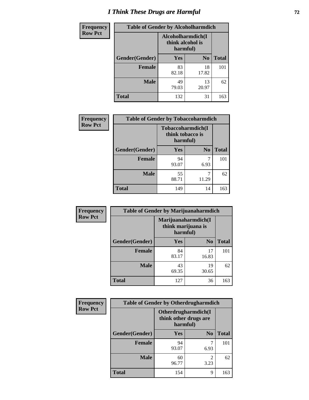# *I Think These Drugs are Harmful* **72**

| <b>Frequency</b> | <b>Table of Gender by Alcoholharmdich</b> |                                                   |                |              |  |
|------------------|-------------------------------------------|---------------------------------------------------|----------------|--------------|--|
| <b>Row Pct</b>   |                                           | Alcoholharmdich(I<br>think alcohol is<br>harmful) |                |              |  |
|                  | Gender(Gender)                            | <b>Yes</b>                                        | N <sub>0</sub> | <b>Total</b> |  |
|                  | <b>Female</b>                             | 83<br>82.18                                       | 18<br>17.82    | 101          |  |
|                  | <b>Male</b>                               | 49<br>79.03                                       | 13<br>20.97    | 62           |  |
|                  | <b>Total</b>                              | 132                                               | 31             | 163          |  |

| Frequency      | <b>Table of Gender by Tobaccoharmdich</b> |                              |                   |              |  |
|----------------|-------------------------------------------|------------------------------|-------------------|--------------|--|
| <b>Row Pct</b> |                                           | think tobacco is<br>harmful) | Tobaccoharmdich(I |              |  |
|                | Gender(Gender)                            | Yes                          | N <sub>0</sub>    | <b>Total</b> |  |
|                | <b>Female</b>                             | 94<br>93.07                  | 7<br>6.93         | 101          |  |
|                | <b>Male</b>                               | 55<br>88.71                  | 11.29             | 62           |  |
|                | <b>Total</b>                              | 149                          | 14                | 163          |  |

| Frequency      | <b>Table of Gender by Marijuanaharmdich</b> |                                                       |                |              |  |
|----------------|---------------------------------------------|-------------------------------------------------------|----------------|--------------|--|
| <b>Row Pct</b> |                                             | Marijuanaharmdich(I<br>think marijuana is<br>harmful) |                |              |  |
|                | Gender(Gender)                              | <b>Yes</b>                                            | N <sub>0</sub> | <b>Total</b> |  |
|                | <b>Female</b>                               | 84<br>83.17                                           | 17<br>16.83    | 101          |  |
|                | <b>Male</b>                                 | 43<br>69.35                                           | 19<br>30.65    | 62           |  |
|                | <b>Total</b>                                | 127                                                   | 36             | 163          |  |

| Frequency      | <b>Table of Gender by Otherdrugharmdich</b> |                                                          |                        |              |  |
|----------------|---------------------------------------------|----------------------------------------------------------|------------------------|--------------|--|
| <b>Row Pct</b> |                                             | Otherdrugharmdich(I<br>think other drugs are<br>harmful) |                        |              |  |
|                | Gender(Gender)                              | <b>Yes</b>                                               | N <sub>0</sub>         | <b>Total</b> |  |
|                | <b>Female</b>                               | 94<br>93.07                                              | 7<br>6.93              | 101          |  |
|                | <b>Male</b>                                 | 60<br>96.77                                              | $\overline{c}$<br>3.23 | 62           |  |
|                | <b>Total</b>                                | 154                                                      | 9                      | 163          |  |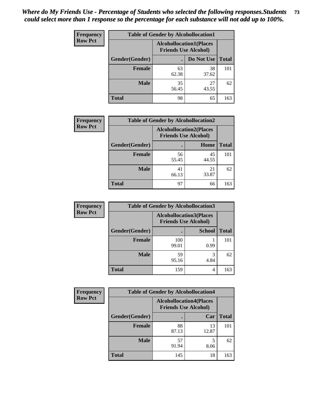| <b>Frequency</b> | <b>Table of Gender by Alcohollocation1</b> |                                                               |             |              |
|------------------|--------------------------------------------|---------------------------------------------------------------|-------------|--------------|
| <b>Row Pct</b>   |                                            | <b>Alcohollocation1(Places</b><br><b>Friends Use Alcohol)</b> |             |              |
|                  | Gender(Gender)                             |                                                               | Do Not Use  | <b>Total</b> |
|                  | <b>Female</b>                              | 63<br>62.38                                                   | 38<br>37.62 | 101          |
|                  | <b>Male</b>                                | 35<br>56.45                                                   | 27<br>43.55 | 62           |
|                  | Total                                      | 98                                                            | 65          | 163          |

| <b>Frequency</b> | <b>Table of Gender by Alcohollocation2</b> |                                                               |             |              |
|------------------|--------------------------------------------|---------------------------------------------------------------|-------------|--------------|
| <b>Row Pct</b>   |                                            | <b>Alcohollocation2(Places</b><br><b>Friends Use Alcohol)</b> |             |              |
|                  | Gender(Gender)                             |                                                               | Home        | <b>Total</b> |
|                  | <b>Female</b>                              | 56<br>55.45                                                   | 45<br>44.55 | 101          |
|                  | <b>Male</b>                                | 41<br>66.13                                                   | 21<br>33.87 | 62           |
|                  | <b>Total</b>                               | 97                                                            | 66          | 163          |

| Frequency      | <b>Table of Gender by Alcohollocation3</b> |                                                               |               |              |
|----------------|--------------------------------------------|---------------------------------------------------------------|---------------|--------------|
| <b>Row Pct</b> |                                            | <b>Alcohollocation3(Places</b><br><b>Friends Use Alcohol)</b> |               |              |
|                | Gender(Gender)                             |                                                               | <b>School</b> | <b>Total</b> |
|                | <b>Female</b>                              | 100<br>99.01                                                  | 0.99          | 101          |
|                | <b>Male</b>                                | 59<br>95.16                                                   | 4.84          | 62           |
|                | <b>Total</b>                               | 159                                                           | 4             | 163          |

| Frequency      | <b>Table of Gender by Alcohollocation4</b> |                                                               |             |              |
|----------------|--------------------------------------------|---------------------------------------------------------------|-------------|--------------|
| <b>Row Pct</b> |                                            | <b>Alcohollocation4(Places</b><br><b>Friends Use Alcohol)</b> |             |              |
|                | Gender(Gender)                             |                                                               | Car         | <b>Total</b> |
|                | <b>Female</b>                              | 88<br>87.13                                                   | 13<br>12.87 | 101          |
|                | <b>Male</b>                                | 57<br>91.94                                                   | 8.06        | 62           |
|                | <b>Total</b>                               | 145                                                           | 18          | 163          |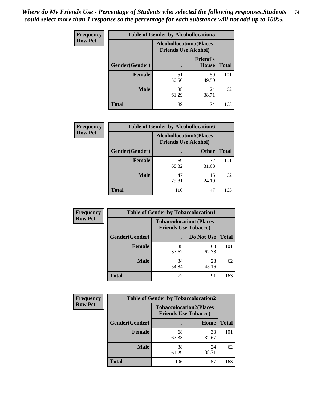| <b>Frequency</b> | <b>Table of Gender by Alcohollocation5</b> |                                                               |                                 |              |
|------------------|--------------------------------------------|---------------------------------------------------------------|---------------------------------|--------------|
| <b>Row Pct</b>   |                                            | <b>Alcohollocation5(Places</b><br><b>Friends Use Alcohol)</b> |                                 |              |
|                  | Gender(Gender)                             | $\bullet$                                                     | <b>Friend's</b><br><b>House</b> | <b>Total</b> |
|                  | <b>Female</b>                              | 51<br>50.50                                                   | 50<br>49.50                     | 101          |
|                  | <b>Male</b>                                | 38<br>61.29                                                   | 24<br>38.71                     | 62           |
|                  | <b>Total</b>                               | 89                                                            | 74                              | 163          |

| <b>Frequency</b> | <b>Table of Gender by Alcohollocation6</b> |                                                               |              |              |
|------------------|--------------------------------------------|---------------------------------------------------------------|--------------|--------------|
| <b>Row Pct</b>   |                                            | <b>Alcohollocation6(Places</b><br><b>Friends Use Alcohol)</b> |              |              |
|                  | <b>Gender</b> (Gender)                     |                                                               | <b>Other</b> | <b>Total</b> |
|                  | Female                                     | 69<br>68.32                                                   | 32<br>31.68  | 101          |
|                  | <b>Male</b>                                | 47<br>75.81                                                   | 15<br>24.19  | 62           |
|                  | <b>Total</b>                               | 116                                                           | 47           | 163          |

| Frequency      | <b>Table of Gender by Tobaccolocation1</b> |                                                               |             |              |  |
|----------------|--------------------------------------------|---------------------------------------------------------------|-------------|--------------|--|
| <b>Row Pct</b> |                                            | <b>Tobaccolocation1(Places</b><br><b>Friends Use Tobacco)</b> |             |              |  |
|                | Gender(Gender)                             |                                                               | Do Not Use  | <b>Total</b> |  |
|                | Female                                     | 38<br>37.62                                                   | 63<br>62.38 | 101          |  |
|                | <b>Male</b>                                | 34<br>54.84                                                   | 28<br>45.16 | 62           |  |
|                | <b>Total</b>                               | 72                                                            | 91          | 163          |  |

| <b>Frequency</b> |                | <b>Table of Gender by Tobaccolocation2</b> |                                |              |  |
|------------------|----------------|--------------------------------------------|--------------------------------|--------------|--|
| <b>Row Pct</b>   |                | <b>Friends Use Tobacco)</b>                | <b>Tobaccolocation2(Places</b> |              |  |
|                  | Gender(Gender) |                                            | Home                           | <b>Total</b> |  |
|                  | Female         | 68<br>67.33                                | 33<br>32.67                    | 101          |  |
|                  | <b>Male</b>    | 38<br>61.29                                | 24<br>38.71                    | 62           |  |
|                  | <b>Total</b>   | 106                                        | 57                             | 163          |  |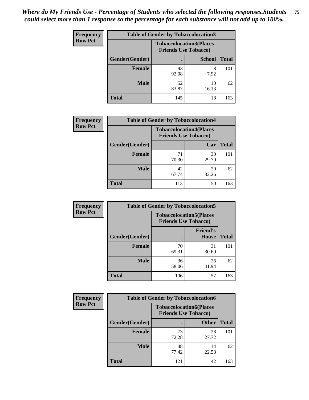| <b>Frequency</b> | <b>Table of Gender by Tobaccolocation3</b> |                                                               |               |              |
|------------------|--------------------------------------------|---------------------------------------------------------------|---------------|--------------|
| <b>Row Pct</b>   |                                            | <b>Tobaccolocation3(Places</b><br><b>Friends Use Tobacco)</b> |               |              |
|                  | Gender(Gender)                             |                                                               | <b>School</b> | <b>Total</b> |
|                  | <b>Female</b>                              | 93<br>92.08                                                   | 8<br>7.92     | 101          |
|                  | <b>Male</b>                                | 52<br>83.87                                                   | 10<br>16.13   | 62           |
|                  | <b>Total</b>                               | 145                                                           | 18            | 163          |

| <b>Frequency</b> | <b>Table of Gender by Tobaccolocation4</b> |                             |                                |              |
|------------------|--------------------------------------------|-----------------------------|--------------------------------|--------------|
| <b>Row Pct</b>   |                                            | <b>Friends Use Tobacco)</b> | <b>Tobaccolocation4(Places</b> |              |
|                  | Gender(Gender)                             |                             | Car                            | <b>Total</b> |
|                  | <b>Female</b>                              | 71<br>70.30                 | 30<br>29.70                    | 101          |
|                  | <b>Male</b>                                | 42<br>67.74                 | 20<br>32.26                    | 62           |
|                  | <b>Total</b>                               | 113                         | 50                             | 163          |

| Frequency      | <b>Table of Gender by Tobaccolocation5</b> |                                                               |                                 |              |  |
|----------------|--------------------------------------------|---------------------------------------------------------------|---------------------------------|--------------|--|
| <b>Row Pct</b> |                                            | <b>Tobaccolocation5(Places</b><br><b>Friends Use Tobacco)</b> |                                 |              |  |
|                | Gender(Gender)                             |                                                               | <b>Friend's</b><br><b>House</b> | <b>Total</b> |  |
|                | Female                                     | 70<br>69.31                                                   | 31<br>30.69                     | 101          |  |
|                | <b>Male</b>                                | 36<br>58.06                                                   | 26<br>41.94                     | 62           |  |
|                | <b>Total</b>                               | 106                                                           | 57                              | 163          |  |

| <b>Frequency</b> | <b>Table of Gender by Tobaccolocation6</b> |             |                                                               |              |
|------------------|--------------------------------------------|-------------|---------------------------------------------------------------|--------------|
| <b>Row Pct</b>   |                                            |             | <b>Tobaccolocation6(Places</b><br><b>Friends Use Tobacco)</b> |              |
|                  | Gender(Gender)                             |             | <b>Other</b>                                                  | <b>Total</b> |
|                  | <b>Female</b>                              | 73<br>72.28 | 28<br>27.72                                                   | 101          |
|                  | <b>Male</b>                                | 48<br>77.42 | 14<br>22.58                                                   | 62           |
|                  | <b>Total</b>                               | 121         | 42                                                            | 163          |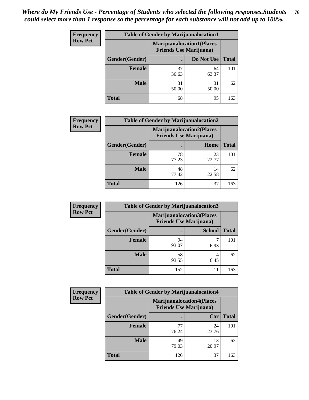| <b>Frequency</b> | <b>Table of Gender by Marijuanalocation1</b> |                                                                    |             |              |
|------------------|----------------------------------------------|--------------------------------------------------------------------|-------------|--------------|
| <b>Row Pct</b>   |                                              | <b>Marijuanalocation1(Places</b><br><b>Friends Use Marijuana</b> ) |             |              |
|                  | Gender(Gender)                               |                                                                    | Do Not Use  | <b>Total</b> |
|                  | <b>Female</b>                                | 37<br>36.63                                                        | 64<br>63.37 | 101          |
|                  | <b>Male</b>                                  | 31<br>50.00                                                        | 31<br>50.00 | 62           |
|                  | Total                                        | 68                                                                 | 95          | 163          |

| <b>Frequency</b> | <b>Table of Gender by Marijuanalocation2</b> |                                                                    |             |              |
|------------------|----------------------------------------------|--------------------------------------------------------------------|-------------|--------------|
| <b>Row Pct</b>   |                                              | <b>Marijuanalocation2(Places</b><br><b>Friends Use Marijuana</b> ) |             |              |
|                  | Gender(Gender)                               |                                                                    | Home        | <b>Total</b> |
|                  | <b>Female</b>                                | 78<br>77.23                                                        | 23<br>22.77 | 101          |
|                  | <b>Male</b>                                  | 48<br>77.42                                                        | 14<br>22.58 | 62           |
|                  | <b>Total</b>                                 | 126                                                                | 37          | 163          |

| Frequency      | <b>Table of Gender by Marijuanalocation3</b> |                                |                                  |              |
|----------------|----------------------------------------------|--------------------------------|----------------------------------|--------------|
| <b>Row Pct</b> |                                              | <b>Friends Use Marijuana</b> ) | <b>Marijuanalocation3(Places</b> |              |
|                | Gender(Gender)                               |                                | <b>School</b>                    | <b>Total</b> |
|                | Female                                       | 94<br>93.07                    | 6.93                             | 101          |
|                | <b>Male</b>                                  | 58<br>93.55                    | 6.45                             | 62           |
|                | <b>Total</b>                                 | 152                            | 11                               | 163          |

| <b>Frequency</b> | <b>Table of Gender by Marijuanalocation4</b> |                                |                                  |              |  |
|------------------|----------------------------------------------|--------------------------------|----------------------------------|--------------|--|
| <b>Row Pct</b>   |                                              | <b>Friends Use Marijuana</b> ) | <b>Marijuanalocation4(Places</b> |              |  |
|                  | Gender(Gender)                               |                                | Car                              | <b>Total</b> |  |
|                  | <b>Female</b>                                | 77<br>76.24                    | 24<br>23.76                      | 101          |  |
|                  | <b>Male</b>                                  | 49<br>79.03                    | 13<br>20.97                      | 62           |  |
|                  | <b>Total</b>                                 | 126                            | 37                               | 163          |  |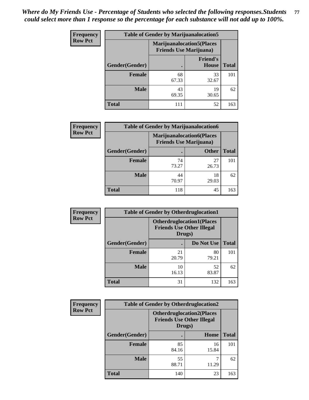| <b>Frequency</b> | <b>Table of Gender by Marijuanalocation5</b> |                                                                    |                          |              |
|------------------|----------------------------------------------|--------------------------------------------------------------------|--------------------------|--------------|
| <b>Row Pct</b>   |                                              | <b>Marijuanalocation5(Places</b><br><b>Friends Use Marijuana</b> ) |                          |              |
|                  | Gender(Gender)                               |                                                                    | <b>Friend's</b><br>House | <b>Total</b> |
|                  | <b>Female</b>                                | 68<br>67.33                                                        | 33<br>32.67              | 101          |
|                  | <b>Male</b>                                  | 43<br>69.35                                                        | 19<br>30.65              | 62           |
|                  | <b>Total</b>                                 | 111                                                                | 52                       | 163          |

| <b>Frequency</b> | <b>Table of Gender by Marijuanalocation6</b> |                                |                                  |              |
|------------------|----------------------------------------------|--------------------------------|----------------------------------|--------------|
| <b>Row Pct</b>   |                                              | <b>Friends Use Marijuana</b> ) | <b>Marijuanalocation6(Places</b> |              |
|                  | <b>Gender</b> (Gender)                       |                                | <b>Other</b>                     | <b>Total</b> |
|                  | <b>Female</b>                                | 74<br>73.27                    | 27<br>26.73                      | 101          |
|                  | <b>Male</b>                                  | 44<br>70.97                    | 18<br>29.03                      | 62           |
|                  | <b>Total</b>                                 | 118                            | 45                               | 163          |

| Frequency      | <b>Table of Gender by Otherdruglocation1</b> |             |                                                                                |              |
|----------------|----------------------------------------------|-------------|--------------------------------------------------------------------------------|--------------|
| <b>Row Pct</b> |                                              |             | <b>Otherdruglocation1(Places</b><br><b>Friends Use Other Illegal</b><br>Drugs) |              |
|                | <b>Gender</b> (Gender)                       |             | Do Not Use                                                                     | <b>Total</b> |
|                | <b>Female</b>                                | 21<br>20.79 | 80<br>79.21                                                                    | 101          |
|                | <b>Male</b>                                  | 10<br>16.13 | 52<br>83.87                                                                    | 62           |
|                | <b>Total</b>                                 | 31          | 132                                                                            | 163          |

| Frequency      | <b>Table of Gender by Otherdruglocation2</b> |                                                                                |             |              |
|----------------|----------------------------------------------|--------------------------------------------------------------------------------|-------------|--------------|
| <b>Row Pct</b> |                                              | <b>Otherdruglocation2(Places</b><br><b>Friends Use Other Illegal</b><br>Drugs) |             |              |
|                | Gender(Gender)                               |                                                                                | Home        | <b>Total</b> |
|                | <b>Female</b>                                | 85<br>84.16                                                                    | 16<br>15.84 | 101          |
|                | <b>Male</b>                                  | 55<br>88.71                                                                    | 11.29       | 62           |
|                | <b>Total</b>                                 | 140                                                                            | 23          | 163          |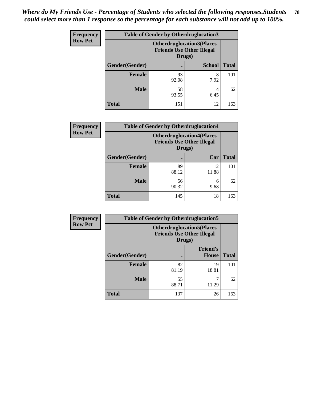| Frequency      | <b>Table of Gender by Otherdruglocation3</b> |             |                                                                      |              |
|----------------|----------------------------------------------|-------------|----------------------------------------------------------------------|--------------|
| <b>Row Pct</b> |                                              | Drugs)      | <b>Otherdruglocation3(Places</b><br><b>Friends Use Other Illegal</b> |              |
|                | Gender(Gender)                               |             | <b>School</b>                                                        | <b>Total</b> |
|                | <b>Female</b>                                | 93<br>92.08 | 8<br>7.92                                                            | 101          |
|                | <b>Male</b>                                  | 58<br>93.55 | 6.45                                                                 | 62           |
|                | <b>Total</b>                                 | 151         | 12                                                                   | 163          |

| Frequency      | <b>Table of Gender by Otherdruglocation4</b> |                                                                                |             |              |
|----------------|----------------------------------------------|--------------------------------------------------------------------------------|-------------|--------------|
| <b>Row Pct</b> |                                              | <b>Otherdruglocation4(Places</b><br><b>Friends Use Other Illegal</b><br>Drugs) |             |              |
|                | Gender(Gender)                               |                                                                                | Car         | <b>Total</b> |
|                | <b>Female</b>                                | 89<br>88.12                                                                    | 12<br>11.88 | 101          |
|                | <b>Male</b>                                  | 56<br>90.32                                                                    | 6<br>9.68   | 62           |
|                | <b>Total</b>                                 | 145                                                                            | 18          | 163          |

| Frequency      | <b>Table of Gender by Otherdruglocation5</b> |                                                                                |                                 |              |
|----------------|----------------------------------------------|--------------------------------------------------------------------------------|---------------------------------|--------------|
| <b>Row Pct</b> |                                              | <b>Otherdruglocation5(Places</b><br><b>Friends Use Other Illegal</b><br>Drugs) |                                 |              |
|                | Gender(Gender)                               |                                                                                | <b>Friend's</b><br><b>House</b> | <b>Total</b> |
|                | <b>Female</b>                                | 82<br>81.19                                                                    | 19<br>18.81                     | 101          |
|                | <b>Male</b>                                  | 55<br>88.71                                                                    | 11.29                           | 62           |
|                | <b>Total</b>                                 | 137                                                                            | 26                              | 163          |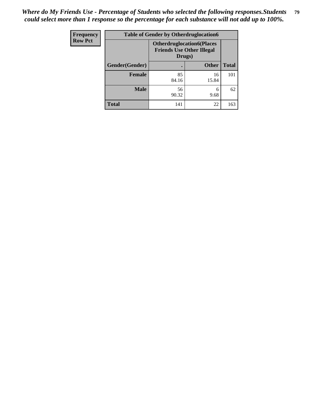| <b>Frequency</b> | <b>Table of Gender by Otherdruglocation6</b> |                                                                                |              |              |
|------------------|----------------------------------------------|--------------------------------------------------------------------------------|--------------|--------------|
| <b>Row Pct</b>   |                                              | <b>Otherdruglocation6(Places</b><br><b>Friends Use Other Illegal</b><br>Drugs) |              |              |
|                  | Gender(Gender)                               |                                                                                | <b>Other</b> | <b>Total</b> |
|                  | Female                                       | 85<br>84.16                                                                    | 16<br>15.84  | 101          |
|                  | <b>Male</b>                                  | 56<br>90.32                                                                    | 6<br>9.68    | 62           |
|                  | <b>Total</b>                                 | 141                                                                            | 22           | 163          |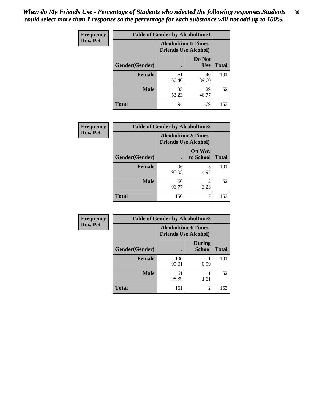| <b>Frequency</b> | <b>Table of Gender by Alcoholtime1</b> |                                                          |                      |              |
|------------------|----------------------------------------|----------------------------------------------------------|----------------------|--------------|
| <b>Row Pct</b>   |                                        | <b>Alcoholtime1(Times</b><br><b>Friends Use Alcohol)</b> |                      |              |
|                  | Gender(Gender)                         | $\bullet$                                                | Do Not<br><b>Use</b> | <b>Total</b> |
|                  | <b>Female</b>                          | 61<br>60.40                                              | 40<br>39.60          | 101          |
|                  | <b>Male</b>                            | 33<br>53.23                                              | 29<br>46.77          | 62           |
|                  | <b>Total</b>                           | 94                                                       | 69                   | 163          |

| <b>Frequency</b> | <b>Table of Gender by Alcoholtime2</b> |                                                          |                            |              |
|------------------|----------------------------------------|----------------------------------------------------------|----------------------------|--------------|
| <b>Row Pct</b>   |                                        | <b>Alcoholtime2(Times</b><br><b>Friends Use Alcohol)</b> |                            |              |
|                  | Gender(Gender)                         |                                                          | <b>On Way</b><br>to School | <b>Total</b> |
|                  | <b>Female</b>                          | 96<br>95.05                                              | 5<br>4.95                  | 101          |
|                  | <b>Male</b>                            | 60<br>96.77                                              | 2<br>3.23                  | 62           |
|                  | <b>Total</b>                           | 156                                                      |                            | 163          |

| Frequency      | <b>Table of Gender by Alcoholtime3</b> |                                                   |                                |              |
|----------------|----------------------------------------|---------------------------------------------------|--------------------------------|--------------|
| <b>Row Pct</b> |                                        | Alcoholtime3(Times<br><b>Friends Use Alcohol)</b> |                                |              |
|                | Gender(Gender)                         |                                                   | <b>During</b><br><b>School</b> | <b>Total</b> |
|                | Female                                 | 100<br>99.01                                      | 0.99                           | 101          |
|                | <b>Male</b>                            | 61<br>98.39                                       | 1.61                           | 62           |
|                | <b>Total</b>                           | 161                                               | 2                              | 163          |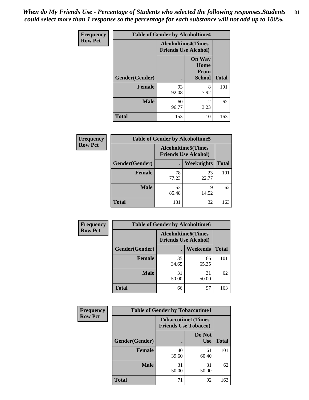*When do My Friends Use - Percentage of Students who selected the following responses.Students could select more than 1 response so the percentage for each substance will not add up to 100%.* **81**

| <b>Frequency</b> | <b>Table of Gender by Alcoholtime4</b> |                                                          |                                                |              |
|------------------|----------------------------------------|----------------------------------------------------------|------------------------------------------------|--------------|
| <b>Row Pct</b>   |                                        | <b>Alcoholtime4(Times</b><br><b>Friends Use Alcohol)</b> |                                                |              |
|                  | Gender(Gender)                         |                                                          | <b>On Way</b><br>Home<br>From<br><b>School</b> | <b>Total</b> |
|                  | <b>Female</b>                          | 93<br>92.08                                              | 8<br>7.92                                      | 101          |
|                  | <b>Male</b>                            | 60<br>96.77                                              | $\overline{c}$<br>3.23                         | 62           |
|                  | <b>Total</b>                           | 153                                                      | 10                                             | 163          |

| <b>Frequency</b> | <b>Table of Gender by Alcoholtime5</b> |                                                           |                   |              |
|------------------|----------------------------------------|-----------------------------------------------------------|-------------------|--------------|
| <b>Row Pct</b>   |                                        | <b>Alcoholtime5</b> (Times<br><b>Friends Use Alcohol)</b> |                   |              |
|                  | Gender(Gender)                         |                                                           | <b>Weeknights</b> | <b>Total</b> |
|                  | <b>Female</b>                          | 78<br>77.23                                               | 23<br>22.77       | 101          |
|                  | <b>Male</b>                            | 53<br>85.48                                               | 9<br>14.52        | 62           |
|                  | <b>Total</b>                           | 131                                                       | 32                | 163          |

| <b>Frequency</b> |                | <b>Table of Gender by Alcoholtime6</b> |                                                           |              |
|------------------|----------------|----------------------------------------|-----------------------------------------------------------|--------------|
| <b>Row Pct</b>   |                |                                        | <b>Alcoholtime6</b> (Times<br><b>Friends Use Alcohol)</b> |              |
|                  | Gender(Gender) |                                        | Weekends                                                  | <b>Total</b> |
|                  | Female         | 35<br>34.65                            | 66<br>65.35                                               | 101          |
|                  | <b>Male</b>    | 31<br>50.00                            | 31<br>50.00                                               | 62           |
|                  | <b>Total</b>   | 66                                     | 97                                                        | 163          |

| <b>Frequency</b> | <b>Table of Gender by Tobaccotime1</b> |                                                          |                      |              |
|------------------|----------------------------------------|----------------------------------------------------------|----------------------|--------------|
| <b>Row Pct</b>   |                                        | <b>Tobaccotime1(Times</b><br><b>Friends Use Tobacco)</b> |                      |              |
|                  | Gender(Gender)                         |                                                          | Do Not<br><b>Use</b> | <b>Total</b> |
|                  | <b>Female</b>                          | 40<br>39.60                                              | 61<br>60.40          | 101          |
|                  | <b>Male</b>                            | 31<br>50.00                                              | 31<br>50.00          | 62           |
|                  | <b>Total</b>                           | 71                                                       | 92                   | 163          |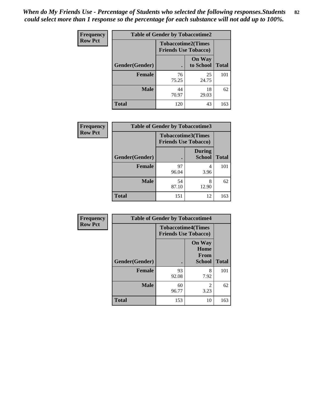| <b>Frequency</b> | <b>Table of Gender by Tobaccotime2</b> |                                                          |                            |              |
|------------------|----------------------------------------|----------------------------------------------------------|----------------------------|--------------|
| <b>Row Pct</b>   |                                        | <b>Tobaccotime2(Times</b><br><b>Friends Use Tobacco)</b> |                            |              |
|                  | Gender(Gender)                         | $\bullet$                                                | <b>On Way</b><br>to School | <b>Total</b> |
|                  | Female                                 | 76<br>75.25                                              | 25<br>24.75                | 101          |
|                  | <b>Male</b>                            | 44<br>70.97                                              | 18<br>29.03                | 62           |
|                  | <b>Total</b>                           | 120                                                      | 43                         | 163          |

| Frequency      | <b>Table of Gender by Tobaccotime3</b> |                                                          |                                |              |
|----------------|----------------------------------------|----------------------------------------------------------|--------------------------------|--------------|
| <b>Row Pct</b> |                                        | <b>Tobaccotime3(Times</b><br><b>Friends Use Tobacco)</b> |                                |              |
|                | Gender(Gender)                         |                                                          | <b>During</b><br><b>School</b> | <b>Total</b> |
|                | Female                                 | 97<br>96.04                                              | 4<br>3.96                      | 101          |
|                | <b>Male</b>                            | 54<br>87.10                                              | 8<br>12.90                     | 62           |
|                | <b>Total</b>                           | 151                                                      | 12                             | 163          |

| <b>Frequency</b> | <b>Table of Gender by Tobaccotime4</b> |                                                          |                                                |              |
|------------------|----------------------------------------|----------------------------------------------------------|------------------------------------------------|--------------|
| <b>Row Pct</b>   |                                        | <b>Tobaccotime4(Times</b><br><b>Friends Use Tobacco)</b> |                                                |              |
|                  | Gender(Gender)                         |                                                          | <b>On Way</b><br>Home<br>From<br><b>School</b> | <b>Total</b> |
|                  | <b>Female</b>                          | 93<br>92.08                                              | 8<br>7.92                                      | 101          |
|                  | <b>Male</b>                            | 60<br>96.77                                              | $\mathfrak{D}$<br>3.23                         | 62           |
|                  | <b>Total</b>                           | 153                                                      | 10                                             | 163          |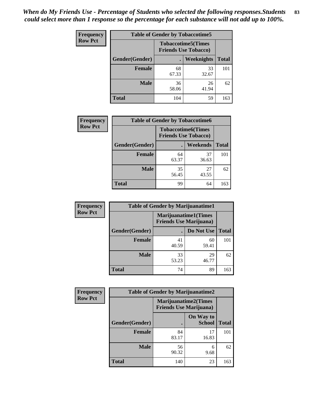| Frequency      | <b>Table of Gender by Tobaccotime5</b> |             |                                                          |              |  |
|----------------|----------------------------------------|-------------|----------------------------------------------------------|--------------|--|
| <b>Row Pct</b> |                                        |             | <b>Tobaccotime5(Times</b><br><b>Friends Use Tobacco)</b> |              |  |
|                | Gender(Gender)                         |             | Weeknights                                               | <b>Total</b> |  |
|                | <b>Female</b>                          | 68<br>67.33 | 33<br>32.67                                              | 101          |  |
|                | <b>Male</b>                            | 36<br>58.06 | 26<br>41.94                                              | 62           |  |
|                | <b>Total</b>                           | 104         | 59                                                       | 163          |  |

| Frequency      | <b>Table of Gender by Tobaccotime6</b> |                                                          |                 |              |
|----------------|----------------------------------------|----------------------------------------------------------|-----------------|--------------|
| <b>Row Pct</b> |                                        | <b>Tobaccotime6(Times</b><br><b>Friends Use Tobacco)</b> |                 |              |
|                | Gender(Gender)                         |                                                          | <b>Weekends</b> | <b>Total</b> |
|                | Female                                 | 64<br>63.37                                              | 37<br>36.63     | 101          |
|                | <b>Male</b>                            | 35<br>56.45                                              | 27<br>43.55     | 62           |
|                | <b>Total</b>                           | 99                                                       | 64              | 163          |

| <b>Frequency</b> | <b>Table of Gender by Marijuanatime1</b> |                                |                             |              |
|------------------|------------------------------------------|--------------------------------|-----------------------------|--------------|
| <b>Row Pct</b>   |                                          | <b>Friends Use Marijuana</b> ) | <b>Marijuanatime1(Times</b> |              |
|                  | Gender(Gender)                           |                                | Do Not Use                  | <b>Total</b> |
|                  | <b>Female</b>                            | 41<br>40.59                    | 60<br>59.41                 | 101          |
|                  | <b>Male</b>                              | 33<br>53.23                    | 29<br>46.77                 | 62           |
|                  | <b>Total</b>                             | 74                             | 89                          | 163          |

| <b>Frequency</b> | <b>Table of Gender by Marijuanatime2</b> |                                                               |                            |              |
|------------------|------------------------------------------|---------------------------------------------------------------|----------------------------|--------------|
| <b>Row Pct</b>   |                                          | <b>Marijuanatime2(Times</b><br><b>Friends Use Marijuana</b> ) |                            |              |
|                  | Gender(Gender)                           |                                                               | On Way to<br><b>School</b> | <b>Total</b> |
|                  | Female                                   | 84<br>83.17                                                   | 17<br>16.83                | 101          |
|                  | <b>Male</b>                              | 56<br>90.32                                                   | 6<br>9.68                  | 62           |
|                  | <b>Total</b>                             | 140                                                           | 23                         | 163          |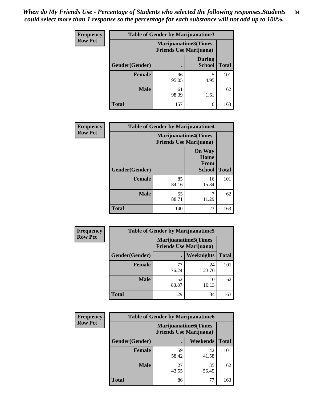| <b>Frequency</b> | <b>Table of Gender by Marijuanatime3</b> |                                                        |                                |              |
|------------------|------------------------------------------|--------------------------------------------------------|--------------------------------|--------------|
| <b>Row Pct</b>   |                                          | Marijuanatime3(Times<br><b>Friends Use Marijuana</b> ) |                                |              |
|                  | Gender(Gender)                           |                                                        | <b>During</b><br><b>School</b> | <b>Total</b> |
|                  | <b>Female</b>                            | 96<br>95.05                                            | 4.95                           | 101          |
|                  | <b>Male</b>                              | 61<br>98.39                                            | 1.61                           | 62           |
|                  | <b>Total</b>                             | 157                                                    | 6                              | 163          |

| Frequency      | <b>Table of Gender by Marijuanatime4</b> |                                                               |                                                       |              |
|----------------|------------------------------------------|---------------------------------------------------------------|-------------------------------------------------------|--------------|
| <b>Row Pct</b> |                                          | <b>Marijuanatime4(Times</b><br><b>Friends Use Marijuana</b> ) |                                                       |              |
|                | Gender(Gender)                           |                                                               | <b>On Way</b><br>Home<br><b>From</b><br><b>School</b> | <b>Total</b> |
|                | <b>Female</b>                            | 85<br>84.16                                                   | 16<br>15.84                                           | 101          |
|                | <b>Male</b>                              | 55<br>88.71                                                   | ┑<br>11.29                                            | 62           |
|                | <b>Total</b>                             | 140                                                           | 23                                                    | 163          |

| Frequency      | <b>Table of Gender by Marijuanatime5</b> |             |                                                                |              |  |
|----------------|------------------------------------------|-------------|----------------------------------------------------------------|--------------|--|
| <b>Row Pct</b> |                                          |             | <b>Marijuanatime5</b> (Times<br><b>Friends Use Marijuana</b> ) |              |  |
|                | Gender(Gender)                           |             | <b>Weeknights</b>                                              | <b>Total</b> |  |
|                | <b>Female</b>                            | 77<br>76.24 | 24<br>23.76                                                    | 101          |  |
|                | <b>Male</b>                              | 52<br>83.87 | 10<br>16.13                                                    | 62           |  |
|                | <b>Total</b>                             | 129         | 34                                                             | 163          |  |

| Frequency      |                | <b>Table of Gender by Marijuanatime6</b>                      |                 |              |
|----------------|----------------|---------------------------------------------------------------|-----------------|--------------|
| <b>Row Pct</b> |                | <b>Marijuanatime6(Times</b><br><b>Friends Use Marijuana</b> ) |                 |              |
|                | Gender(Gender) |                                                               | <b>Weekends</b> | <b>Total</b> |
|                | <b>Female</b>  | 59<br>58.42                                                   | 42<br>41.58     | 101          |
|                | <b>Male</b>    | 27<br>43.55                                                   | 35<br>56.45     | 62           |
|                | <b>Total</b>   | 86                                                            | 77              | 163          |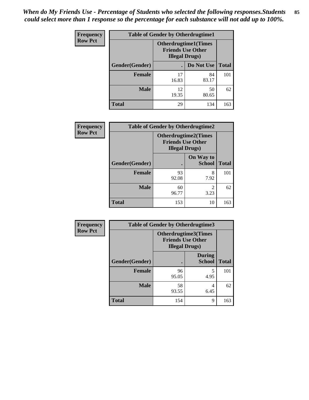| <b>Frequency</b> | <b>Table of Gender by Otherdrugtime1</b> |                                                                                   |             |              |
|------------------|------------------------------------------|-----------------------------------------------------------------------------------|-------------|--------------|
| <b>Row Pct</b>   |                                          | <b>Otherdrugtime1(Times</b><br><b>Friends Use Other</b><br><b>Illegal Drugs</b> ) |             |              |
|                  | Gender(Gender)                           |                                                                                   | Do Not Use  | <b>Total</b> |
|                  | <b>Female</b>                            | 17<br>16.83                                                                       | 84<br>83.17 | 101          |
|                  | <b>Male</b>                              | 12<br>19.35                                                                       | 50<br>80.65 | 62           |
|                  | <b>Total</b>                             | 29                                                                                | 134         | 163          |

| Frequency      | <b>Table of Gender by Otherdrugtime2</b> |                                                                                   |                            |              |
|----------------|------------------------------------------|-----------------------------------------------------------------------------------|----------------------------|--------------|
| <b>Row Pct</b> |                                          | <b>Otherdrugtime2(Times</b><br><b>Friends Use Other</b><br><b>Illegal Drugs</b> ) |                            |              |
|                | Gender(Gender)                           |                                                                                   | On Way to<br><b>School</b> | <b>Total</b> |
|                | <b>Female</b>                            | 93<br>92.08                                                                       | 8<br>7.92                  | 101          |
|                | <b>Male</b>                              | 60<br>96.77                                                                       | $\overline{2}$<br>3.23     | 62           |
|                | <b>Total</b>                             | 153                                                                               | 10                         | 163          |

| Frequency      | <b>Table of Gender by Otherdrugtime3</b> |                                                    |                                |              |  |
|----------------|------------------------------------------|----------------------------------------------------|--------------------------------|--------------|--|
| <b>Row Pct</b> |                                          | <b>Friends Use Other</b><br><b>Illegal Drugs</b> ) | Otherdrugtime3(Times           |              |  |
|                | Gender(Gender)                           |                                                    | <b>During</b><br><b>School</b> | <b>Total</b> |  |
|                | <b>Female</b>                            | 96<br>95.05                                        | 5<br>4.95                      | 101          |  |
|                | <b>Male</b>                              | 58<br>93.55                                        | 4<br>6.45                      | 62           |  |
|                | <b>Total</b>                             | 154                                                | 9                              | 163          |  |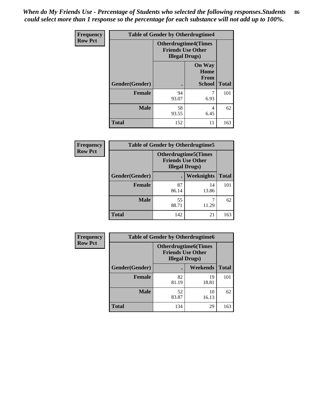*When do My Friends Use - Percentage of Students who selected the following responses.Students could select more than 1 response so the percentage for each substance will not add up to 100%.* **86**

| <b>Frequency</b> | <b>Table of Gender by Otherdrugtime4</b> |                                                    |                                                |              |
|------------------|------------------------------------------|----------------------------------------------------|------------------------------------------------|--------------|
| <b>Row Pct</b>   |                                          | <b>Friends Use Other</b><br><b>Illegal Drugs</b> ) | <b>Otherdrugtime4(Times</b>                    |              |
|                  | Gender(Gender)                           |                                                    | <b>On Way</b><br>Home<br>From<br><b>School</b> | <b>Total</b> |
|                  | Female                                   | 94<br>93.07                                        | 6.93                                           | 101          |
|                  | <b>Male</b>                              | 58<br>93.55                                        | 4<br>6.45                                      | 62           |
|                  | <b>Total</b>                             | 152                                                | 11                                             | 163          |

| Frequency      | <b>Table of Gender by Otherdrugtime5</b> |                                                                                    |                   |              |
|----------------|------------------------------------------|------------------------------------------------------------------------------------|-------------------|--------------|
| <b>Row Pct</b> |                                          | <b>Otherdrugtime5</b> (Times<br><b>Friends Use Other</b><br><b>Illegal Drugs</b> ) |                   |              |
|                | Gender(Gender)                           |                                                                                    | <b>Weeknights</b> | <b>Total</b> |
|                | <b>Female</b>                            | 87<br>86.14                                                                        | 14<br>13.86       | 101          |
|                | <b>Male</b>                              | 55<br>88.71                                                                        | 11.29             | 62           |
|                | <b>Total</b>                             | 142                                                                                | 21                | 163          |

| <b>Frequency</b> | <b>Table of Gender by Otherdrugtime6</b> |                                                                                   |             |              |  |
|------------------|------------------------------------------|-----------------------------------------------------------------------------------|-------------|--------------|--|
| <b>Row Pct</b>   |                                          | <b>Otherdrugtime6(Times</b><br><b>Friends Use Other</b><br><b>Illegal Drugs</b> ) |             |              |  |
|                  | Gender(Gender)                           |                                                                                   | Weekends    | <b>Total</b> |  |
|                  | <b>Female</b>                            | 82<br>81.19                                                                       | 19<br>18.81 | 101          |  |
|                  | <b>Male</b>                              | 52<br>83.87                                                                       | 10<br>16.13 | 62           |  |
|                  | <b>Total</b>                             | 134                                                                               | 29          | 163          |  |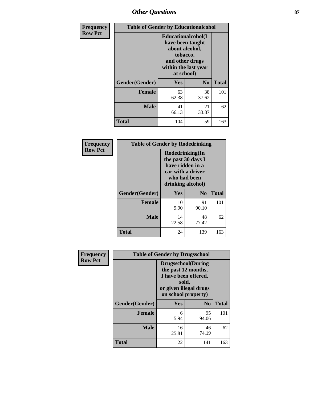# *Other Questions* **87**

| Frequency      | <b>Table of Gender by Educationalcohol</b> |                                                                                                                               |                |              |  |
|----------------|--------------------------------------------|-------------------------------------------------------------------------------------------------------------------------------|----------------|--------------|--|
| <b>Row Pct</b> |                                            | Educationalcohol(I<br>have been taught<br>about alcohol,<br>tobacco,<br>and other drugs<br>within the last year<br>at school) |                |              |  |
|                | Gender(Gender)                             | Yes                                                                                                                           | N <sub>0</sub> | <b>Total</b> |  |
|                | <b>Female</b>                              | 63<br>62.38                                                                                                                   | 38<br>37.62    | 101          |  |
|                | <b>Male</b>                                | 41<br>66.13                                                                                                                   | 21<br>33.87    | 62           |  |
|                | Total                                      | 104                                                                                                                           | 59             | 163          |  |

| Frequency      | <b>Table of Gender by Rodedrinking</b> |                                                                                                                     |                |              |  |
|----------------|----------------------------------------|---------------------------------------------------------------------------------------------------------------------|----------------|--------------|--|
| <b>Row Pct</b> |                                        | Rodedrinking(In<br>the past 30 days I<br>have ridden in a<br>car with a driver<br>who had been<br>drinking alcohol) |                |              |  |
|                | Gender(Gender)                         | Yes                                                                                                                 | N <sub>0</sub> | <b>Total</b> |  |
|                | <b>Female</b>                          | 10<br>9.90                                                                                                          | 91<br>90.10    | 101          |  |
|                | <b>Male</b>                            | 14<br>22.58                                                                                                         | 48<br>77.42    | 62           |  |
|                | <b>Total</b>                           | 24                                                                                                                  | 139            | 163          |  |

| Frequency      | <b>Table of Gender by Drugsschool</b> |                                                                                                                                     |                |              |  |
|----------------|---------------------------------------|-------------------------------------------------------------------------------------------------------------------------------------|----------------|--------------|--|
| <b>Row Pct</b> |                                       | <b>Drugsschool</b> (During<br>the past 12 months,<br>I have been offered,<br>sold,<br>or given illegal drugs<br>on school property) |                |              |  |
|                | Gender(Gender)                        | Yes                                                                                                                                 | N <sub>0</sub> | <b>Total</b> |  |
|                | <b>Female</b>                         | 6<br>5.94                                                                                                                           | 95<br>94.06    | 101          |  |
|                | <b>Male</b>                           | 16<br>25.81                                                                                                                         | 46<br>74.19    | 62           |  |
|                | <b>Total</b>                          | 22                                                                                                                                  | 141            | 163          |  |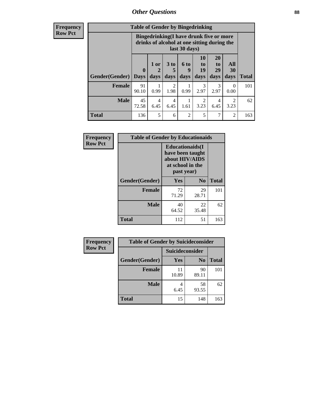# *Other Questions* **88**

**Frequency Row Pct**

| <b>Table of Gender by Bingedrinking</b> |                         |                                                                                                         |                   |                   |                        |                               |                             |              |
|-----------------------------------------|-------------------------|---------------------------------------------------------------------------------------------------------|-------------------|-------------------|------------------------|-------------------------------|-----------------------------|--------------|
|                                         |                         | Bingedrinking(I have drunk five or more<br>drinks of alcohol at one sitting during the<br>last 30 days) |                   |                   |                        |                               |                             |              |
| <b>Gender</b> (Gender)                  | $\bf{0}$<br><b>Days</b> | 1 or<br>days                                                                                            | 3 to<br>5<br>days | 6 to<br>9<br>days | 10<br>to<br>19<br>days | <b>20</b><br>to<br>29<br>days | All<br>30<br>days           | <b>Total</b> |
| <b>Female</b>                           | 91<br>90.10             | 0.99                                                                                                    | 2<br>1.98         | 0.99              | 3<br>2.97              | 3<br>2.97                     | $\Omega$<br>0.00            | 101          |
| <b>Male</b>                             | 45                      | 4                                                                                                       | 4                 |                   | 2                      | 4                             | $\mathcal{D}_{\mathcal{L}}$ | 62           |
|                                         | 72.58                   | 6.45                                                                                                    | 6.45              | 1.61              | 3.23                   | 6.45                          | 3.23                        |              |

| Frequency      | <b>Table of Gender by Educationaids</b> |                                                                                                 |             |              |  |
|----------------|-----------------------------------------|-------------------------------------------------------------------------------------------------|-------------|--------------|--|
| <b>Row Pct</b> |                                         | <b>Educationaids</b> (I<br>have been taught<br>about HIV/AIDS<br>at school in the<br>past year) |             |              |  |
|                | Gender(Gender)                          | Yes                                                                                             | $\bf N_0$   | <b>Total</b> |  |
|                | <b>Female</b>                           | 72<br>71.29                                                                                     | 29<br>28.71 | 101          |  |
|                | <b>Male</b>                             | 40<br>64.52                                                                                     | 22<br>35.48 | 62           |  |
|                | <b>Total</b>                            | 112                                                                                             | 51          | 163          |  |

| <b>Frequency</b> | <b>Table of Gender by Suicideconsider</b> |                        |                |              |  |
|------------------|-------------------------------------------|------------------------|----------------|--------------|--|
| <b>Row Pct</b>   |                                           | <b>Suicideconsider</b> |                |              |  |
|                  | Gender(Gender)                            | Yes                    | N <sub>0</sub> | <b>Total</b> |  |
|                  | <b>Female</b>                             | 11<br>10.89            | 90<br>89.11    | 101          |  |
|                  | <b>Male</b>                               | 6.45                   | 58<br>93.55    | 62           |  |
|                  | <b>Total</b>                              | 15                     | 148            | 163          |  |